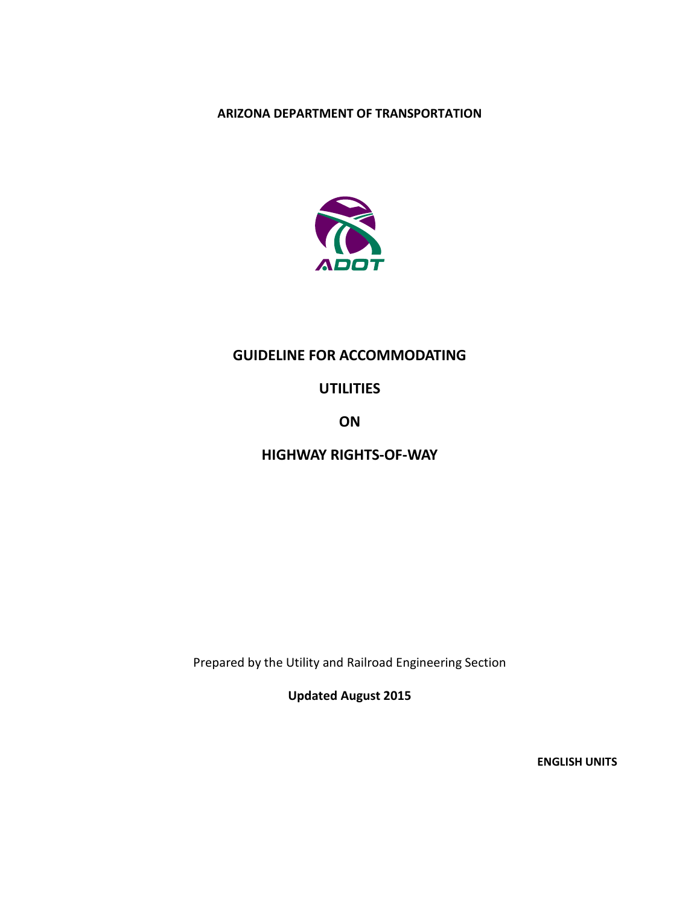# **ARIZONA DEPARTMENT OF TRANSPORTATION**



# **GUIDELINE FOR ACCOMMODATING**

# **UTILITIES**

**ON**

# **HIGHWAY RIGHTS-OF-WAY**

Prepared by the Utility and Railroad Engineering Section

**Updated August 2015**

**ENGLISH UNITS**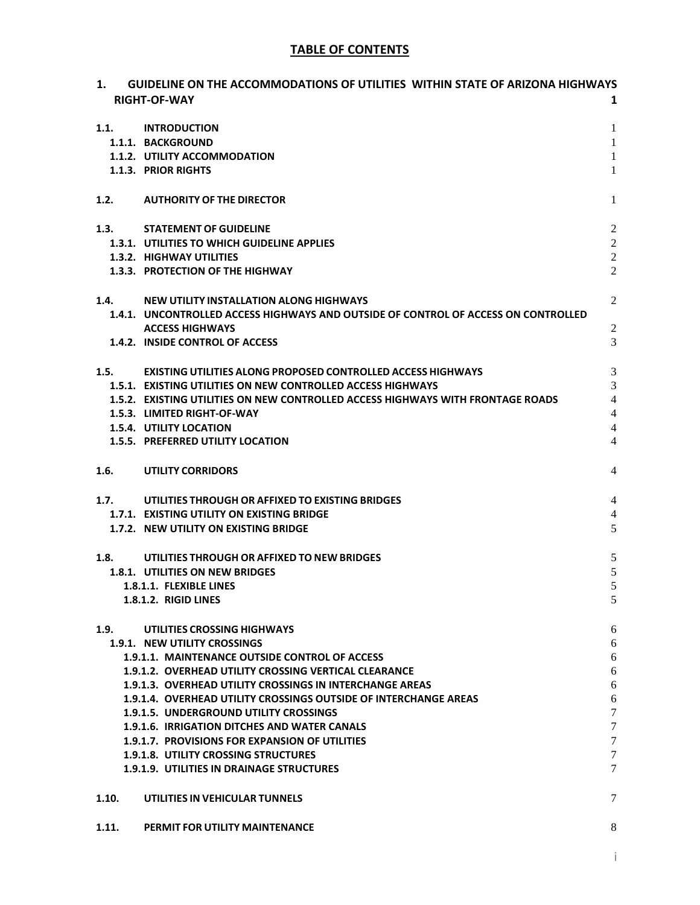# **TABLE OF CONTENTS**

| 1.    | <b>GUIDELINE ON THE ACCOMMODATIONS OF UTILITIES WITHIN STATE OF ARIZONA HIGHWAYS</b><br><b>RIGHT-OF-WAY</b> | 1                   |
|-------|-------------------------------------------------------------------------------------------------------------|---------------------|
| 1.1.  | <b>INTRODUCTION</b>                                                                                         | $\mathbf{1}$        |
|       | 1.1.1. BACKGROUND                                                                                           | $\mathbf{1}$        |
|       | 1.1.2. UTILITY ACCOMMODATION                                                                                | $\mathbf{1}$        |
|       | 1.1.3. PRIOR RIGHTS                                                                                         | $\mathbf{1}$        |
| 1.2.  | <b>AUTHORITY OF THE DIRECTOR</b>                                                                            | $\mathbf{1}$        |
| 1.3.  | <b>STATEMENT OF GUIDELINE</b>                                                                               | $\mathfrak{2}$      |
|       | 1.3.1. UTILITIES TO WHICH GUIDELINE APPLIES                                                                 | $\sqrt{2}$          |
|       | 1.3.2. HIGHWAY UTILITIES                                                                                    | $\overline{2}$      |
|       | 1.3.3. PROTECTION OF THE HIGHWAY                                                                            | $\overline{2}$      |
|       | 1.4. NEW UTILITY INSTALLATION ALONG HIGHWAYS                                                                | $\overline{2}$      |
|       | 1.4.1. UNCONTROLLED ACCESS HIGHWAYS AND OUTSIDE OF CONTROL OF ACCESS ON CONTROLLED                          |                     |
|       | <b>ACCESS HIGHWAYS</b><br>1.4.2. INSIDE CONTROL OF ACCESS                                                   | $\overline{2}$<br>3 |
|       |                                                                                                             |                     |
|       | 1.5. EXISTING UTILITIES ALONG PROPOSED CONTROLLED ACCESS HIGHWAYS                                           | $\mathfrak{Z}$      |
|       | 1.5.1. EXISTING UTILITIES ON NEW CONTROLLED ACCESS HIGHWAYS                                                 | 3                   |
|       | 1.5.2. EXISTING UTILITIES ON NEW CONTROLLED ACCESS HIGHWAYS WITH FRONTAGE ROADS                             | $\overline{4}$      |
|       | 1.5.3. LIMITED RIGHT-OF-WAY                                                                                 | $\overline{4}$      |
|       | <b>1.5.4. UTILITY LOCATION</b>                                                                              | $\overline{4}$      |
|       | 1.5.5. PREFERRED UTILITY LOCATION                                                                           | $\overline{4}$      |
| 1.6.  | <b>UTILITY CORRIDORS</b>                                                                                    | 4                   |
| 1.7.  | UTILITIES THROUGH OR AFFIXED TO EXISTING BRIDGES                                                            | $\overline{4}$      |
|       | 1.7.1. EXISTING UTILITY ON EXISTING BRIDGE                                                                  | 4                   |
|       | 1.7.2. NEW UTILITY ON EXISTING BRIDGE                                                                       | 5                   |
| 1.8.  | UTILITIES THROUGH OR AFFIXED TO NEW BRIDGES                                                                 | $\sqrt{5}$          |
|       | 1.8.1. UTILITIES ON NEW BRIDGES                                                                             | $\sqrt{5}$          |
|       | 1.8.1.1. FLEXIBLE LINES                                                                                     | 5                   |
|       | 1.8.1.2. RIGID LINES                                                                                        | 5                   |
| 1.9.  | UTILITIES CROSSING HIGHWAYS                                                                                 | 6                   |
|       | 1.9.1. NEW UTILITY CROSSINGS<br>1.9.1.1. MAINTENANCE OUTSIDE CONTROL OF ACCESS                              | 6<br>6              |
|       | 1.9.1.2. OVERHEAD UTILITY CROSSING VERTICAL CLEARANCE                                                       | 6                   |
|       | 1.9.1.3. OVERHEAD UTILITY CROSSINGS IN INTERCHANGE AREAS                                                    | 6                   |
|       | 1.9.1.4. OVERHEAD UTILITY CROSSINGS OUTSIDE OF INTERCHANGE AREAS                                            | $\boldsymbol{6}$    |
|       | 1.9.1.5. UNDERGROUND UTILITY CROSSINGS                                                                      | 7                   |
|       | 1.9.1.6. IRRIGATION DITCHES AND WATER CANALS                                                                | 7                   |
|       | 1.9.1.7. PROVISIONS FOR EXPANSION OF UTILITIES                                                              | 7                   |
|       | <b>1.9.1.8. UTILITY CROSSING STRUCTURES</b>                                                                 | 7                   |
|       | <b>1.9.1.9. UTILITIES IN DRAINAGE STRUCTURES</b>                                                            | 7                   |
| 1.10. | UTILITIES IN VEHICULAR TUNNELS                                                                              | 7                   |
| 1.11. | PERMIT FOR UTILITY MAINTENANCE                                                                              | 8                   |

i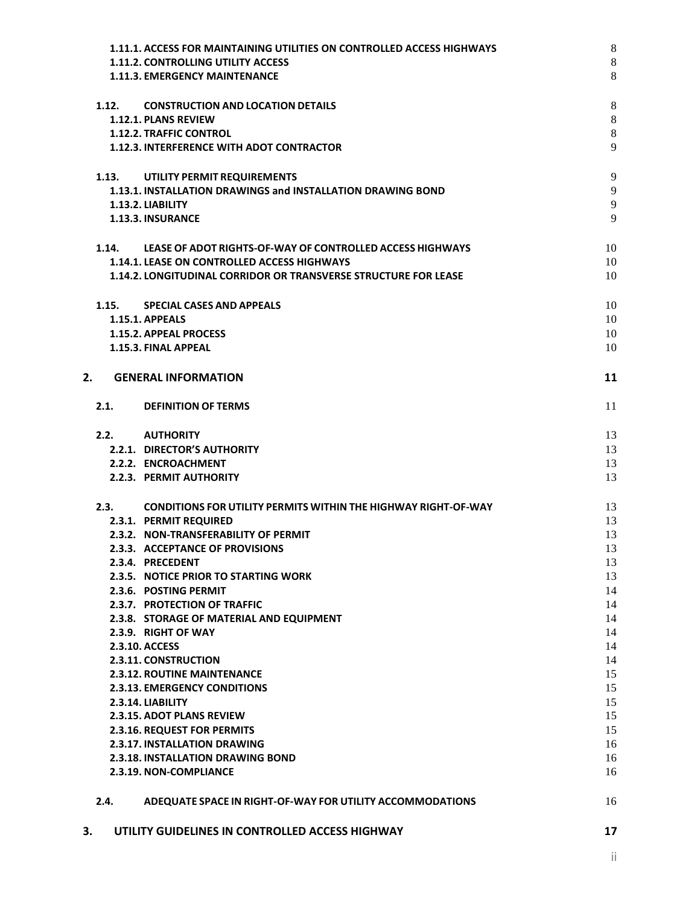| 3. |       | UTILITY GUIDELINES IN CONTROLLED ACCESS HIGHWAY                        | 17       |
|----|-------|------------------------------------------------------------------------|----------|
|    | 2.4.  | ADEQUATE SPACE IN RIGHT-OF-WAY FOR UTILITY ACCOMMODATIONS              | 16       |
|    |       | 2.3.19. NON-COMPLIANCE                                                 | 16       |
|    |       | <b>2.3.18. INSTALLATION DRAWING BOND</b>                               | 16       |
|    |       | <b>2.3.17. INSTALLATION DRAWING</b>                                    | 16       |
|    |       | 2.3.16. REQUEST FOR PERMITS                                            | 15       |
|    |       | <b>2.3.15. ADOT PLANS REVIEW</b>                                       | 15       |
|    |       | 2.3.14. LIABILITY                                                      | 15       |
|    |       | <b>2.3.13. EMERGENCY CONDITIONS</b>                                    | 15       |
|    |       | 2.3.11. CONSTRUCTION<br><b>2.3.12. ROUTINE MAINTENANCE</b>             | 14<br>15 |
|    |       | 2.3.10. ACCESS                                                         | 14       |
|    |       | 2.3.9. RIGHT OF WAY                                                    | 14       |
|    |       | 2.3.8. STORAGE OF MATERIAL AND EQUIPMENT                               | 14       |
|    |       | 2.3.7. PROTECTION OF TRAFFIC                                           | 14       |
|    |       | 2.3.6. POSTING PERMIT                                                  | 14       |
|    |       | 2.3.5. NOTICE PRIOR TO STARTING WORK                                   | 13       |
|    |       | 2.3.4. PRECEDENT                                                       | 13       |
|    |       | 2.3.3. ACCEPTANCE OF PROVISIONS                                        | 13       |
|    |       | 2.3.2. NON-TRANSFERABILITY OF PERMIT                                   | 13       |
|    |       | 2.3.1. PERMIT REQUIRED                                                 | 13       |
|    | 2.3.  | <b>CONDITIONS FOR UTILITY PERMITS WITHIN THE HIGHWAY RIGHT-OF-WAY</b>  | 13       |
|    |       | 2.2.3. PERMIT AUTHORITY                                                | 13       |
|    |       | 2.2.2. ENCROACHMENT                                                    | 13       |
|    |       | 2.2.1. DIRECTOR'S AUTHORITY                                            | 13       |
|    | 2.2.  | <b>AUTHORITY</b>                                                       | 13       |
|    | 2.1.  | <b>DEFINITION OF TERMS</b>                                             | 11       |
|    |       |                                                                        |          |
| 2. |       | <b>GENERAL INFORMATION</b>                                             | 11       |
|    |       | 1.15.3. FINAL APPEAL                                                   | 10       |
|    |       | 1.15.2. APPEAL PROCESS                                                 | 10       |
|    |       | <b>1.15.1. APPEALS</b>                                                 | 10       |
|    | 1.15. | <b>SPECIAL CASES AND APPEALS</b>                                       | 10       |
|    |       | 1.14.2. LONGITUDINAL CORRIDOR OR TRANSVERSE STRUCTURE FOR LEASE        | 10       |
|    |       | 1.14.1. LEASE ON CONTROLLED ACCESS HIGHWAYS                            | 10       |
|    | 1.14. | LEASE OF ADOT RIGHTS-OF-WAY OF CONTROLLED ACCESS HIGHWAYS              | 10       |
|    |       |                                                                        |          |
|    |       | 1.13.3. INSURANCE                                                      | 9        |
|    |       | 1.13.2. LIABILITY                                                      | 9        |
|    |       | 1.13.1. INSTALLATION DRAWINGS and INSTALLATION DRAWING BOND            | 9        |
|    | 1.13. | UTILITY PERMIT REQUIREMENTS                                            | 9        |
|    |       | 1.12.3. INTERFERENCE WITH ADOT CONTRACTOR                              |          |
|    |       | <b>1.12.2. TRAFFIC CONTROL</b>                                         | 8<br>9   |
|    |       | 1.12.1. PLANS REVIEW                                                   | 8        |
|    | 1.12. | <b>CONSTRUCTION AND LOCATION DETAILS</b>                               | 8        |
|    |       |                                                                        |          |
|    |       | 1.11.3. EMERGENCY MAINTENANCE                                          | 8        |
|    |       | <b>1.11.2. CONTROLLING UTILITY ACCESS</b>                              | 8        |
|    |       | 1.11.1. ACCESS FOR MAINTAINING UTILITIES ON CONTROLLED ACCESS HIGHWAYS | 8        |

ii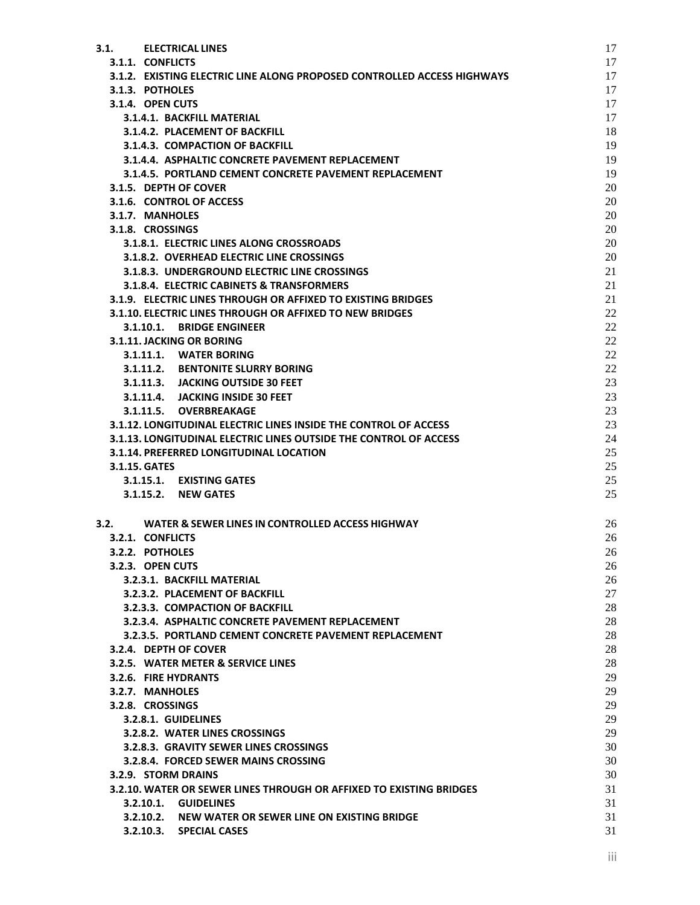| 3.1.          | <b>ELECTRICAL LINES</b>                                                 | 17       |
|---------------|-------------------------------------------------------------------------|----------|
|               | 3.1.1. CONFLICTS                                                        | 17       |
|               | 3.1.2. EXISTING ELECTRIC LINE ALONG PROPOSED CONTROLLED ACCESS HIGHWAYS | 17       |
|               | 3.1.3. POTHOLES                                                         | 17       |
|               | 3.1.4. OPEN CUTS                                                        | 17       |
|               | 3.1.4.1. BACKFILL MATERIAL                                              | 17       |
|               | 3.1.4.2. PLACEMENT OF BACKFILL                                          | 18       |
|               | 3.1.4.3. COMPACTION OF BACKFILL                                         | 19       |
|               | 3.1.4.4. ASPHALTIC CONCRETE PAVEMENT REPLACEMENT                        | 19       |
|               | 3.1.4.5. PORTLAND CEMENT CONCRETE PAVEMENT REPLACEMENT                  | 19       |
|               | 3.1.5. DEPTH OF COVER                                                   | 20       |
|               | 3.1.6. CONTROL OF ACCESS                                                | 20       |
|               | 3.1.7. MANHOLES                                                         | 20       |
|               | 3.1.8. CROSSINGS                                                        | 20       |
|               | 3.1.8.1. ELECTRIC LINES ALONG CROSSROADS                                | 20       |
|               | 3.1.8.2. OVERHEAD ELECTRIC LINE CROSSINGS                               | 20       |
|               | 3.1.8.3. UNDERGROUND ELECTRIC LINE CROSSINGS                            | 21       |
|               | 3.1.8.4. ELECTRIC CABINETS & TRANSFORMERS                               | 21       |
|               | 3.1.9. ELECTRIC LINES THROUGH OR AFFIXED TO EXISTING BRIDGES            | 21       |
|               | 3.1.10. ELECTRIC LINES THROUGH OR AFFIXED TO NEW BRIDGES                | 22       |
|               | 3.1.10.1. BRIDGE ENGINEER                                               | 22       |
|               | 3.1.11. JACKING OR BORING<br>3.1.11.1. WATER BORING                     | 22<br>22 |
|               | 3.1.11.2. BENTONITE SLURRY BORING                                       | 22       |
|               | 3.1.11.3. JACKING OUTSIDE 30 FEET                                       | 23       |
|               | 3.1.11.4. JACKING INSIDE 30 FEET                                        | 23       |
|               | 3.1.11.5. OVERBREAKAGE                                                  | 23       |
|               | 3.1.12. LONGITUDINAL ELECTRIC LINES INSIDE THE CONTROL OF ACCESS        | 23       |
|               | 3.1.13. LONGITUDINAL ELECTRIC LINES OUTSIDE THE CONTROL OF ACCESS       | 24       |
|               | 3.1.14. PREFERRED LONGITUDINAL LOCATION                                 | 25       |
| 3.1.15. GATES |                                                                         | 25       |
|               | 3.1.15.1. EXISTING GATES                                                | 25       |
|               | 3.1.15.2. NEW GATES                                                     | 25       |
|               |                                                                         |          |
| 3.2.          | WATER & SEWER LINES IN CONTROLLED ACCESS HIGHWAY                        | 26       |
|               | 3.2.1. CONFLICTS                                                        | 26       |
|               | 3.2.2. POTHOLES                                                         | 26       |
|               | 3.2.3. OPEN CUTS                                                        | 26       |
|               | 3.2.3.1. BACKFILL MATERIAL                                              | 26       |
|               | 3.2.3.2. PLACEMENT OF BACKFILL                                          | 27       |
|               | 3.2.3.3. COMPACTION OF BACKFILL                                         | 28       |
|               | 3.2.3.4. ASPHALTIC CONCRETE PAVEMENT REPLACEMENT                        | 28       |
|               | 3.2.3.5. PORTLAND CEMENT CONCRETE PAVEMENT REPLACEMENT                  | 28       |
|               | 3.2.4. DEPTH OF COVER                                                   | 28       |
|               | 3.2.5. WATER METER & SERVICE LINES                                      | 28       |
|               | 3.2.6. FIRE HYDRANTS                                                    | 29       |
|               | 3.2.7. MANHOLES                                                         | 29       |
|               | 3.2.8. CROSSINGS                                                        | 29       |
|               | 3.2.8.1. GUIDELINES                                                     | 29       |
|               | 3.2.8.2. WATER LINES CROSSINGS                                          | 29       |
|               | 3.2.8.3. GRAVITY SEWER LINES CROSSINGS                                  | 30       |
|               | 3.2.8.4. FORCED SEWER MAINS CROSSING                                    | 30       |
|               | 3.2.9. STORM DRAINS                                                     | 30       |
|               | 3.2.10. WATER OR SEWER LINES THROUGH OR AFFIXED TO EXISTING BRIDGES     | 31       |
|               | 3.2.10.1. GUIDELINES                                                    | 31       |
|               | 3.2.10.2. NEW WATER OR SEWER LINE ON EXISTING BRIDGE                    | 31       |
|               | 3.2.10.3. SPECIAL CASES                                                 | 31       |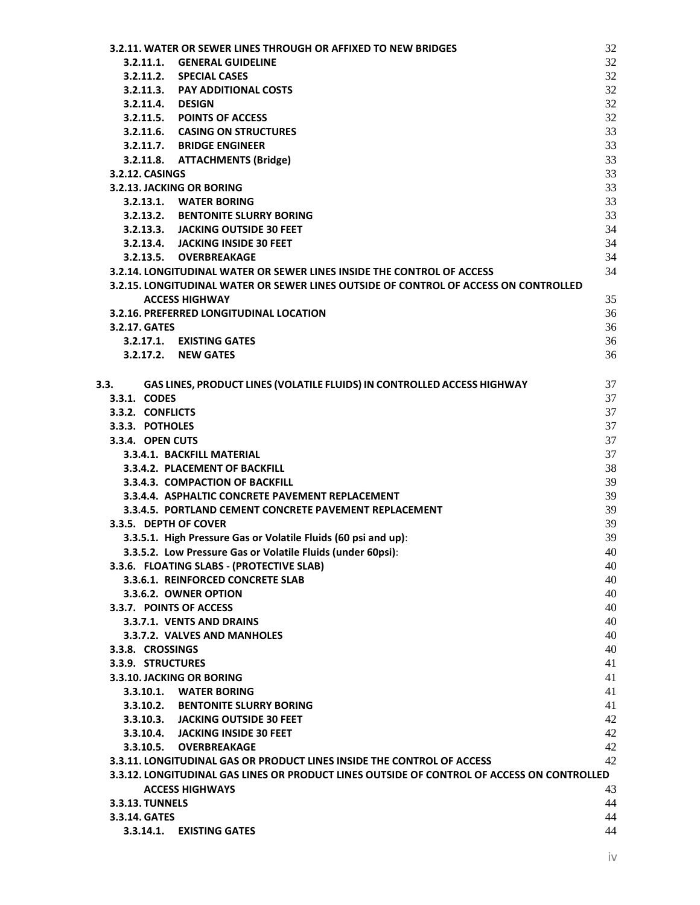| 3.2.11. WATER OR SEWER LINES THROUGH OR AFFIXED TO NEW BRIDGES                             | 32       |
|--------------------------------------------------------------------------------------------|----------|
| <b>GENERAL GUIDELINE</b><br>3.2.11.1.                                                      | 32       |
| <b>SPECIAL CASES</b><br>3.2.11.2.                                                          | 32       |
| 3.2.11.3. PAY ADDITIONAL COSTS                                                             | 32       |
| 3.2.11.4. DESIGN                                                                           | 32       |
| 3.2.11.5. POINTS OF ACCESS                                                                 | 32       |
| 3.2.11.6. CASING ON STRUCTURES                                                             | 33       |
| 3.2.11.7. BRIDGE ENGINEER                                                                  | 33       |
| 3.2.11.8. ATTACHMENTS (Bridge)                                                             | 33       |
| 3.2.12. CASINGS                                                                            | 33       |
| 3.2.13. JACKING OR BORING                                                                  | 33       |
| 3.2.13.1. WATER BORING                                                                     | 33       |
| 3.2.13.2. BENTONITE SLURRY BORING                                                          | 33       |
| 3.2.13.3. JACKING OUTSIDE 30 FEET                                                          | 34       |
| 3.2.13.4. JACKING INSIDE 30 FEET                                                           | 34       |
| 3.2.13.5. OVERBREAKAGE                                                                     | 34       |
| 3.2.14. LONGITUDINAL WATER OR SEWER LINES INSIDE THE CONTROL OF ACCESS                     | 34       |
| 3.2.15. LONGITUDINAL WATER OR SEWER LINES OUTSIDE OF CONTROL OF ACCESS ON CONTROLLED       |          |
| <b>ACCESS HIGHWAY</b>                                                                      | 35       |
| 3.2.16. PREFERRED LONGITUDINAL LOCATION                                                    | 36       |
| 3.2.17. GATES                                                                              | 36       |
| 3.2.17.1. EXISTING GATES                                                                   | 36       |
| 3.2.17.2. NEW GATES                                                                        | 36       |
|                                                                                            |          |
| GAS LINES, PRODUCT LINES (VOLATILE FLUIDS) IN CONTROLLED ACCESS HIGHWAY<br>3.3.            | 37       |
| 3.3.1. CODES                                                                               | 37       |
| 3.3.2. CONFLICTS                                                                           | 37       |
| 3.3.3. POTHOLES                                                                            | 37       |
| 3.3.4. OPEN CUTS                                                                           | 37       |
| 3.3.4.1. BACKFILL MATERIAL                                                                 | 37       |
| 3.3.4.2. PLACEMENT OF BACKFILL                                                             | 38       |
| 3.3.4.3. COMPACTION OF BACKFILL                                                            | 39       |
| 3.3.4.4. ASPHALTIC CONCRETE PAVEMENT REPLACEMENT                                           | 39       |
| 3.3.4.5. PORTLAND CEMENT CONCRETE PAVEMENT REPLACEMENT                                     | 39       |
| 3.3.5. DEPTH OF COVER                                                                      | 39       |
| 3.3.5.1. High Pressure Gas or Volatile Fluids (60 psi and up):                             | 39       |
| 3.3.5.2. Low Pressure Gas or Volatile Fluids (under 60psi):                                | 40       |
| 3.3.6. FLOATING SLABS - (PROTECTIVE SLAB)                                                  | 40       |
| 3.3.6.1. REINFORCED CONCRETE SLAB                                                          | 40       |
| 3.3.6.2. OWNER OPTION                                                                      | 40       |
| 3.3.7. POINTS OF ACCESS                                                                    | 40       |
| 3.3.7.1. VENTS AND DRAINS<br>3.3.7.2. VALVES AND MANHOLES                                  | 40<br>40 |
|                                                                                            | 40       |
| 3.3.8. CROSSINGS<br>3.3.9. STRUCTURES                                                      | 41       |
| 3.3.10. JACKING OR BORING                                                                  | 41       |
| 3.3.10.1. WATER BORING                                                                     | 41       |
| 3.3.10.2. BENTONITE SLURRY BORING                                                          | 41       |
| 3.3.10.3. JACKING OUTSIDE 30 FEET                                                          | 42       |
| 3.3.10.4. JACKING INSIDE 30 FEET                                                           | 42       |
| 3.3.10.5. OVERBREAKAGE                                                                     | 42       |
| 3.3.11. LONGITUDINAL GAS OR PRODUCT LINES INSIDE THE CONTROL OF ACCESS                     | 42       |
| 3.3.12. LONGITUDINAL GAS LINES OR PRODUCT LINES OUTSIDE OF CONTROL OF ACCESS ON CONTROLLED |          |
| <b>ACCESS HIGHWAYS</b>                                                                     | 43       |
| <b>3.3.13. TUNNELS</b>                                                                     | 44       |
| 3.3.14. GATES                                                                              | 44       |
| 3.3.14.1. EXISTING GATES                                                                   | 44       |
|                                                                                            |          |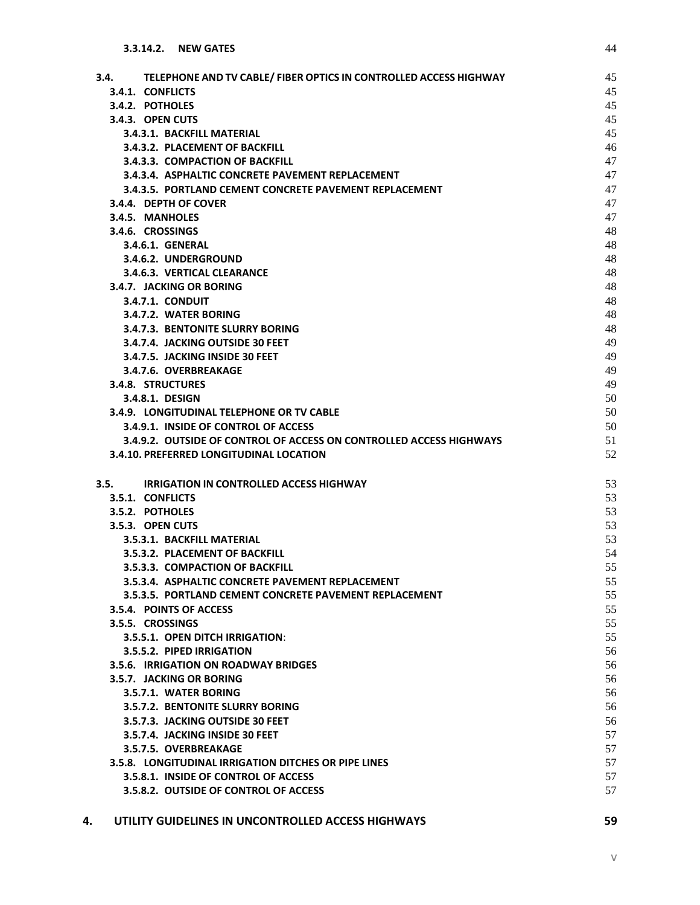| TELEPHONE AND TV CABLE/ FIBER OPTICS IN CONTROLLED ACCESS HIGHWAY<br>3.4. | 45<br>45 |
|---------------------------------------------------------------------------|----------|
| 3.4.1. CONFLICTS<br>3.4.2. POTHOLES                                       | 45       |
| 3.4.3. OPEN CUTS                                                          | 45       |
| 3.4.3.1. BACKFILL MATERIAL                                                | 45       |
| 3.4.3.2. PLACEMENT OF BACKFILL                                            | 46       |
| 3.4.3.3. COMPACTION OF BACKFILL                                           | 47       |
| 3.4.3.4. ASPHALTIC CONCRETE PAVEMENT REPLACEMENT                          | 47       |
| 3.4.3.5. PORTLAND CEMENT CONCRETE PAVEMENT REPLACEMENT                    | 47       |
| 3.4.4. DEPTH OF COVER                                                     | 47       |
| 3.4.5. MANHOLES                                                           | 47       |
| 3.4.6. CROSSINGS                                                          | 48       |
| 3.4.6.1. GENERAL                                                          | 48       |
| 3.4.6.2. UNDERGROUND                                                      | 48       |
| 3.4.6.3. VERTICAL CLEARANCE                                               | 48       |
| 3.4.7. JACKING OR BORING                                                  | 48       |
| <b>3.4.7.1. CONDUIT</b>                                                   | 48       |
| 3.4.7.2. WATER BORING                                                     | 48       |
| 3.4.7.3. BENTONITE SLURRY BORING                                          | 48       |
| 3.4.7.4. JACKING OUTSIDE 30 FEET                                          | 49       |
| 3.4.7.5. JACKING INSIDE 30 FEET                                           | 49       |
| 3.4.7.6. OVERBREAKAGE                                                     | 49       |
| 3.4.8. STRUCTURES                                                         | 49       |
| 3.4.8.1. DESIGN                                                           | 50       |
| 3.4.9. LONGITUDINAL TELEPHONE OR TV CABLE                                 | 50       |
| 3.4.9.1. INSIDE OF CONTROL OF ACCESS                                      | 50       |
| 3.4.9.2. OUTSIDE OF CONTROL OF ACCESS ON CONTROLLED ACCESS HIGHWAYS       | 51       |
| 3.4.10. PREFERRED LONGITUDINAL LOCATION                                   | 52       |
| 3.5.<br><b>IRRIGATION IN CONTROLLED ACCESS HIGHWAY</b>                    | 53       |
| 3.5.1. CONFLICTS                                                          | 53       |
| 3.5.2. POTHOLES                                                           | 53       |
| 3.5.3. OPEN CUTS                                                          | 53       |
| 3.5.3.1. BACKFILL MATERIAL                                                | 53       |
| 3.5.3.2. PLACEMENT OF BACKFILL                                            | 54       |
| 3.5.3.3. COMPACTION OF BACKFILL                                           | 55       |
| 3.5.3.4. ASPHALTIC CONCRETE PAVEMENT REPLACEMENT                          | 55       |
| 3.5.3.5. PORTLAND CEMENT CONCRETE PAVEMENT REPLACEMENT                    | 55       |
| 3.5.4. POINTS OF ACCESS                                                   | 55       |
| 3.5.5. CROSSINGS                                                          | 55       |
| 3.5.5.1. OPEN DITCH IRRIGATION:                                           | 55       |
| 3.5.5.2. PIPED IRRIGATION                                                 | 56       |
| <b>3.5.6. IRRIGATION ON ROADWAY BRIDGES</b>                               | 56       |
| 3.5.7. JACKING OR BORING                                                  | 56       |
| 3.5.7.1. WATER BORING                                                     | 56       |
| <b>3.5.7.2. BENTONITE SLURRY BORING</b>                                   | 56       |
| 3.5.7.3. JACKING OUTSIDE 30 FEET                                          | 56       |
| 3.5.7.4. JACKING INSIDE 30 FEET                                           | 57       |
| 3.5.7.5. OVERBREAKAGE                                                     | 57       |
| 3.5.8. LONGITUDINAL IRRIGATION DITCHES OR PIPE LINES                      | 57       |
| 3.5.8.1. INSIDE OF CONTROL OF ACCESS                                      | 57       |
| 3.5.8.2. OUTSIDE OF CONTROL OF ACCESS                                     | 57       |
|                                                                           |          |

# **4. [UTILITY GUIDELINES IN UNCONTROLLED ACCESS HIGHWAYS](#page-67-0) 59**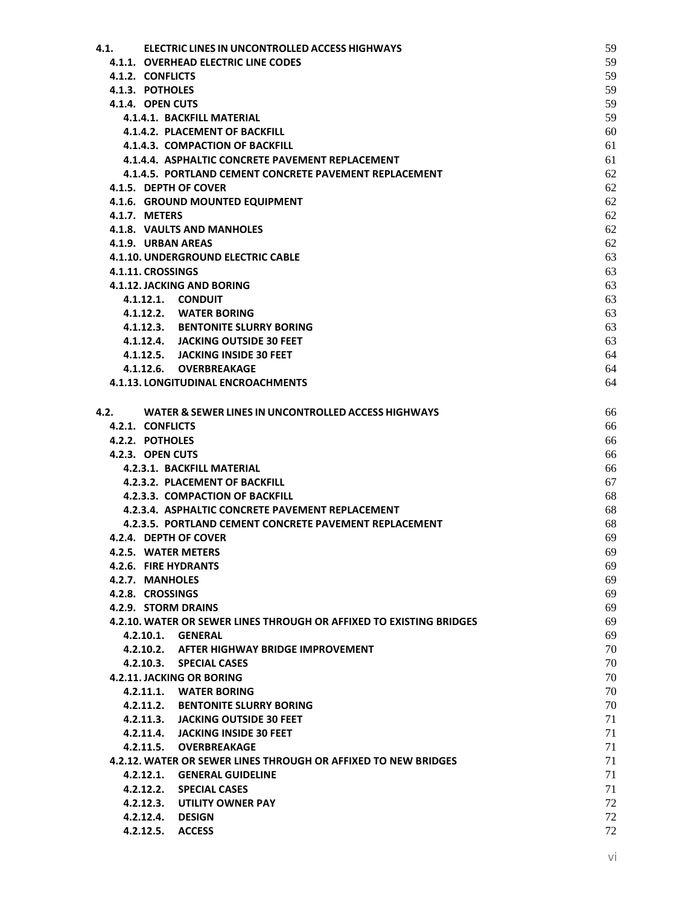| 4.1. | ELECTRIC LINES IN UNCONTROLLED ACCESS HIGHWAYS                      | 59 |
|------|---------------------------------------------------------------------|----|
|      | 4.1.1. OVERHEAD ELECTRIC LINE CODES                                 | 59 |
|      | 4.1.2. CONFLICTS                                                    | 59 |
|      | 4.1.3. POTHOLES                                                     | 59 |
|      | 4.1.4. OPEN CUTS                                                    | 59 |
|      | 4.1.4.1. BACKFILL MATERIAL                                          | 59 |
|      | 4.1.4.2. PLACEMENT OF BACKFILL                                      | 60 |
|      | 4.1.4.3. COMPACTION OF BACKFILL                                     | 61 |
|      | 4.1.4.4. ASPHALTIC CONCRETE PAVEMENT REPLACEMENT                    | 61 |
|      | 4.1.4.5. PORTLAND CEMENT CONCRETE PAVEMENT REPLACEMENT              | 62 |
|      | 4.1.5. DEPTH OF COVER                                               | 62 |
|      | 4.1.6. GROUND MOUNTED EQUIPMENT                                     | 62 |
|      | <b>4.1.7. METERS</b>                                                | 62 |
|      | 4.1.8. VAULTS AND MANHOLES                                          | 62 |
|      | 4.1.9. URBAN AREAS                                                  | 62 |
|      | <b>4.1.10. UNDERGROUND ELECTRIC CABLE</b>                           | 63 |
|      | 4.1.11. CROSSINGS                                                   | 63 |
|      | 4.1.12. JACKING AND BORING                                          | 63 |
|      | 4.1.12.1. CONDUIT                                                   | 63 |
|      | 4.1.12.2. WATER BORING                                              | 63 |
|      | 4.1.12.3. BENTONITE SLURRY BORING                                   | 63 |
|      | 4.1.12.4. JACKING OUTSIDE 30 FEET                                   | 63 |
|      | 4.1.12.5. JACKING INSIDE 30 FEET                                    | 64 |
|      | 4.1.12.6. OVERBREAKAGE                                              | 64 |
|      | <b>4.1.13. LONGITUDINAL ENCROACHMENTS</b>                           | 64 |
|      |                                                                     |    |
| 4.2. | WATER & SEWER LINES IN UNCONTROLLED ACCESS HIGHWAYS                 | 66 |
|      | 4.2.1. CONFLICTS                                                    | 66 |
|      | 4.2.2. POTHOLES                                                     | 66 |
|      | 4.2.3. OPEN CUTS                                                    | 66 |
|      | 4.2.3.1. BACKFILL MATERIAL                                          | 66 |
|      | 4.2.3.2. PLACEMENT OF BACKFILL                                      | 67 |
|      | 4.2.3.3. COMPACTION OF BACKFILL                                     | 68 |
|      | 4.2.3.4. ASPHALTIC CONCRETE PAVEMENT REPLACEMENT                    | 68 |
|      | 4.2.3.5. PORTLAND CEMENT CONCRETE PAVEMENT REPLACEMENT              | 68 |
|      | 4.2.4. DEPTH OF COVER                                               | 69 |
|      | 4.2.5. WATER METERS                                                 | 69 |
|      | 4.2.6. FIRE HYDRANTS                                                | 69 |
|      | 4.2.7. MANHOLES                                                     | 69 |
|      | 4.2.8. CROSSINGS                                                    | 69 |
|      | 4.2.9. STORM DRAINS                                                 | 69 |
|      | 4.2.10. WATER OR SEWER LINES THROUGH OR AFFIXED TO EXISTING BRIDGES | 69 |
|      | 4.2.10.1.<br><b>GENERAL</b>                                         | 69 |
|      | 4.2.10.2. AFTER HIGHWAY BRIDGE IMPROVEMENT                          | 70 |
|      | 4.2.10.3. SPECIAL CASES                                             | 70 |
|      | 4.2.11. JACKING OR BORING                                           | 70 |
|      | 4.2.11.1. WATER BORING                                              | 70 |
|      | 4.2.11.2. BENTONITE SLURRY BORING                                   | 70 |
|      | 4.2.11.3.<br><b>JACKING OUTSIDE 30 FEET</b>                         | 71 |
|      | 4.2.11.4. JACKING INSIDE 30 FEET                                    | 71 |
|      | 4.2.11.5. OVERBREAKAGE                                              | 71 |
|      | 4.2.12. WATER OR SEWER LINES THROUGH OR AFFIXED TO NEW BRIDGES      | 71 |
|      | 4.2.12.1. GENERAL GUIDELINE                                         | 71 |
|      | 4.2.12.2. SPECIAL CASES                                             | 71 |
|      | 4.2.12.3. UTILITY OWNER PAY                                         | 72 |
|      | 4.2.12.4. DESIGN                                                    | 72 |
|      | 4.2.12.5. ACCESS                                                    | 72 |
|      |                                                                     |    |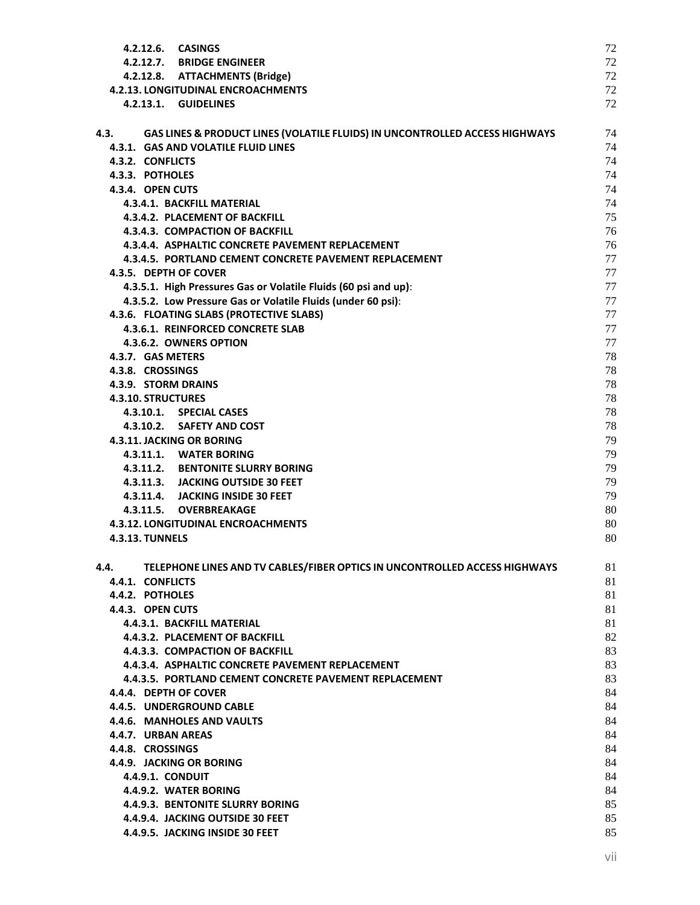| 4.2.12.6. CASINGS                                                                   | 72 |
|-------------------------------------------------------------------------------------|----|
| 4.2.12.7. BRIDGE ENGINEER                                                           | 72 |
| 4.2.12.8. ATTACHMENTS (Bridge)                                                      | 72 |
| <b>4.2.13. LONGITUDINAL ENCROACHMENTS</b>                                           | 72 |
| 4.2.13.1. GUIDELINES                                                                | 72 |
|                                                                                     |    |
| GAS LINES & PRODUCT LINES (VOLATILE FLUIDS) IN UNCONTROLLED ACCESS HIGHWAYS<br>4.3. | 74 |
| 4.3.1. GAS AND VOLATILE FLUID LINES                                                 | 74 |
| 4.3.2. CONFLICTS                                                                    | 74 |
| 4.3.3. POTHOLES                                                                     | 74 |
| 4.3.4. OPEN CUTS                                                                    | 74 |
| 4.3.4.1. BACKFILL MATERIAL                                                          | 74 |
|                                                                                     |    |
| 4.3.4.2. PLACEMENT OF BACKFILL                                                      | 75 |
| 4.3.4.3. COMPACTION OF BACKFILL                                                     | 76 |
| 4.3.4.4. ASPHALTIC CONCRETE PAVEMENT REPLACEMENT                                    | 76 |
| 4.3.4.5. PORTLAND CEMENT CONCRETE PAVEMENT REPLACEMENT                              | 77 |
| 4.3.5. DEPTH OF COVER                                                               | 77 |
| 4.3.5.1. High Pressures Gas or Volatile Fluids (60 psi and up):                     | 77 |
| 4.3.5.2. Low Pressure Gas or Volatile Fluids (under 60 psi):                        | 77 |
| 4.3.6. FLOATING SLABS (PROTECTIVE SLABS)                                            | 77 |
| 4.3.6.1. REINFORCED CONCRETE SLAB                                                   | 77 |
| 4.3.6.2. OWNERS OPTION                                                              | 77 |
| 4.3.7. GAS METERS                                                                   | 78 |
| 4.3.8. CROSSINGS                                                                    | 78 |
| 4.3.9. STORM DRAINS                                                                 | 78 |
| <b>4.3.10. STRUCTURES</b>                                                           | 78 |
| 4.3.10.1. SPECIAL CASES                                                             | 78 |
| 4.3.10.2. SAFETY AND COST                                                           | 78 |
| 4.3.11. JACKING OR BORING                                                           | 79 |
| 4.3.11.1. WATER BORING                                                              | 79 |
| 4.3.11.2. BENTONITE SLURRY BORING                                                   | 79 |
| 4.3.11.3. JACKING OUTSIDE 30 FEET                                                   | 79 |
| 4.3.11.4. JACKING INSIDE 30 FEET                                                    | 79 |
| 4.3.11.5. OVERBREAKAGE                                                              | 80 |
| 4.3.12. LONGITUDINAL ENCROACHMENTS                                                  | 80 |
| <b>4.3.13. TUNNELS</b>                                                              | 80 |
|                                                                                     |    |
|                                                                                     |    |
| TELEPHONE LINES AND TV CABLES/FIBER OPTICS IN UNCONTROLLED ACCESS HIGHWAYS<br>4.4.  | 81 |
| 4.4.1. CONFLICTS                                                                    | 81 |
| 4.4.2. POTHOLES                                                                     | 81 |
| 4.4.3. OPEN CUTS                                                                    | 81 |
| 4.4.3.1. BACKFILL MATERIAL                                                          | 81 |
| 4.4.3.2. PLACEMENT OF BACKFILL                                                      | 82 |
| 4.4.3.3. COMPACTION OF BACKFILL                                                     | 83 |
| 4.4.3.4. ASPHALTIC CONCRETE PAVEMENT REPLACEMENT                                    | 83 |
| 4.4.3.5. PORTLAND CEMENT CONCRETE PAVEMENT REPLACEMENT                              | 83 |
| 4.4.4. DEPTH OF COVER                                                               | 84 |
| 4.4.5. UNDERGROUND CABLE                                                            | 84 |
| 4.4.6. MANHOLES AND VAULTS                                                          | 84 |
| 4.4.7. URBAN AREAS                                                                  | 84 |
| 4.4.8. CROSSINGS                                                                    | 84 |
| 4.4.9. JACKING OR BORING                                                            | 84 |
| <b>4.4.9.1. CONDUIT</b>                                                             | 84 |
| 4.4.9.2. WATER BORING                                                               | 84 |
| 4.4.9.3. BENTONITE SLURRY BORING                                                    | 85 |
| 4.4.9.4. JACKING OUTSIDE 30 FEET                                                    | 85 |
| 4.4.9.5. JACKING INSIDE 30 FEET                                                     | 85 |
|                                                                                     |    |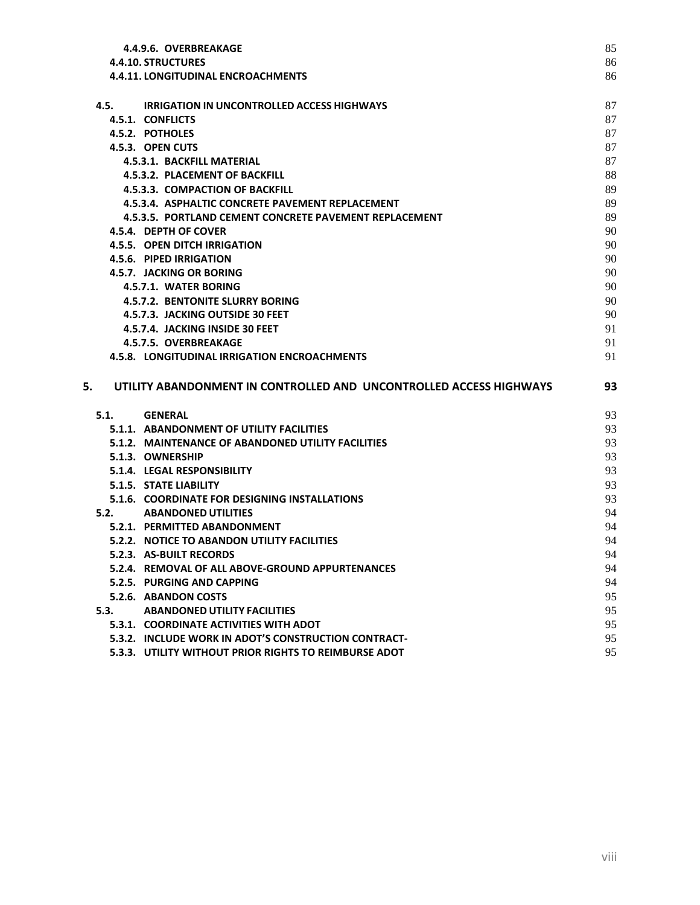| 4.4.9.6. OVERBREAKAGE                                                    | 85       |
|--------------------------------------------------------------------------|----------|
| <b>4.4.10. STRUCTURES</b>                                                | 86       |
| <b>4.4.11. LONGITUDINAL ENCROACHMENTS</b>                                | 86       |
| 4.5.<br><b>IRRIGATION IN UNCONTROLLED ACCESS HIGHWAYS</b>                | 87       |
| 4.5.1. CONFLICTS                                                         | 87       |
| 4.5.2. POTHOLES                                                          | 87       |
| 4.5.3. OPEN CUTS                                                         | 87       |
| 4.5.3.1. BACKFILL MATERIAL                                               | 87       |
| 4.5.3.2. PLACEMENT OF BACKFILL                                           | 88       |
| 4.5.3.3. COMPACTION OF BACKFILL                                          | 89       |
| 4.5.3.4. ASPHALTIC CONCRETE PAVEMENT REPLACEMENT                         | 89       |
| 4.5.3.5. PORTLAND CEMENT CONCRETE PAVEMENT REPLACEMENT                   | 89       |
| 4.5.4. DEPTH OF COVER                                                    | 90       |
| <b>4.5.5. OPEN DITCH IRRIGATION</b>                                      | 90       |
| 4.5.6. PIPED IRRIGATION                                                  | 90       |
| 4.5.7. JACKING OR BORING                                                 | 90       |
| 4.5.7.1. WATER BORING                                                    | 90       |
| 4.5.7.2. BENTONITE SLURRY BORING                                         | 90       |
| 4.5.7.3. JACKING OUTSIDE 30 FEET                                         | 90       |
| 4.5.7.4. JACKING INSIDE 30 FEET                                          | 91       |
| 4.5.7.5. OVERBREAKAGE                                                    | 91       |
| <b>4.5.8. LONGITUDINAL IRRIGATION ENCROACHMENTS</b>                      | 91       |
| 5.<br>UTILITY ABANDONMENT IN CONTROLLED AND UNCONTROLLED ACCESS HIGHWAYS | 93       |
| 5.1.<br><b>GENERAL</b>                                                   |          |
| 5.1.1. ABANDONMENT OF UTILITY FACILITIES                                 |          |
| 5.1.2. MAINTENANCE OF ABANDONED UTILITY FACILITIES                       | 93       |
|                                                                          | 93<br>93 |
| 5.1.3. OWNERSHIP                                                         | 93       |
| 5.1.4. LEGAL RESPONSIBILITY                                              | 93       |
| 5.1.5. STATE LIABILITY                                                   | 93       |
| 5.1.6. COORDINATE FOR DESIGNING INSTALLATIONS                            | 93       |
| 5.2.<br><b>ABANDONED UTILITIES</b>                                       | 94       |
| 5.2.1. PERMITTED ABANDONMENT                                             | 94       |
| 5.2.2. NOTICE TO ABANDON UTILITY FACILITIES                              | 94       |
| 5.2.3. AS-BUILT RECORDS                                                  | 94       |
| 5.2.4. REMOVAL OF ALL ABOVE-GROUND APPURTENANCES                         | 94       |
| 5.2.5. PURGING AND CAPPING                                               | 94       |
| 5.2.6. ABANDON COSTS                                                     | 95       |
| 5.3.<br><b>ABANDONED UTILITY FACILITIES</b>                              | 95       |
| 5.3.1. COORDINATE ACTIVITIES WITH ADOT                                   | 95       |
| 5.3.2. INCLUDE WORK IN ADOT'S CONSTRUCTION CONTRACT-                     | 95       |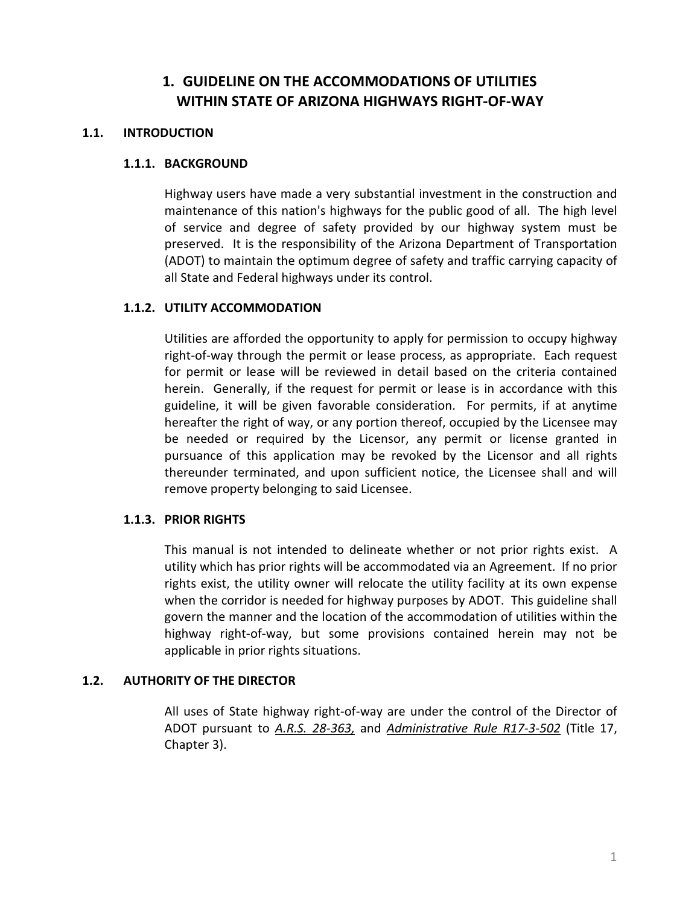# **1. GUIDELINE ON THE ACCOMMODATIONS OF UTILITIES WITHIN STATE OF ARIZONA HIGHWAYS RIGHT-OF-WAY**

## <span id="page-9-2"></span><span id="page-9-1"></span><span id="page-9-0"></span>**1.1. INTRODUCTION**

#### **1.1.1. BACKGROUND**

Highway users have made a very substantial investment in the construction and maintenance of this nation's highways for the public good of all. The high level of service and degree of safety provided by our highway system must be preserved. It is the responsibility of the Arizona Department of Transportation (ADOT) to maintain the optimum degree of safety and traffic carrying capacity of all State and Federal highways under its control.

#### <span id="page-9-3"></span>**1.1.2. UTILITY ACCOMMODATION**

Utilities are afforded the opportunity to apply for permission to occupy highway right-of-way through the permit or lease process, as appropriate. Each request for permit or lease will be reviewed in detail based on the criteria contained herein. Generally, if the request for permit or lease is in accordance with this guideline, it will be given favorable consideration. For permits, if at anytime hereafter the right of way, or any portion thereof, occupied by the Licensee may be needed or required by the Licensor, any permit or license granted in pursuance of this application may be revoked by the Licensor and all rights thereunder terminated, and upon sufficient notice, the Licensee shall and will remove property belonging to said Licensee.

## <span id="page-9-4"></span>**1.1.3. PRIOR RIGHTS**

This manual is not intended to delineate whether or not prior rights exist. A utility which has prior rights will be accommodated via an Agreement. If no prior rights exist, the utility owner will relocate the utility facility at its own expense when the corridor is needed for highway purposes by ADOT. This guideline shall govern the manner and the location of the accommodation of utilities within the highway right-of-way, but some provisions contained herein may not be applicable in prior rights situations.

## <span id="page-9-5"></span>**1.2. AUTHORITY OF THE DIRECTOR**

All uses of State highway right-of-way are under the control of the Director of ADOT pursuant to *[A.R.S. 28-363,](http://www.azleg.state.az.us/FormatDocument.asp?inDoc=/ars/28/00363.htm&Title=28&DocType=ARS)* and *[Administrative Rule R17-3-502](http://www.azsos.gov/rules/arizona-administrative-code)* (Title 17, Chapter 3).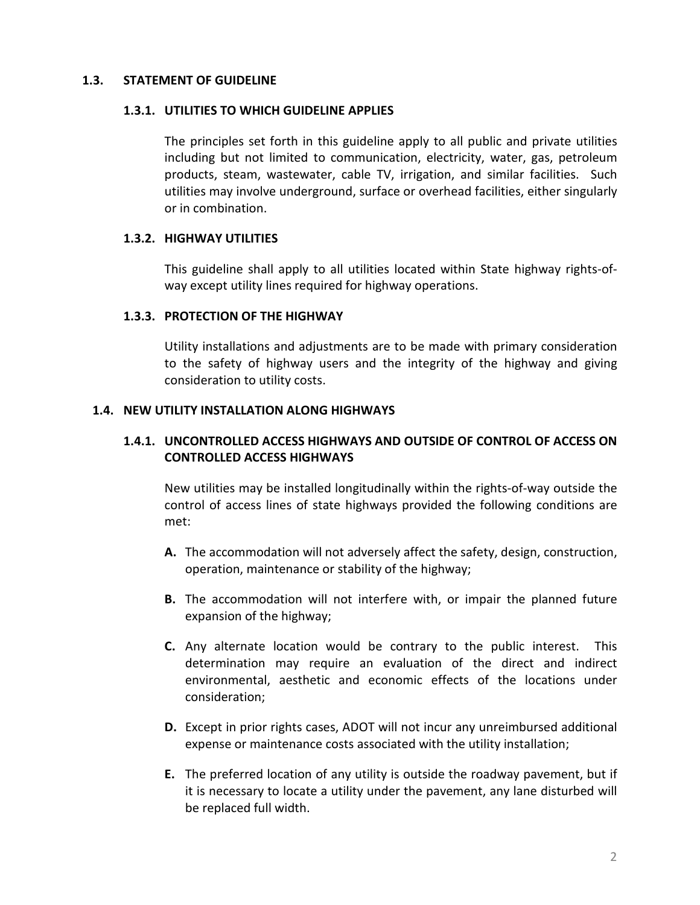## <span id="page-10-1"></span><span id="page-10-0"></span>**1.3. STATEMENT OF GUIDELINE**

#### **1.3.1. UTILITIES TO WHICH GUIDELINE APPLIES**

The principles set forth in this guideline apply to all public and private utilities including but not limited to communication, electricity, water, gas, petroleum products, steam, wastewater, cable TV, irrigation, and similar facilities. Such utilities may involve underground, surface or overhead facilities, either singularly or in combination.

## <span id="page-10-2"></span>**1.3.2. HIGHWAY UTILITIES**

This guideline shall apply to all utilities located within State highway rights-ofway except utility lines required for highway operations.

#### <span id="page-10-3"></span>**1.3.3. PROTECTION OF THE HIGHWAY**

Utility installations and adjustments are to be made with primary consideration to the safety of highway users and the integrity of the highway and giving consideration to utility costs.

#### <span id="page-10-5"></span><span id="page-10-4"></span>**1.4. NEW UTILITY INSTALLATION ALONG HIGHWAYS**

## **1.4.1. UNCONTROLLED ACCESS HIGHWAYS AND OUTSIDE OF CONTROL OF ACCESS ON CONTROLLED ACCESS HIGHWAYS**

New utilities may be installed longitudinally within the rights-of-way outside the control of access lines of state highways provided the following conditions are met:

- **A.** The accommodation will not adversely affect the safety, design, construction, operation, maintenance or stability of the highway;
- **B.** The accommodation will not interfere with, or impair the planned future expansion of the highway;
- **C.** Any alternate location would be contrary to the public interest. This determination may require an evaluation of the direct and indirect environmental, aesthetic and economic effects of the locations under consideration;
- **D.** Except in prior rights cases, ADOT will not incur any unreimbursed additional expense or maintenance costs associated with the utility installation;
- **E.** The preferred location of any utility is outside the roadway pavement, but if it is necessary to locate a utility under the pavement, any lane disturbed will be replaced full width.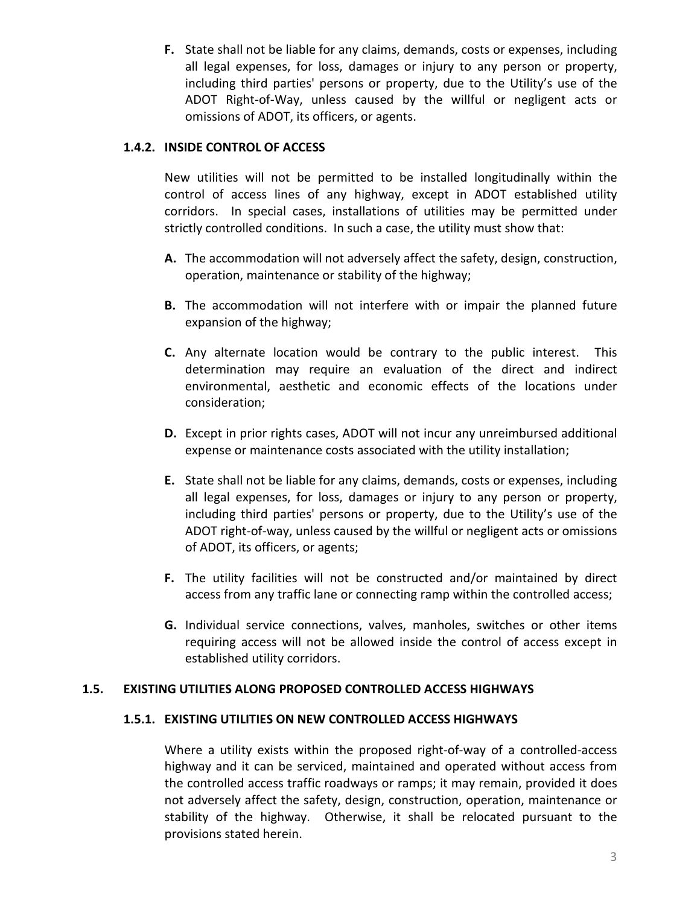**F.** State shall not be liable for any claims, demands, costs or expenses, including all legal expenses, for loss, damages or injury to any person or property, including third parties' persons or property, due to the Utility's use of the ADOT Right-of-Way, unless caused by the willful or negligent acts or omissions of ADOT, its officers, or agents.

# <span id="page-11-0"></span>**1.4.2. INSIDE CONTROL OF ACCESS**

New utilities will not be permitted to be installed longitudinally within the control of access lines of any highway, except in ADOT established utility corridors. In special cases, installations of utilities may be permitted under strictly controlled conditions. In such a case, the utility must show that:

- **A.** The accommodation will not adversely affect the safety, design, construction, operation, maintenance or stability of the highway;
- **B.** The accommodation will not interfere with or impair the planned future expansion of the highway;
- **C.** Any alternate location would be contrary to the public interest. This determination may require an evaluation of the direct and indirect environmental, aesthetic and economic effects of the locations under consideration;
- **D.** Except in prior rights cases, ADOT will not incur any unreimbursed additional expense or maintenance costs associated with the utility installation;
- **E.** State shall not be liable for any claims, demands, costs or expenses, including all legal expenses, for loss, damages or injury to any person or property, including third parties' persons or property, due to the Utility's use of the ADOT right-of-way, unless caused by the willful or negligent acts or omissions of ADOT, its officers, or agents;
- **F.** The utility facilities will not be constructed and/or maintained by direct access from any traffic lane or connecting ramp within the controlled access;
- **G.** Individual service connections, valves, manholes, switches or other items requiring access will not be allowed inside the control of access except in established utility corridors.

## <span id="page-11-2"></span><span id="page-11-1"></span>**1.5. EXISTING UTILITIES ALONG PROPOSED CONTROLLED ACCESS HIGHWAYS**

#### **1.5.1. EXISTING UTILITIES ON NEW CONTROLLED ACCESS HIGHWAYS**

Where a utility exists within the proposed right-of-way of a controlled-access highway and it can be serviced, maintained and operated without access from the controlled access traffic roadways or ramps; it may remain, provided it does not adversely affect the safety, design, construction, operation, maintenance or stability of the highway. Otherwise, it shall be relocated pursuant to the provisions stated herein.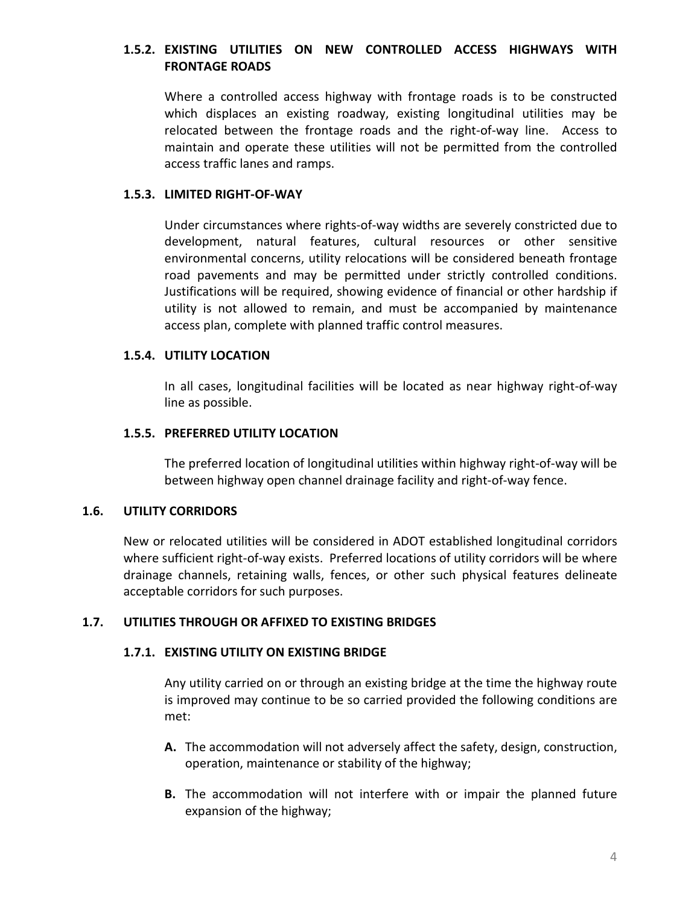# <span id="page-12-0"></span>**1.5.2. EXISTING UTILITIES ON NEW CONTROLLED ACCESS HIGHWAYS WITH FRONTAGE ROADS**

Where a controlled access highway with frontage roads is to be constructed which displaces an existing roadway, existing longitudinal utilities may be relocated between the frontage roads and the right-of-way line. Access to maintain and operate these utilities will not be permitted from the controlled access traffic lanes and ramps.

## <span id="page-12-1"></span>**1.5.3. LIMITED RIGHT-OF-WAY**

Under circumstances where rights-of-way widths are severely constricted due to development, natural features, cultural resources or other sensitive environmental concerns, utility relocations will be considered beneath frontage road pavements and may be permitted under strictly controlled conditions. Justifications will be required, showing evidence of financial or other hardship if utility is not allowed to remain, and must be accompanied by maintenance access plan, complete with planned traffic control measures.

## <span id="page-12-2"></span>**1.5.4. UTILITY LOCATION**

In all cases, longitudinal facilities will be located as near highway right-of-way line as possible.

#### <span id="page-12-3"></span>**1.5.5. PREFERRED UTILITY LOCATION**

The preferred location of longitudinal utilities within highway right-of-way will be between highway open channel drainage facility and right-of-way fence.

#### <span id="page-12-4"></span>**1.6. UTILITY CORRIDORS**

New or relocated utilities will be considered in ADOT established longitudinal corridors where sufficient right-of-way exists. Preferred locations of utility corridors will be where drainage channels, retaining walls, fences, or other such physical features delineate acceptable corridors for such purposes.

## <span id="page-12-6"></span><span id="page-12-5"></span>**1.7. UTILITIES THROUGH OR AFFIXED TO EXISTING BRIDGES**

## **1.7.1. EXISTING UTILITY ON EXISTING BRIDGE**

Any utility carried on or through an existing bridge at the time the highway route is improved may continue to be so carried provided the following conditions are met:

- **A.** The accommodation will not adversely affect the safety, design, construction, operation, maintenance or stability of the highway;
- **B.** The accommodation will not interfere with or impair the planned future expansion of the highway;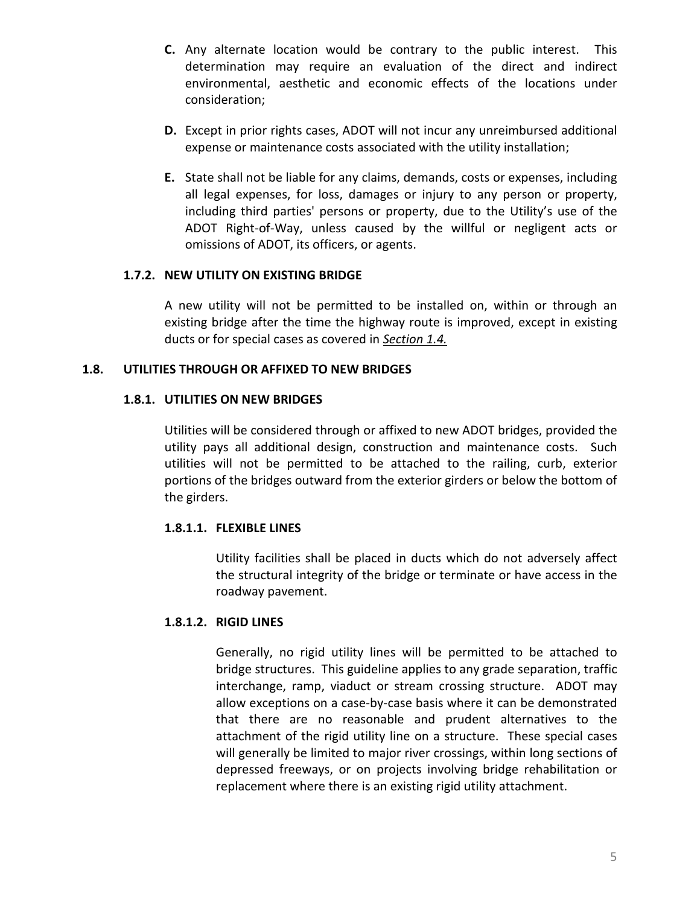- **C.** Any alternate location would be contrary to the public interest. This determination may require an evaluation of the direct and indirect environmental, aesthetic and economic effects of the locations under consideration;
- **D.** Except in prior rights cases, ADOT will not incur any unreimbursed additional expense or maintenance costs associated with the utility installation;
- **E.** State shall not be liable for any claims, demands, costs or expenses, including all legal expenses, for loss, damages or injury to any person or property, including third parties' persons or property, due to the Utility's use of the ADOT Right-of-Way, unless caused by the willful or negligent acts or omissions of ADOT, its officers, or agents.

## <span id="page-13-0"></span>**1.7.2. NEW UTILITY ON EXISTING BRIDGE**

A new utility will not be permitted to be installed on, within or through an existing bridge after the time the highway route is improved, except in existing ducts or for special cases as covered in *[Section 1.4.](#page-10-4)*

# <span id="page-13-2"></span><span id="page-13-1"></span>**1.8. UTILITIES THROUGH OR AFFIXED TO NEW BRIDGES**

# **1.8.1. UTILITIES ON NEW BRIDGES**

Utilities will be considered through or affixed to new ADOT bridges, provided the utility pays all additional design, construction and maintenance costs. Such utilities will not be permitted to be attached to the railing, curb, exterior portions of the bridges outward from the exterior girders or below the bottom of the girders.

# <span id="page-13-3"></span>**1.8.1.1. FLEXIBLE LINES**

Utility facilities shall be placed in ducts which do not adversely affect the structural integrity of the bridge or terminate or have access in the roadway pavement.

# <span id="page-13-4"></span>**1.8.1.2. RIGID LINES**

Generally, no rigid utility lines will be permitted to be attached to bridge structures. This guideline applies to any grade separation, traffic interchange, ramp, viaduct or stream crossing structure. ADOT may allow exceptions on a case-by-case basis where it can be demonstrated that there are no reasonable and prudent alternatives to the attachment of the rigid utility line on a structure. These special cases will generally be limited to major river crossings, within long sections of depressed freeways, or on projects involving bridge rehabilitation or replacement where there is an existing rigid utility attachment.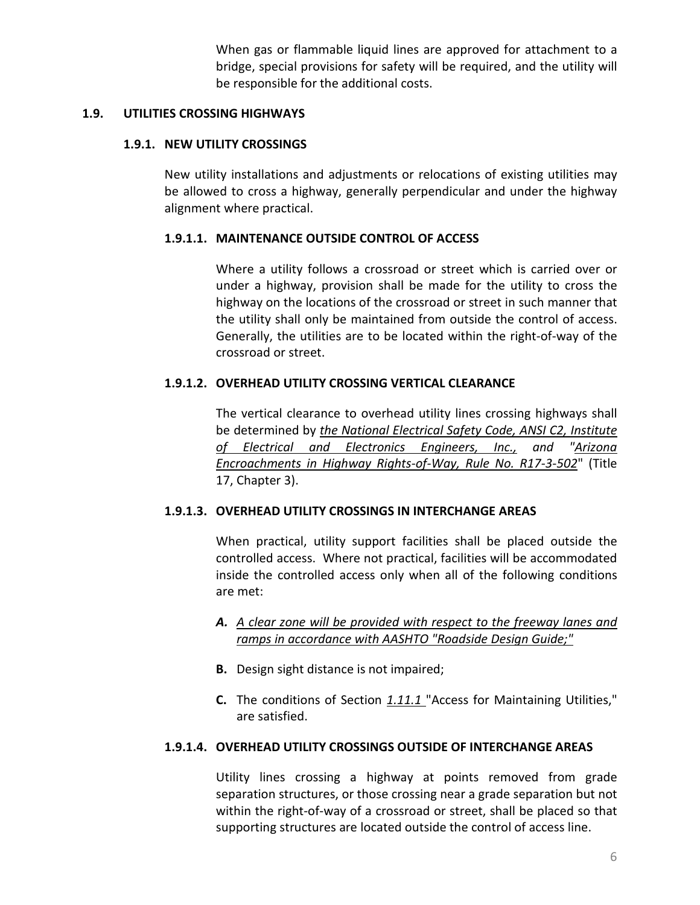When gas or flammable liquid lines are approved for attachment to a bridge, special provisions for safety will be required, and the utility will be responsible for the additional costs.

## <span id="page-14-1"></span><span id="page-14-0"></span>**1.9. UTILITIES CROSSING HIGHWAYS**

## **1.9.1. NEW UTILITY CROSSINGS**

New utility installations and adjustments or relocations of existing utilities may be allowed to cross a highway, generally perpendicular and under the highway alignment where practical.

## <span id="page-14-2"></span>**1.9.1.1. MAINTENANCE OUTSIDE CONTROL OF ACCESS**

Where a utility follows a crossroad or street which is carried over or under a highway, provision shall be made for the utility to cross the highway on the locations of the crossroad or street in such manner that the utility shall only be maintained from outside the control of access. Generally, the utilities are to be located within the right-of-way of the crossroad or street.

#### <span id="page-14-3"></span>**1.9.1.2. OVERHEAD UTILITY CROSSING VERTICAL CLEARANCE**

The vertical clearance to overhead utility lines crossing highways shall be determined by *[the National Electrical Safety Code, ANSI C2, Institute](http://standards.ieee.org/nesc/index.html)  [of Electrical and Electronics Engineers, Inc.,](http://standards.ieee.org/nesc/index.html) and ["Arizona](http://www.azsos.gov/rules/arizona-administrative-code)  [Encroachments in Highway Rights-of-Way, Rule No. R17-3-502](http://www.azsos.gov/rules/arizona-administrative-code)*" (Title 17, Chapter 3).

## <span id="page-14-4"></span>**1.9.1.3. OVERHEAD UTILITY CROSSINGS IN INTERCHANGE AREAS**

When practical, utility support facilities shall be placed outside the controlled access. Where not practical, facilities will be accommodated inside the controlled access only when all of the following conditions are met:

- *A. [A clear zone will be provided with respect to the freeway lanes and](http://www.fhwa.dot.gov/programadmin/clearzone.cfm)  [ramps in accordance with AASHTO "Roadside Design Guide;"](http://www.fhwa.dot.gov/programadmin/clearzone.cfm)*
- **B.** Design sight distance is not impaired;
- **C.** The conditions of Section *[1.11.1](#page-16-1)* "Access for Maintaining Utilities," are satisfied.

## <span id="page-14-5"></span>**1.9.1.4. OVERHEAD UTILITY CROSSINGS OUTSIDE OF INTERCHANGE AREAS**

Utility lines crossing a highway at points removed from grade separation structures, or those crossing near a grade separation but not within the right-of-way of a crossroad or street, shall be placed so that supporting structures are located outside the control of access line.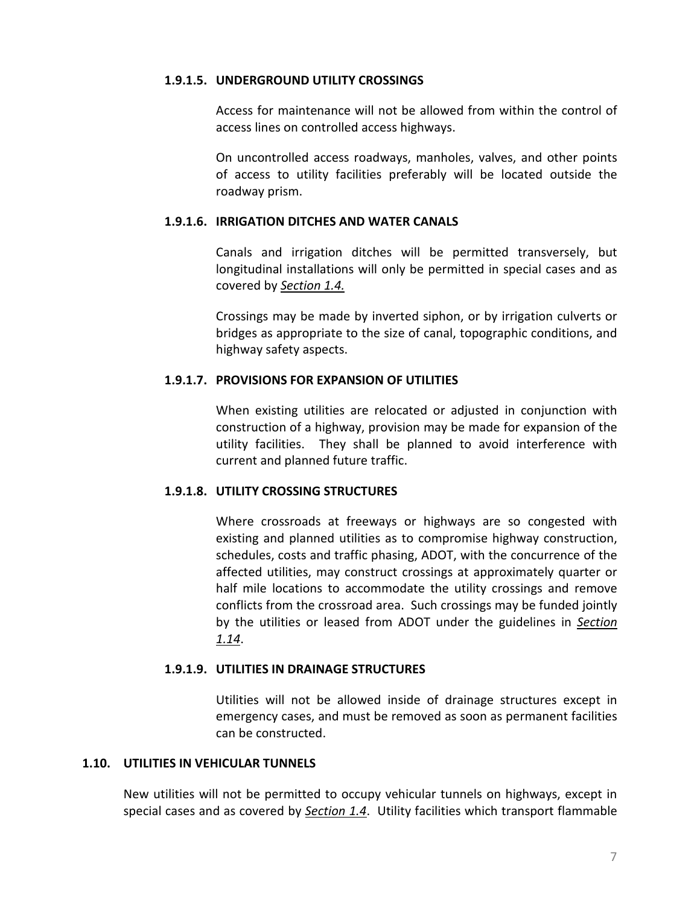#### <span id="page-15-0"></span>**1.9.1.5. UNDERGROUND UTILITY CROSSINGS**

Access for maintenance will not be allowed from within the control of access lines on controlled access highways.

On uncontrolled access roadways, manholes, valves, and other points of access to utility facilities preferably will be located outside the roadway prism.

## <span id="page-15-1"></span>**1.9.1.6. IRRIGATION DITCHES AND WATER CANALS**

Canals and irrigation ditches will be permitted transversely, but longitudinal installations will only be permitted in special cases and as covered by *[Section 1.4.](#page-10-4)*

Crossings may be made by inverted siphon, or by irrigation culverts or bridges as appropriate to the size of canal, topographic conditions, and highway safety aspects.

## <span id="page-15-2"></span>**1.9.1.7. PROVISIONS FOR EXPANSION OF UTILITIES**

When existing utilities are relocated or adjusted in conjunction with construction of a highway, provision may be made for expansion of the utility facilities. They shall be planned to avoid interference with current and planned future traffic.

## <span id="page-15-3"></span>**1.9.1.8. UTILITY CROSSING STRUCTURES**

Where crossroads at freeways or highways are so congested with existing and planned utilities as to compromise highway construction, schedules, costs and traffic phasing, ADOT, with the concurrence of the affected utilities, may construct crossings at approximately quarter or half mile locations to accommodate the utility crossings and remove conflicts from the crossroad area. Such crossings may be funded jointly by the utilities or leased from ADOT under the guidelines in *[Section](#page-18-0)  [1.14](#page-18-0)*.

## <span id="page-15-4"></span>**1.9.1.9. UTILITIES IN DRAINAGE STRUCTURES**

Utilities will not be allowed inside of drainage structures except in emergency cases, and must be removed as soon as permanent facilities can be constructed.

## <span id="page-15-5"></span>**1.10. UTILITIES IN VEHICULAR TUNNELS**

New utilities will not be permitted to occupy vehicular tunnels on highways, except in special cases and as covered by *[Section 1.4](#page-10-4)*. Utility facilities which transport flammable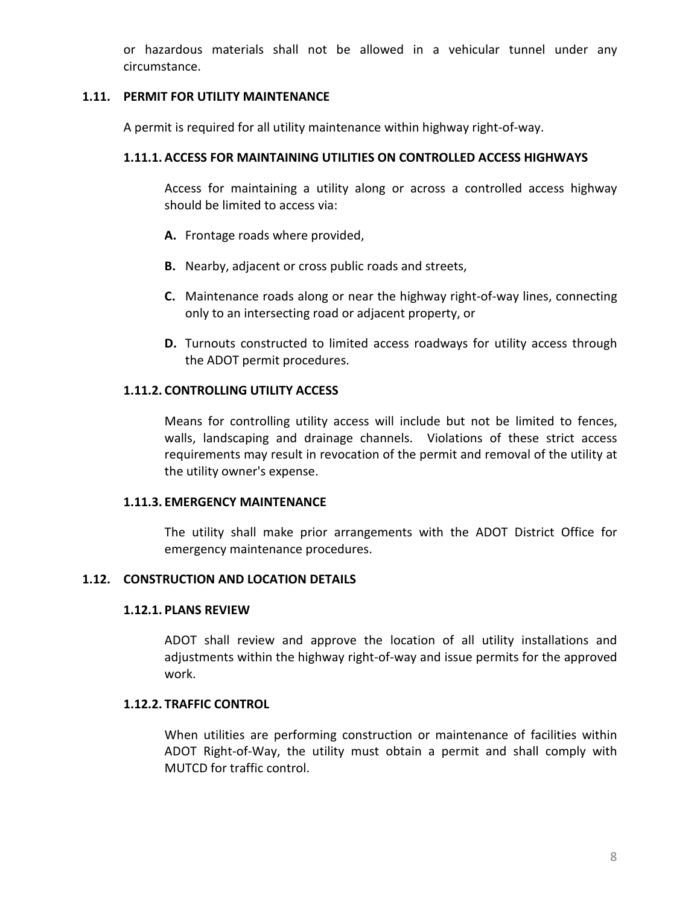or hazardous materials shall not be allowed in a vehicular tunnel under any circumstance.

#### <span id="page-16-0"></span>**1.11. PERMIT FOR UTILITY MAINTENANCE**

A permit is required for all utility maintenance within highway right-of-way.

# <span id="page-16-1"></span>**1.11.1. ACCESS FOR MAINTAINING UTILITIES ON CONTROLLED ACCESS HIGHWAYS**

Access for maintaining a utility along or across a controlled access highway should be limited to access via:

- **A.** Frontage roads where provided,
- **B.** Nearby, adjacent or cross public roads and streets,
- **C.** Maintenance roads along or near the highway right-of-way lines, connecting only to an intersecting road or adjacent property, or
- **D.** Turnouts constructed to limited access roadways for utility access through the ADOT permit procedures.

#### <span id="page-16-2"></span>**1.11.2. CONTROLLING UTILITY ACCESS**

Means for controlling utility access will include but not be limited to fences, walls, landscaping and drainage channels. Violations of these strict access requirements may result in revocation of the permit and removal of the utility at the utility owner's expense.

#### <span id="page-16-3"></span>**1.11.3. EMERGENCY MAINTENANCE**

The utility shall make prior arrangements with the ADOT District Office for emergency maintenance procedures.

## <span id="page-16-5"></span><span id="page-16-4"></span>**1.12. CONSTRUCTION AND LOCATION DETAILS**

#### **1.12.1. PLANS REVIEW**

ADOT shall review and approve the location of all utility installations and adjustments within the highway right-of-way and issue permits for the approved work.

#### <span id="page-16-6"></span>**1.12.2. TRAFFIC CONTROL**

When utilities are performing construction or maintenance of facilities within ADOT Right-of-Way, the utility must obtain a permit and shall comply with MUTCD for traffic control.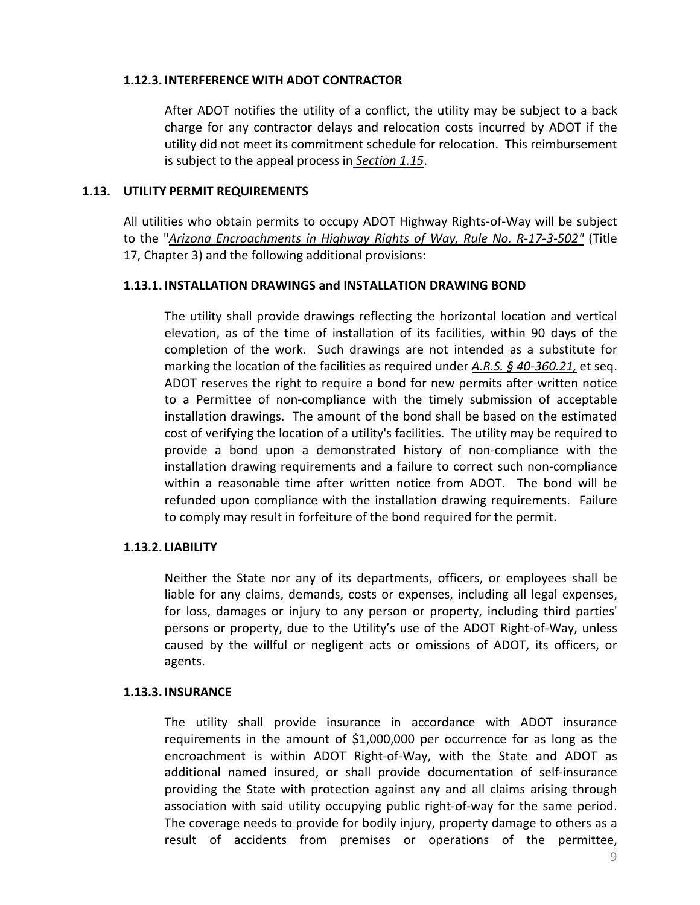#### <span id="page-17-0"></span>**1.12.3. INTERFERENCE WITH ADOT CONTRACTOR**

After ADOT notifies the utility of a conflict, the utility may be subject to a back charge for any contractor delays and relocation costs incurred by ADOT if the utility did not meet its commitment schedule for relocation. This reimbursement is subject to the appeal process in *[Section 1.15](#page-18-3)*.

#### <span id="page-17-1"></span>**1.13. UTILITY PERMIT REQUIREMENTS**

All utilities who obtain permits to occupy ADOT Highway Rights-of-Way will be subject to the "*[Arizona Encroachments in Highway Rights of Way, Rule No. R-17-3-502"](http://www.azsos.gov/rules/arizona-administrative-code)* (Title 17, Chapter 3) and the following additional provisions:

## <span id="page-17-2"></span>**1.13.1. INSTALLATION DRAWINGS and INSTALLATION DRAWING BOND**

The utility shall provide drawings reflecting the horizontal location and vertical elevation, as of the time of installation of its facilities, within 90 days of the completion of the work. Such drawings are not intended as a substitute for marking the location of the facilities as required under *[A.R.S. § 40-360.21,](http://www.azleg.state.az.us/FormatDocument.asp?inDoc=/ars/40/00360-21.htm&Title=40&DocType=ARS)* et seq. ADOT reserves the right to require a bond for new permits after written notice to a Permittee of non-compliance with the timely submission of acceptable installation drawings. The amount of the bond shall be based on the estimated cost of verifying the location of a utility's facilities. The utility may be required to provide a bond upon a demonstrated history of non-compliance with the installation drawing requirements and a failure to correct such non-compliance within a reasonable time after written notice from ADOT. The bond will be refunded upon compliance with the installation drawing requirements. Failure to comply may result in forfeiture of the bond required for the permit.

## <span id="page-17-3"></span>**1.13.2. LIABILITY**

Neither the State nor any of its departments, officers, or employees shall be liable for any claims, demands, costs or expenses, including all legal expenses, for loss, damages or injury to any person or property, including third parties' persons or property, due to the Utility's use of the ADOT Right-of-Way, unless caused by the willful or negligent acts or omissions of ADOT, its officers, or agents.

#### <span id="page-17-4"></span>**1.13.3. INSURANCE**

The utility shall provide insurance in accordance with ADOT insurance requirements in the amount of \$1,000,000 per occurrence for as long as the encroachment is within ADOT Right-of-Way, with the State and ADOT as additional named insured, or shall provide documentation of self-insurance providing the State with protection against any and all claims arising through association with said utility occupying public right-of-way for the same period. The coverage needs to provide for bodily injury, property damage to others as a result of accidents from premises or operations of the permittee,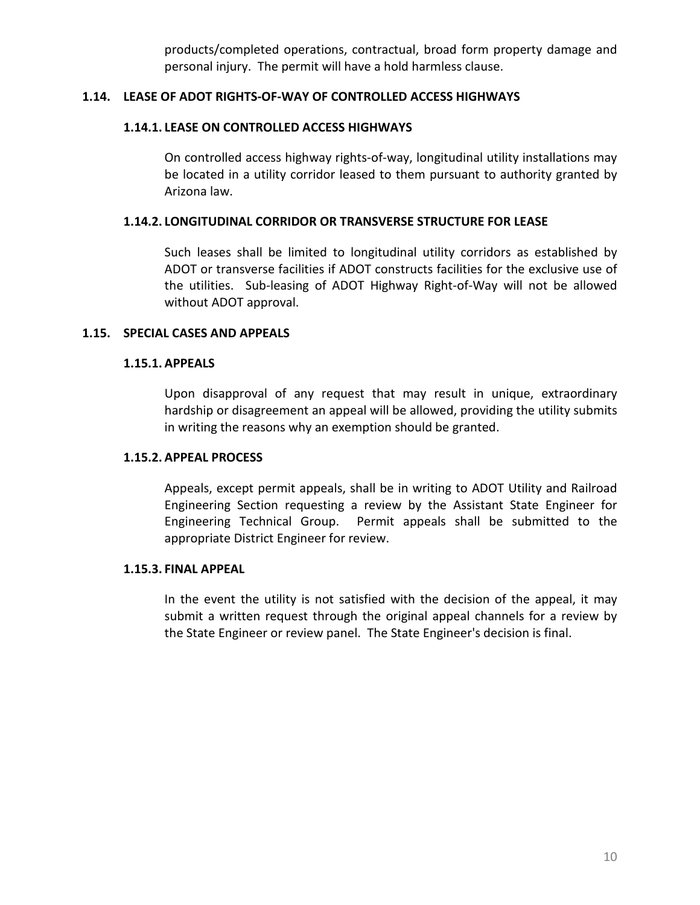products/completed operations, contractual, broad form property damage and personal injury. The permit will have a hold harmless clause.

## <span id="page-18-1"></span><span id="page-18-0"></span>**1.14. LEASE OF ADOT RIGHTS-OF-WAY OF CONTROLLED ACCESS HIGHWAYS**

#### **1.14.1. LEASE ON CONTROLLED ACCESS HIGHWAYS**

On controlled access highway rights-of-way, longitudinal utility installations may be located in a utility corridor leased to them pursuant to authority granted by Arizona law.

#### <span id="page-18-2"></span>**1.14.2. LONGITUDINAL CORRIDOR OR TRANSVERSE STRUCTURE FOR LEASE**

Such leases shall be limited to longitudinal utility corridors as established by ADOT or transverse facilities if ADOT constructs facilities for the exclusive use of the utilities. Sub-leasing of ADOT Highway Right-of-Way will not be allowed without ADOT approval.

#### <span id="page-18-4"></span><span id="page-18-3"></span>**1.15. SPECIAL CASES AND APPEALS**

#### **1.15.1. APPEALS**

Upon disapproval of any request that may result in unique, extraordinary hardship or disagreement an appeal will be allowed, providing the utility submits in writing the reasons why an exemption should be granted.

#### <span id="page-18-5"></span>**1.15.2. APPEAL PROCESS**

Appeals, except permit appeals, shall be in writing to ADOT Utility and Railroad Engineering Section requesting a review by the Assistant State Engineer for Engineering Technical Group. Permit appeals shall be submitted to the appropriate District Engineer for review.

#### <span id="page-18-6"></span>**1.15.3. FINAL APPEAL**

In the event the utility is not satisfied with the decision of the appeal, it may submit a written request through the original appeal channels for a review by the State Engineer or review panel. The State Engineer's decision is final.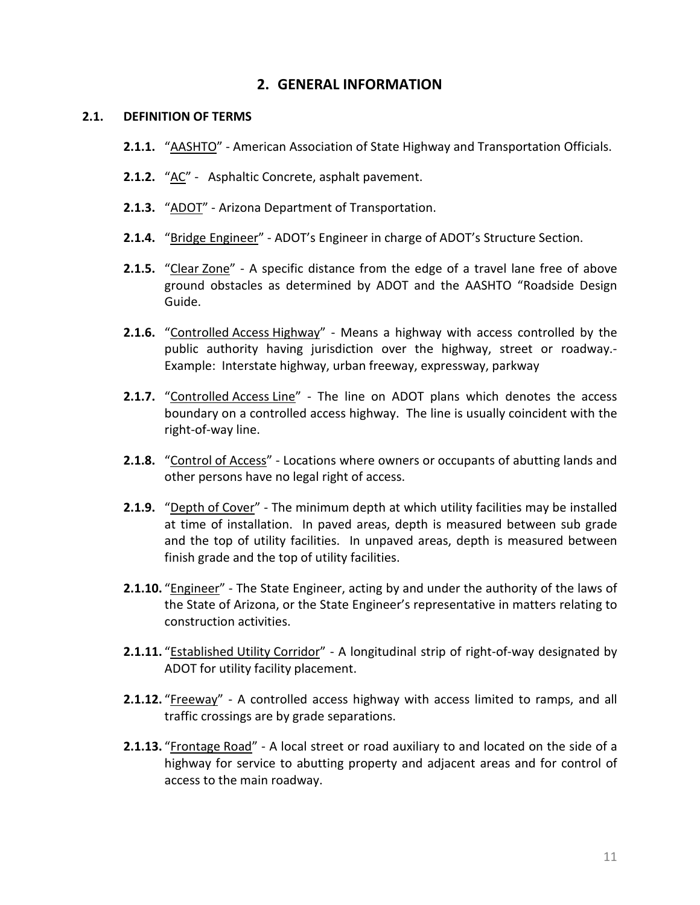# **2. GENERAL INFORMATION**

#### <span id="page-19-1"></span><span id="page-19-0"></span>**2.1. DEFINITION OF TERMS**

- **2.1.1.** "AASHTO" American Association of State Highway and Transportation Officials.
- **2.1.2.** "AC" Asphaltic Concrete, asphalt pavement.
- **2.1.3.** "ADOT" Arizona Department of Transportation.
- **2.1.4.** "Bridge Engineer" ADOT's Engineer in charge of ADOT's Structure Section.
- **2.1.5.** "Clear Zone" A specific distance from the edge of a travel lane free of above ground obstacles as determined by ADOT and the AASHTO "Roadside Design Guide.
- **2.1.6.** "Controlled Access Highway" Means a highway with access controlled by the public authority having jurisdiction over the highway, street or roadway.- Example: Interstate highway, urban freeway, expressway, parkway
- **2.1.7.** "Controlled Access Line" The line on ADOT plans which denotes the access boundary on a controlled access highway. The line is usually coincident with the right-of-way line.
- **2.1.8.** "Control of Access" Locations where owners or occupants of abutting lands and other persons have no legal right of access.
- <span id="page-19-2"></span>**2.1.9.** "Depth of Cover" - The minimum depth at which utility facilities may be installed at time of installation. In paved areas, depth is measured between sub grade and the top of utility facilities. In unpaved areas, depth is measured between finish grade and the top of utility facilities.
- **2.1.10.** "Engineer" The State Engineer, acting by and under the authority of the laws of the State of Arizona, or the State Engineer's representative in matters relating to construction activities.
- 2.1.11. "Established Utility Corridor" A longitudinal strip of right-of-way designated by ADOT for utility facility placement.
- **2.1.12.** "Freeway" A controlled access highway with access limited to ramps, and all traffic crossings are by grade separations.
- **2.1.13.** "Frontage Road" A local street or road auxiliary to and located on the side of a highway for service to abutting property and adjacent areas and for control of access to the main roadway.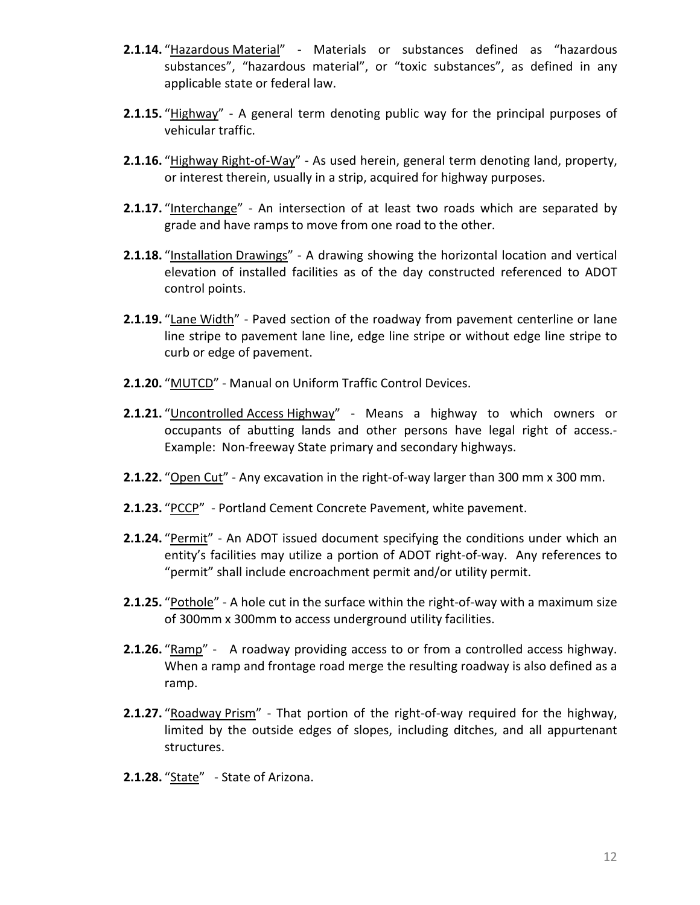- **2.1.14.** "Hazardous Material" Materials or substances defined as "hazardous substances", "hazardous material", or "toxic substances", as defined in any applicable state or federal law.
- **2.1.15.** "Highway" A general term denoting public way for the principal purposes of vehicular traffic.
- **2.1.16.** "Highway Right-of-Way" As used herein, general term denoting land, property, or interest therein, usually in a strip, acquired for highway purposes.
- **2.1.17.** "Interchange" An intersection of at least two roads which are separated by grade and have ramps to move from one road to the other.
- **2.1.18.** "Installation Drawings" A drawing showing the horizontal location and vertical elevation of installed facilities as of the day constructed referenced to ADOT control points.
- **2.1.19.** "Lane Width" Paved section of the roadway from pavement centerline or lane line stripe to pavement lane line, edge line stripe or without edge line stripe to curb or edge of pavement.
- **2.1.20.** "MUTCD" Manual on Uniform Traffic Control Devices.
- **2.1.21.** "Uncontrolled Access Highway" Means a highway to which owners or occupants of abutting lands and other persons have legal right of access.- Example: Non-freeway State primary and secondary highways.
- **2.1.22.** "Open Cut" Any excavation in the right-of-way larger than 300 mm x 300 mm.
- **2.1.23.** "PCCP" Portland Cement Concrete Pavement, white pavement.
- **2.1.24.** "Permit" An ADOT issued document specifying the conditions under which an entity's facilities may utilize a portion of ADOT right-of-way. Any references to "permit" shall include encroachment permit and/or utility permit.
- **2.1.25.** "Pothole" A hole cut in the surface within the right-of-way with a maximum size of 300mm x 300mm to access underground utility facilities.
- **2.1.26.** "Ramp" A roadway providing access to or from a controlled access highway. When a ramp and frontage road merge the resulting roadway is also defined as a ramp.
- **2.1.27.** "Roadway Prism" That portion of the right-of-way required for the highway, limited by the outside edges of slopes, including ditches, and all appurtenant structures.
- 2.1.28. "State" State of Arizona.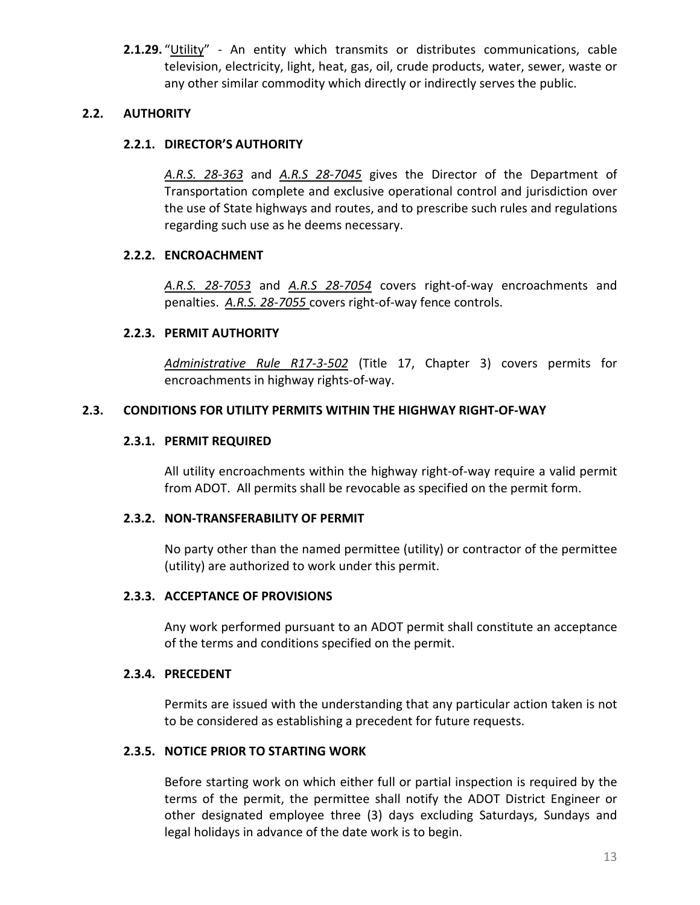**2.1.29.** "Utility" - An entity which transmits or distributes communications, cable television, electricity, light, heat, gas, oil, crude products, water, sewer, waste or any other similar commodity which directly or indirectly serves the public.

## <span id="page-21-1"></span><span id="page-21-0"></span>**2.2. AUTHORITY**

## **2.2.1. DIRECTOR'S AUTHORITY**

*[A.R.S. 28-363](http://www.azleg.state.az.us/FormatDocument.asp?inDoc=/ars/28/00363.htm&Title=28&DocType=ARS)* and *[A.R.S 28-7045](http://www.azleg.state.az.us/FormatDocument.asp?inDoc=/ars/28/07045.htm&Title=28&DocType=ARS)* gives the Director of the Department of Transportation complete and exclusive operational control and jurisdiction over the use of State highways and routes, and to prescribe such rules and regulations regarding such use as he deems necessary.

## <span id="page-21-2"></span>**2.2.2. ENCROACHMENT**

*[A.R.S. 28-7053](http://www.azleg.state.az.us/FormatDocument.asp?inDoc=/ars/28/07053.htm&Title=28&DocType=ARS)* and *[A.R.S 28-7054](http://www.azleg.state.az.us/FormatDocument.asp?inDoc=/ars/28/07054.htm&Title=28&DocType=ARS)* covers right-of-way encroachments and penalties. *[A.R.S. 28-7055](http://www.azleg.state.az.us/FormatDocument.asp?inDoc=/ars/28/07055.htm&Title=28&DocType=ARS)* covers right-of-way fence controls.

## <span id="page-21-3"></span>**2.2.3. PERMIT AUTHORITY**

*[Administrative Rule R17-3-502](http://www.azsos.gov/rules/arizona-administrative-code)* (Title 17, Chapter 3) covers permits for encroachments in highway rights-of-way.

# <span id="page-21-5"></span><span id="page-21-4"></span>**2.3. CONDITIONS FOR UTILITY PERMITS WITHIN THE HIGHWAY RIGHT-OF-WAY**

## **2.3.1. PERMIT REQUIRED**

All utility encroachments within the highway right-of-way require a valid permit from ADOT. All permits shall be revocable as specified on the permit form.

## <span id="page-21-6"></span>**2.3.2. NON-TRANSFERABILITY OF PERMIT**

No party other than the named permittee (utility) or contractor of the permittee (utility) are authorized to work under this permit.

## <span id="page-21-7"></span>**2.3.3. ACCEPTANCE OF PROVISIONS**

Any work performed pursuant to an ADOT permit shall constitute an acceptance of the terms and conditions specified on the permit.

# <span id="page-21-8"></span>**2.3.4. PRECEDENT**

Permits are issued with the understanding that any particular action taken is not to be considered as establishing a precedent for future requests.

## <span id="page-21-9"></span>**2.3.5. NOTICE PRIOR TO STARTING WORK**

Before starting work on which either full or partial inspection is required by the terms of the permit, the permittee shall notify the ADOT District Engineer or other designated employee three (3) days excluding Saturdays, Sundays and legal holidays in advance of the date work is to begin.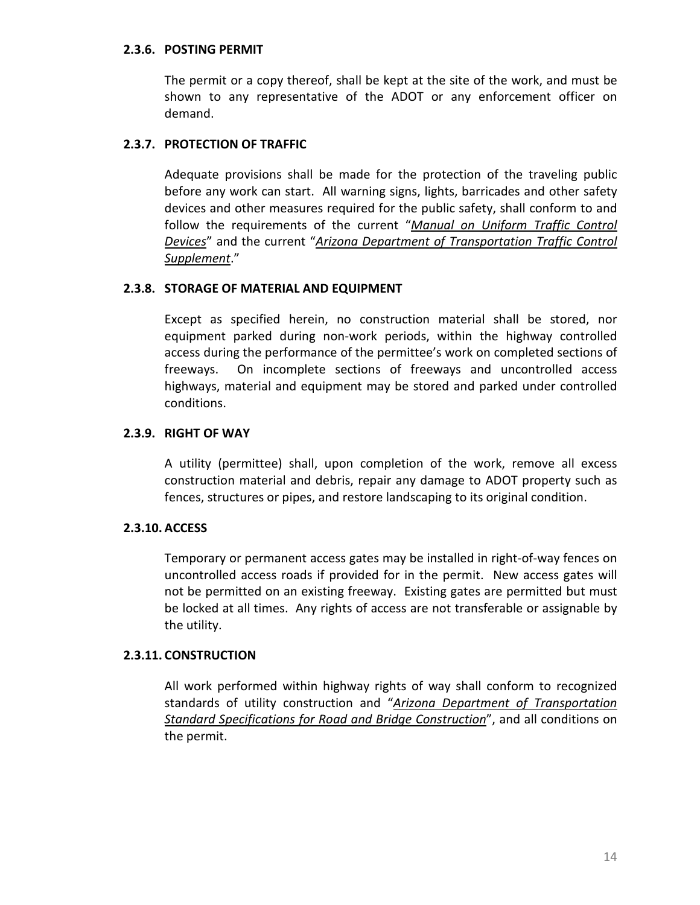#### <span id="page-22-0"></span>**2.3.6. POSTING PERMIT**

The permit or a copy thereof, shall be kept at the site of the work, and must be shown to any representative of the ADOT or any enforcement officer on demand.

## <span id="page-22-1"></span>**2.3.7. PROTECTION OF TRAFFIC**

Adequate provisions shall be made for the protection of the traveling public before any work can start. All warning signs, lights, barricades and other safety devices and other measures required for the public safety, shall conform to and follow the requirements of the current "*[Manual on Uniform Traffic Control](http://mutcd.fhwa.dot.gov/)  [Devices](http://mutcd.fhwa.dot.gov/)*" and the current "*[Arizona Department of Transportation Traffic Control](http://www.azdot.gov/business/engineering-and-construction/traffic/traffic-engineering-references)  [Supplement](http://www.azdot.gov/business/engineering-and-construction/traffic/traffic-engineering-references)*."

## <span id="page-22-2"></span>**2.3.8. STORAGE OF MATERIAL AND EQUIPMENT**

Except as specified herein, no construction material shall be stored, nor equipment parked during non-work periods, within the highway controlled access during the performance of the permittee's work on completed sections of freeways. On incomplete sections of freeways and uncontrolled access highways, material and equipment may be stored and parked under controlled conditions.

## <span id="page-22-3"></span>**2.3.9. RIGHT OF WAY**

A utility (permittee) shall, upon completion of the work, remove all excess construction material and debris, repair any damage to ADOT property such as fences, structures or pipes, and restore landscaping to its original condition.

## <span id="page-22-4"></span>**2.3.10. ACCESS**

Temporary or permanent access gates may be installed in right-of-way fences on uncontrolled access roads if provided for in the permit. New access gates will not be permitted on an existing freeway. Existing gates are permitted but must be locked at all times. Any rights of access are not transferable or assignable by the utility.

## <span id="page-22-5"></span>**2.3.11. CONSTRUCTION**

All work performed within highway rights of way shall conform to recognized standards of utility construction and "*[Arizona Department of Transportation](http://www.azdot.gov/business/ContractsandSpecifications/Specifications)  [Standard Specifications for Road and Bridge Construction](http://www.azdot.gov/business/ContractsandSpecifications/Specifications)*", and all conditions on the permit.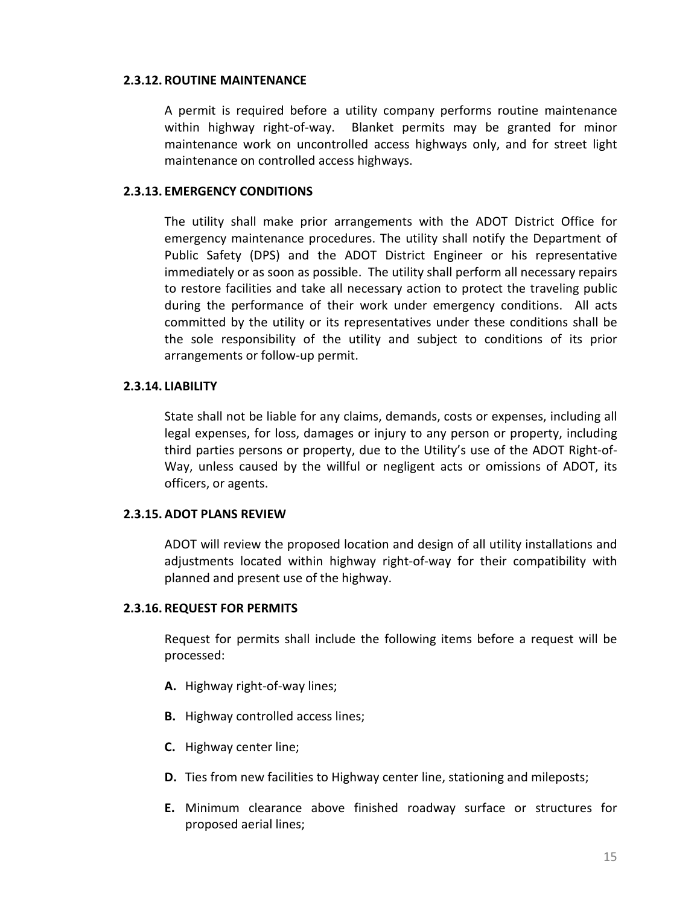#### <span id="page-23-0"></span>**2.3.12. ROUTINE MAINTENANCE**

A permit is required before a utility company performs routine maintenance within highway right-of-way. Blanket permits may be granted for minor maintenance work on uncontrolled access highways only, and for street light maintenance on controlled access highways.

#### <span id="page-23-1"></span>**2.3.13. EMERGENCY CONDITIONS**

The utility shall make prior arrangements with the ADOT District Office for emergency maintenance procedures. The utility shall notify the Department of Public Safety (DPS) and the ADOT District Engineer or his representative immediately or as soon as possible. The utility shall perform all necessary repairs to restore facilities and take all necessary action to protect the traveling public during the performance of their work under emergency conditions. All acts committed by the utility or its representatives under these conditions shall be the sole responsibility of the utility and subject to conditions of its prior arrangements or follow-up permit.

#### <span id="page-23-2"></span>**2.3.14. LIABILITY**

State shall not be liable for any claims, demands, costs or expenses, including all legal expenses, for loss, damages or injury to any person or property, including third parties persons or property, due to the Utility's use of the ADOT Right-of-Way, unless caused by the willful or negligent acts or omissions of ADOT, its officers, or agents.

## <span id="page-23-3"></span>**2.3.15. ADOT PLANS REVIEW**

ADOT will review the proposed location and design of all utility installations and adjustments located within highway right-of-way for their compatibility with planned and present use of the highway.

## <span id="page-23-4"></span>**2.3.16. REQUEST FOR PERMITS**

Request for permits shall include the following items before a request will be processed:

- **A.** Highway right-of-way lines;
- **B.** Highway controlled access lines;
- **C.** Highway center line;
- **D.** Ties from new facilities to Highway center line, stationing and mileposts;
- **E.** Minimum clearance above finished roadway surface or structures for proposed aerial lines;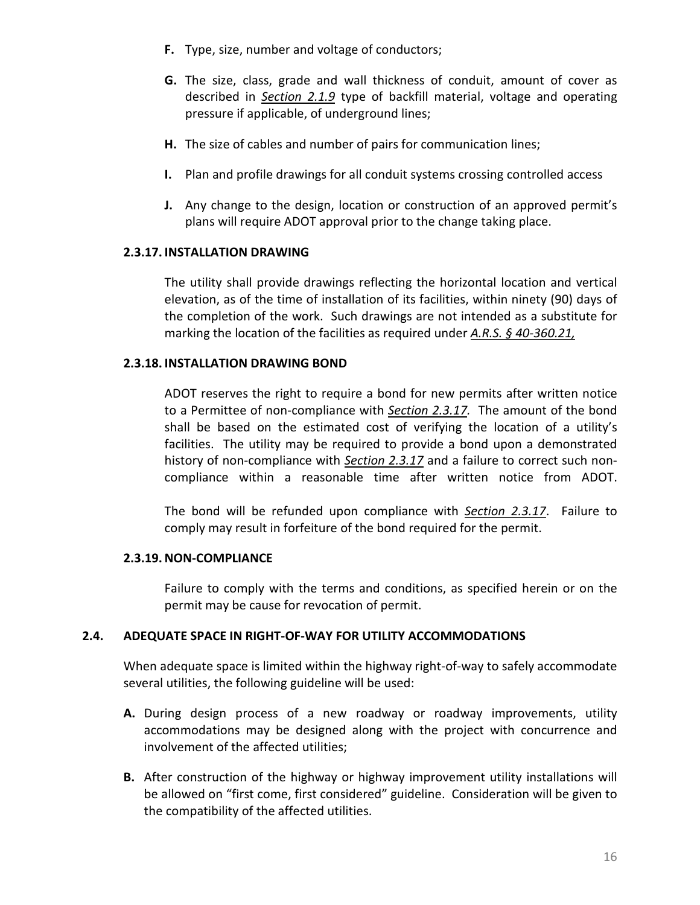- **F.** Type, size, number and voltage of conductors;
- **G.** The size, class, grade and wall thickness of conduit, amount of cover as described in *[Section 2.1.9](#page-19-2)* type of backfill material, voltage and operating pressure if applicable, of underground lines;
- **H.** The size of cables and number of pairs for communication lines;
- **I.** Plan and profile drawings for all conduit systems crossing controlled access
- **J.** Any change to the design, location or construction of an approved permit's plans will require ADOT approval prior to the change taking place.

## <span id="page-24-0"></span>**2.3.17. INSTALLATION DRAWING**

The utility shall provide drawings reflecting the horizontal location and vertical elevation, as of the time of installation of its facilities, within ninety (90) days of the completion of the work. Such drawings are not intended as a substitute for marking the location of the facilities as required under *[A.R.S. § 40-360.21,](http://www.azleg.state.az.us/FormatDocument.asp?inDoc=/ars/40/00360-21.htm&Title=40&DocType=ARS)*

#### <span id="page-24-1"></span>**2.3.18. INSTALLATION DRAWING BOND**

ADOT reserves the right to require a bond for new permits after written notice to a Permittee of non-compliance with *[Section 2.3.17.](#page-24-0)* The amount of the bond shall be based on the estimated cost of verifying the location of a utility's facilities. The utility may be required to provide a bond upon a demonstrated history of non-compliance with *[Section 2.3.17](#page-24-0)* and a failure to correct such noncompliance within a reasonable time after written notice from ADOT.

The bond will be refunded upon compliance with *[Section 2.3.17](#page-24-0)*. Failure to comply may result in forfeiture of the bond required for the permit.

## <span id="page-24-2"></span>**2.3.19.NON-COMPLIANCE**

Failure to comply with the terms and conditions, as specified herein or on the permit may be cause for revocation of permit.

## <span id="page-24-3"></span>**2.4. ADEQUATE SPACE IN RIGHT-OF-WAY FOR UTILITY ACCOMMODATIONS**

When adequate space is limited within the highway right-of-way to safely accommodate several utilities, the following guideline will be used:

- **A.** During design process of a new roadway or roadway improvements, utility accommodations may be designed along with the project with concurrence and involvement of the affected utilities;
- **B.** After construction of the highway or highway improvement utility installations will be allowed on "first come, first considered" guideline. Consideration will be given to the compatibility of the affected utilities.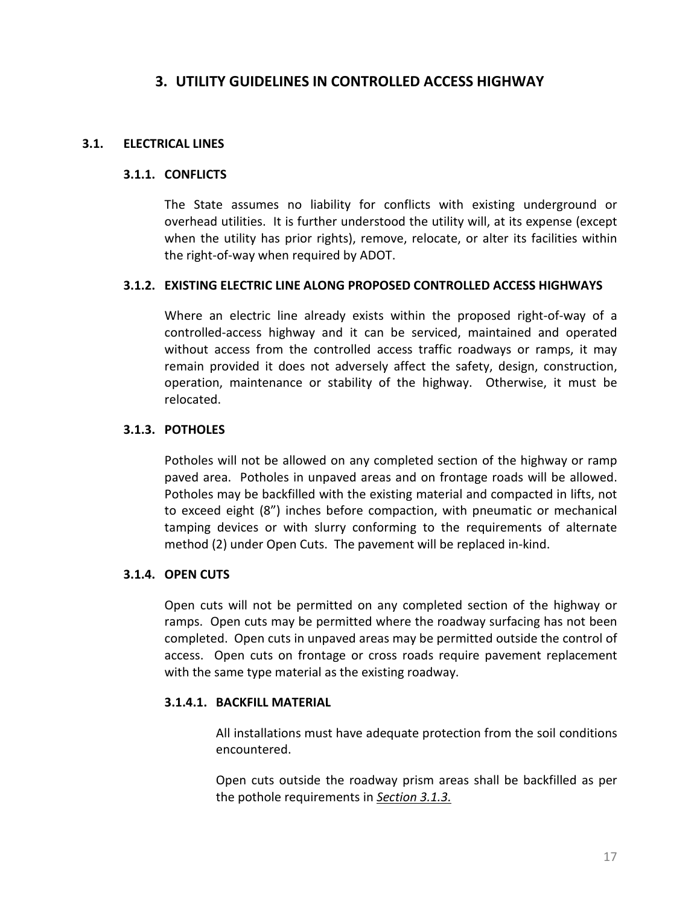# **3. UTILITY GUIDELINES IN CONTROLLED ACCESS HIGHWAY**

## <span id="page-25-2"></span><span id="page-25-1"></span><span id="page-25-0"></span>**3.1. ELECTRICAL LINES**

#### **3.1.1. CONFLICTS**

The State assumes no liability for conflicts with existing underground or overhead utilities. It is further understood the utility will, at its expense (except when the utility has prior rights), remove, relocate, or alter its facilities within the right-of-way when required by ADOT.

#### <span id="page-25-3"></span>**3.1.2. EXISTING ELECTRIC LINE ALONG PROPOSED CONTROLLED ACCESS HIGHWAYS**

Where an electric line already exists within the proposed right-of-way of a controlled-access highway and it can be serviced, maintained and operated without access from the controlled access traffic roadways or ramps, it may remain provided it does not adversely affect the safety, design, construction, operation, maintenance or stability of the highway. Otherwise, it must be relocated.

## <span id="page-25-4"></span>**3.1.3. POTHOLES**

Potholes will not be allowed on any completed section of the highway or ramp paved area. Potholes in unpaved areas and on frontage roads will be allowed. Potholes may be backfilled with the existing material and compacted in lifts, not to exceed eight (8") inches before compaction, with pneumatic or mechanical tamping devices or with slurry conforming to the requirements of alternate method (2) under Open Cuts. The pavement will be replaced in-kind.

## <span id="page-25-5"></span>**3.1.4. OPEN CUTS**

Open cuts will not be permitted on any completed section of the highway or ramps. Open cuts may be permitted where the roadway surfacing has not been completed. Open cuts in unpaved areas may be permitted outside the control of access. Open cuts on frontage or cross roads require pavement replacement with the same type material as the existing roadway.

## <span id="page-25-6"></span>**3.1.4.1. BACKFILL MATERIAL**

All installations must have adequate protection from the soil conditions encountered.

Open cuts outside the roadway prism areas shall be backfilled as per the pothole requirements in *[Section 3.1.3.](#page-25-4)*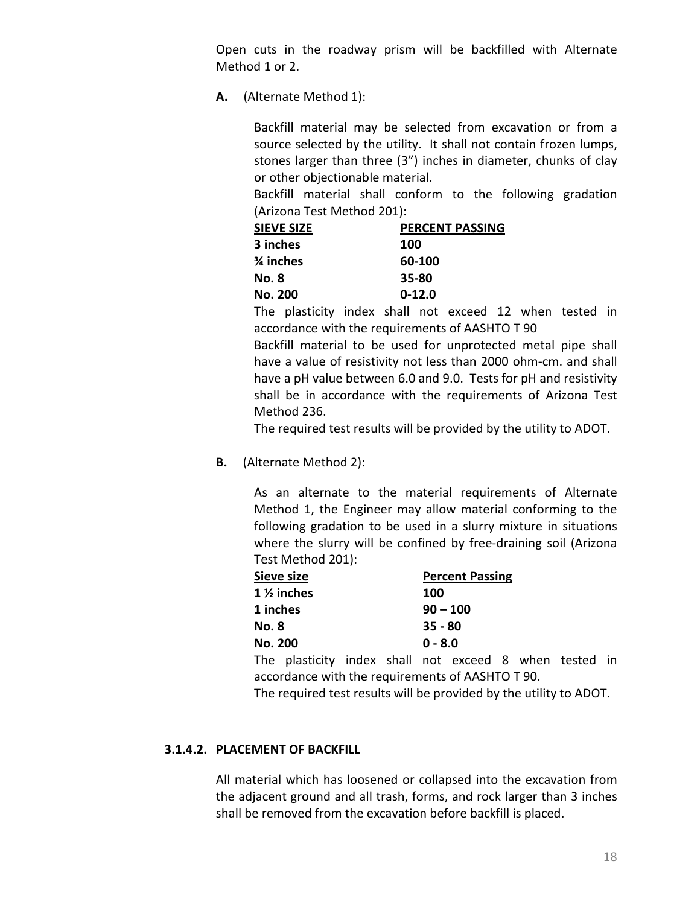Open cuts in the roadway prism will be backfilled with Alternate Method 1 or 2.

**A.** (Alternate Method 1):

Backfill material may be selected from excavation or from a source selected by the utility. It shall not contain frozen lumps, stones larger than three (3") inches in diameter, chunks of clay or other objectionable material.

Backfill material shall conform to the following gradation (Arizona Test Method 201):

| <b>SIEVE SIZE</b>    | <b>PERCENT PASSING</b> |
|----------------------|------------------------|
| 3 inches             | 100                    |
| $\frac{3}{4}$ inches | 60-100                 |
| No. 8                | 35-80                  |
| No. 200              | $0 - 12.0$             |

The plasticity index shall not exceed 12 when tested in accordance with the requirements of AASHTO T 90

Backfill material to be used for unprotected metal pipe shall have a value of resistivity not less than 2000 ohm-cm. and shall have a pH value between 6.0 and 9.0. Tests for pH and resistivity shall be in accordance with the requirements of Arizona Test Method 236.

The required test results will be provided by the utility to ADOT.

**B.** (Alternate Method 2):

As an alternate to the material requirements of Alternate Method 1, the Engineer may allow material conforming to the following gradation to be used in a slurry mixture in situations where the slurry will be confined by free-draining soil (Arizona Test Method 201):

| Sieve size     |                                            |  | <b>Percent Passing</b> |            |  |  |  |
|----------------|--------------------------------------------|--|------------------------|------------|--|--|--|
|                | 1 % inches                                 |  |                        | 100        |  |  |  |
| 1 inches       |                                            |  |                        | $90 - 100$ |  |  |  |
| No. 8          |                                            |  |                        | $35 - 80$  |  |  |  |
| <b>No. 200</b> |                                            |  | $0 - 8.0$              |            |  |  |  |
|                | The plasticity index shall not exceed 8 wh |  |                        |            |  |  |  |

plasticity index shall not exceed 8 when tested in accordance with the requirements of AASHTO T 90.

The required test results will be provided by the utility to ADOT.

## <span id="page-26-0"></span>**3.1.4.2. PLACEMENT OF BACKFILL**

All material which has loosened or collapsed into the excavation from the adjacent ground and all trash, forms, and rock larger than 3 inches shall be removed from the excavation before backfill is placed.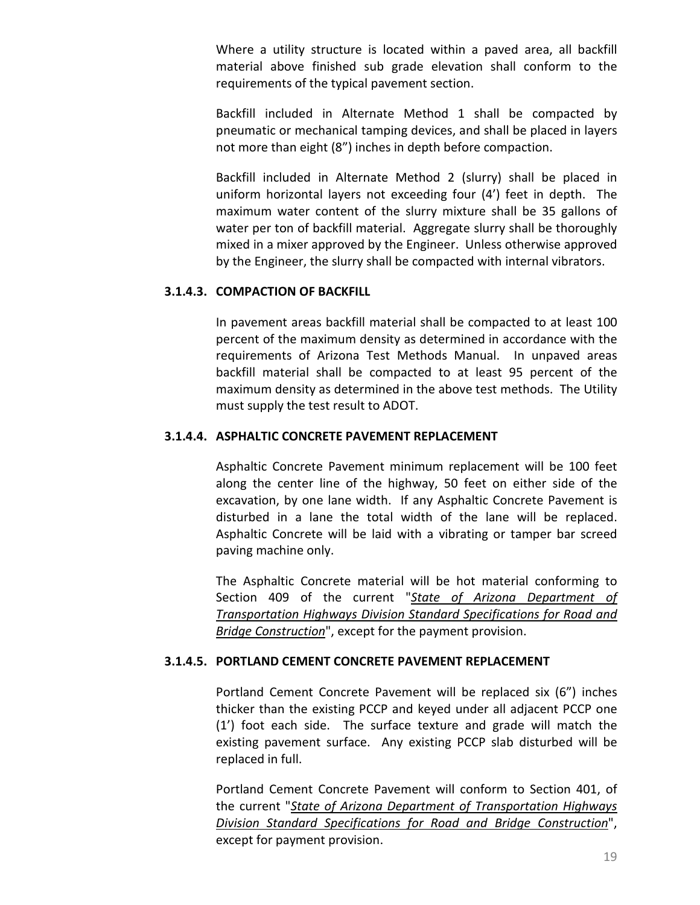Where a utility structure is located within a paved area, all backfill material above finished sub grade elevation shall conform to the requirements of the typical pavement section.

Backfill included in Alternate Method 1 shall be compacted by pneumatic or mechanical tamping devices, and shall be placed in layers not more than eight (8") inches in depth before compaction.

Backfill included in Alternate Method 2 (slurry) shall be placed in uniform horizontal layers not exceeding four (4') feet in depth. The maximum water content of the slurry mixture shall be 35 gallons of water per ton of backfill material. Aggregate slurry shall be thoroughly mixed in a mixer approved by the Engineer. Unless otherwise approved by the Engineer, the slurry shall be compacted with internal vibrators.

#### <span id="page-27-0"></span>**3.1.4.3. COMPACTION OF BACKFILL**

In pavement areas backfill material shall be compacted to at least 100 percent of the maximum density as determined in accordance with the requirements of Arizona Test Methods Manual. In unpaved areas backfill material shall be compacted to at least 95 percent of the maximum density as determined in the above test methods. The Utility must supply the test result to ADOT.

## <span id="page-27-1"></span>**3.1.4.4. ASPHALTIC CONCRETE PAVEMENT REPLACEMENT**

Asphaltic Concrete Pavement minimum replacement will be 100 feet along the center line of the highway, 50 feet on either side of the excavation, by one lane width. If any Asphaltic Concrete Pavement is disturbed in a lane the total width of the lane will be replaced. Asphaltic Concrete will be laid with a vibrating or tamper bar screed paving machine only.

The Asphaltic Concrete material will be hot material conforming to Section 409 of the current "*[State of Arizona Department of](http://www.azdot.gov/business/ContractsandSpecifications/Specifications)  [Transportation Highways Division Standard Specifications for Road and](http://www.azdot.gov/business/ContractsandSpecifications/Specifications) [Bridge Construction](http://www.azdot.gov/business/ContractsandSpecifications/Specifications)*", except for the payment provision.

## <span id="page-27-2"></span>**3.1.4.5. PORTLAND CEMENT CONCRETE PAVEMENT REPLACEMENT**

Portland Cement Concrete Pavement will be replaced six (6") inches thicker than the existing PCCP and keyed under all adjacent PCCP one (1') foot each side. The surface texture and grade will match the existing pavement surface. Any existing PCCP slab disturbed will be replaced in full.

Portland Cement Concrete Pavement will conform to Section 401, of the current "*[State of Arizona Department of Transportation Highways](http://www.azdot.gov/business/ContractsandSpecifications/Specifications)  [Division Standard Specifications for Road and Bridge Construction](http://www.azdot.gov/business/ContractsandSpecifications/Specifications)*", except for payment provision.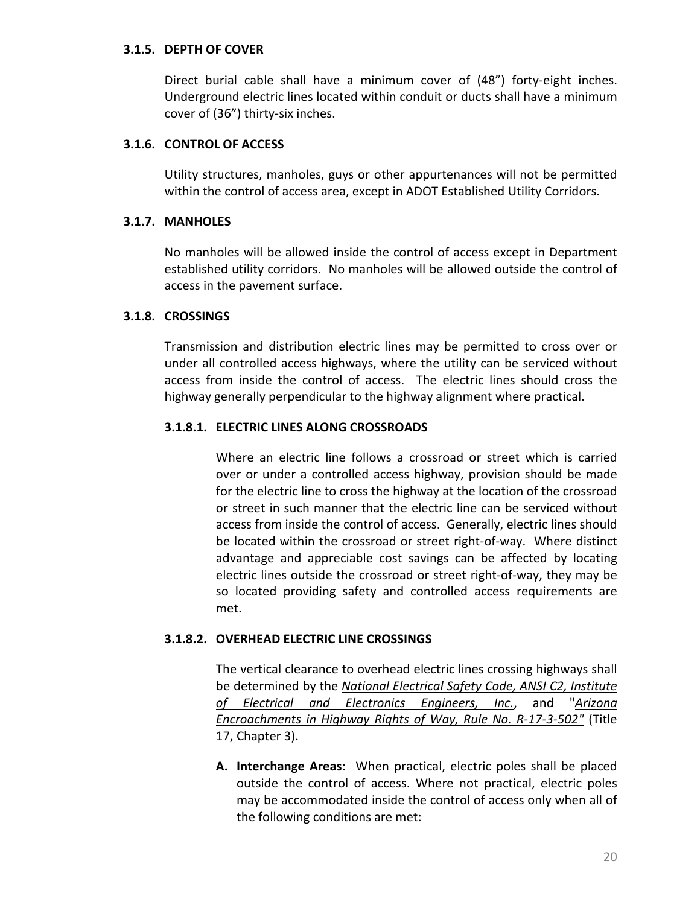#### <span id="page-28-0"></span>**3.1.5. DEPTH OF COVER**

Direct burial cable shall have a minimum cover of (48") forty-eight inches. Underground electric lines located within conduit or ducts shall have a minimum cover of (36") thirty-six inches.

## <span id="page-28-1"></span>**3.1.6. CONTROL OF ACCESS**

Utility structures, manholes, guys or other appurtenances will not be permitted within the control of access area, except in ADOT Established Utility Corridors.

## <span id="page-28-2"></span>**3.1.7. MANHOLES**

No manholes will be allowed inside the control of access except in Department established utility corridors. No manholes will be allowed outside the control of access in the pavement surface.

# <span id="page-28-3"></span>**3.1.8. CROSSINGS**

Transmission and distribution electric lines may be permitted to cross over or under all controlled access highways, where the utility can be serviced without access from inside the control of access. The electric lines should cross the highway generally perpendicular to the highway alignment where practical.

# <span id="page-28-4"></span>**3.1.8.1. ELECTRIC LINES ALONG CROSSROADS**

Where an electric line follows a crossroad or street which is carried over or under a controlled access highway, provision should be made for the electric line to cross the highway at the location of the crossroad or street in such manner that the electric line can be serviced without access from inside the control of access. Generally, electric lines should be located within the crossroad or street right-of-way. Where distinct advantage and appreciable cost savings can be affected by locating electric lines outside the crossroad or street right-of-way, they may be so located providing safety and controlled access requirements are met.

## <span id="page-28-5"></span>**3.1.8.2. OVERHEAD ELECTRIC LINE CROSSINGS**

The vertical clearance to overhead electric lines crossing highways shall be determined by the *[National Electrical Safety Code, ANSI C2, Institute](http://standards.ieee.org/nesc/index.html)  [of Electrical and Electronics Engineers, Inc.](http://standards.ieee.org/nesc/index.html)*, and "*[Arizona](http://www.azsos.gov/rules/arizona-administrative-code)  [Encroachments in Highway Rights of Way, Rule No. R-17-3-502"](http://www.azsos.gov/rules/arizona-administrative-code)* (Title 17, Chapter 3).

**A. Interchange Areas**: When practical, electric poles shall be placed outside the control of access. Where not practical, electric poles may be accommodated inside the control of access only when all of the following conditions are met: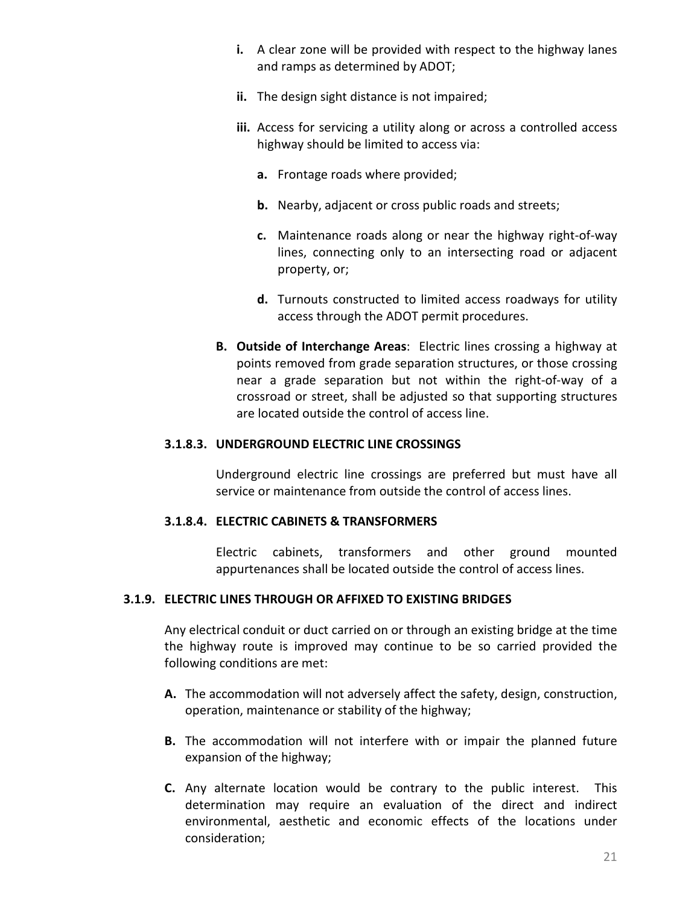- **i.** A clear zone will be provided with respect to the highway lanes and ramps as determined by ADOT;
- **ii.** The design sight distance is not impaired;
- **iii.** Access for servicing a utility along or across a controlled access highway should be limited to access via:
	- **a.** Frontage roads where provided;
	- **b.** Nearby, adjacent or cross public roads and streets;
	- **c.** Maintenance roads along or near the highway right-of-way lines, connecting only to an intersecting road or adjacent property, or;
	- **d.** Turnouts constructed to limited access roadways for utility access through the ADOT permit procedures.
- **B. Outside of Interchange Areas**: Electric lines crossing a highway at points removed from grade separation structures, or those crossing near a grade separation but not within the right-of-way of a crossroad or street, shall be adjusted so that supporting structures are located outside the control of access line.

#### <span id="page-29-0"></span>**3.1.8.3. UNDERGROUND ELECTRIC LINE CROSSINGS**

Underground electric line crossings are preferred but must have all service or maintenance from outside the control of access lines.

#### <span id="page-29-1"></span>**3.1.8.4. ELECTRIC CABINETS & TRANSFORMERS**

Electric cabinets, transformers and other ground mounted appurtenances shall be located outside the control of access lines.

## <span id="page-29-2"></span>**3.1.9. ELECTRIC LINES THROUGH OR AFFIXED TO EXISTING BRIDGES**

Any electrical conduit or duct carried on or through an existing bridge at the time the highway route is improved may continue to be so carried provided the following conditions are met:

- **A.** The accommodation will not adversely affect the safety, design, construction, operation, maintenance or stability of the highway;
- **B.** The accommodation will not interfere with or impair the planned future expansion of the highway;
- **C.** Any alternate location would be contrary to the public interest. This determination may require an evaluation of the direct and indirect environmental, aesthetic and economic effects of the locations under consideration;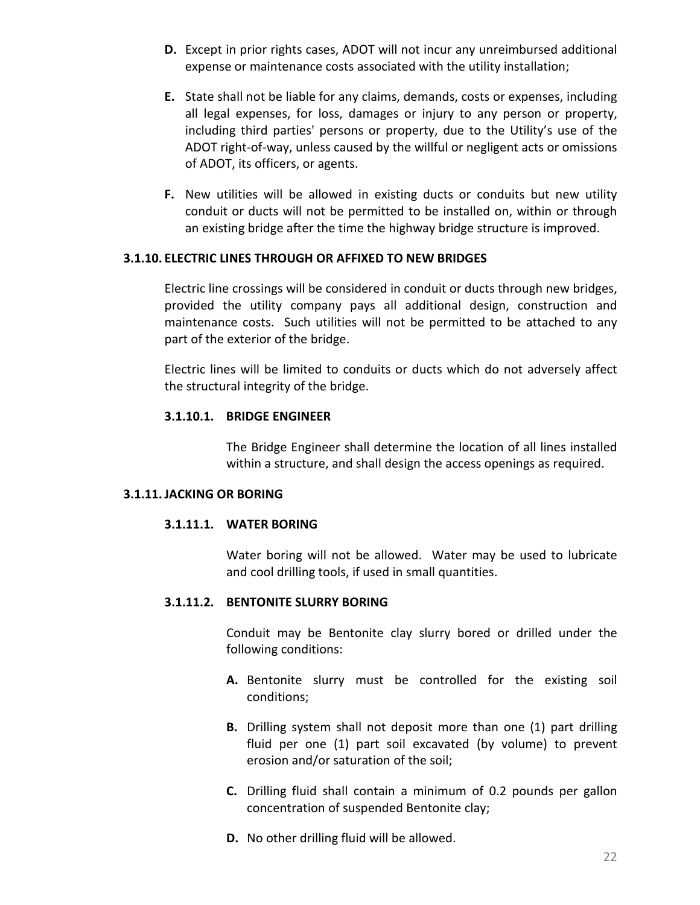- **D.** Except in prior rights cases, ADOT will not incur any unreimbursed additional expense or maintenance costs associated with the utility installation;
- **E.** State shall not be liable for any claims, demands, costs or expenses, including all legal expenses, for loss, damages or injury to any person or property, including third parties' persons or property, due to the Utility's use of the ADOT right-of-way, unless caused by the willful or negligent acts or omissions of ADOT, its officers, or agents.
- **F.** New utilities will be allowed in existing ducts or conduits but new utility conduit or ducts will not be permitted to be installed on, within or through an existing bridge after the time the highway bridge structure is improved.

## <span id="page-30-0"></span>**3.1.10. ELECTRIC LINES THROUGH OR AFFIXED TO NEW BRIDGES**

Electric line crossings will be considered in conduit or ducts through new bridges, provided the utility company pays all additional design, construction and maintenance costs. Such utilities will not be permitted to be attached to any part of the exterior of the bridge.

Electric lines will be limited to conduits or ducts which do not adversely affect the structural integrity of the bridge.

#### <span id="page-30-1"></span>**3.1.10.1. BRIDGE ENGINEER**

The Bridge Engineer shall determine the location of all lines installed within a structure, and shall design the access openings as required.

#### <span id="page-30-3"></span><span id="page-30-2"></span>**3.1.11.JACKING OR BORING**

## **3.1.11.1. WATER BORING**

Water boring will not be allowed. Water may be used to lubricate and cool drilling tools, if used in small quantities.

## <span id="page-30-4"></span>**3.1.11.2. BENTONITE SLURRY BORING**

Conduit may be Bentonite clay slurry bored or drilled under the following conditions:

- **A.** Bentonite slurry must be controlled for the existing soil conditions;
- **B.** Drilling system shall not deposit more than one (1) part drilling fluid per one (1) part soil excavated (by volume) to prevent erosion and/or saturation of the soil;
- **C.** Drilling fluid shall contain a minimum of 0.2 pounds per gallon concentration of suspended Bentonite clay;
- **D.** No other drilling fluid will be allowed.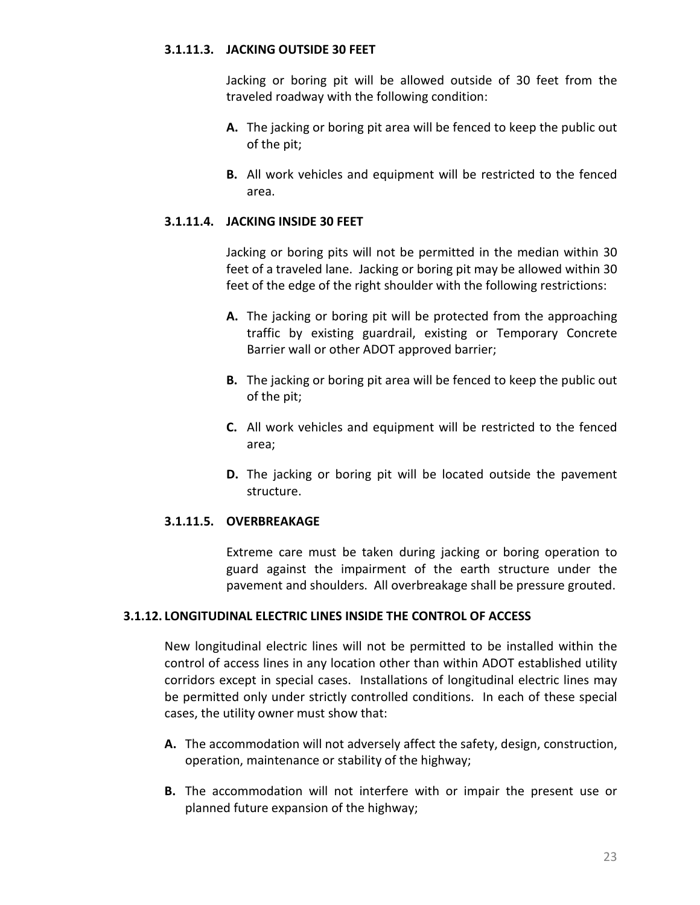## <span id="page-31-0"></span>**3.1.11.3. JACKING OUTSIDE 30 FEET**

Jacking or boring pit will be allowed outside of 30 feet from the traveled roadway with the following condition:

- **A.** The jacking or boring pit area will be fenced to keep the public out of the pit;
- **B.** All work vehicles and equipment will be restricted to the fenced area.

# <span id="page-31-1"></span>**3.1.11.4. JACKING INSIDE 30 FEET**

Jacking or boring pits will not be permitted in the median within 30 feet of a traveled lane. Jacking or boring pit may be allowed within 30 feet of the edge of the right shoulder with the following restrictions:

- **A.** The jacking or boring pit will be protected from the approaching traffic by existing guardrail, existing or Temporary Concrete Barrier wall or other ADOT approved barrier;
- **B.** The jacking or boring pit area will be fenced to keep the public out of the pit;
- **C.** All work vehicles and equipment will be restricted to the fenced area;
- **D.** The jacking or boring pit will be located outside the pavement structure.

# <span id="page-31-2"></span>**3.1.11.5. OVERBREAKAGE**

Extreme care must be taken during jacking or boring operation to guard against the impairment of the earth structure under the pavement and shoulders. All overbreakage shall be pressure grouted.

## <span id="page-31-3"></span>**3.1.12. LONGITUDINAL ELECTRIC LINES INSIDE THE CONTROL OF ACCESS**

New longitudinal electric lines will not be permitted to be installed within the control of access lines in any location other than within ADOT established utility corridors except in special cases. Installations of longitudinal electric lines may be permitted only under strictly controlled conditions. In each of these special cases, the utility owner must show that:

- **A.** The accommodation will not adversely affect the safety, design, construction, operation, maintenance or stability of the highway;
- **B.** The accommodation will not interfere with or impair the present use or planned future expansion of the highway;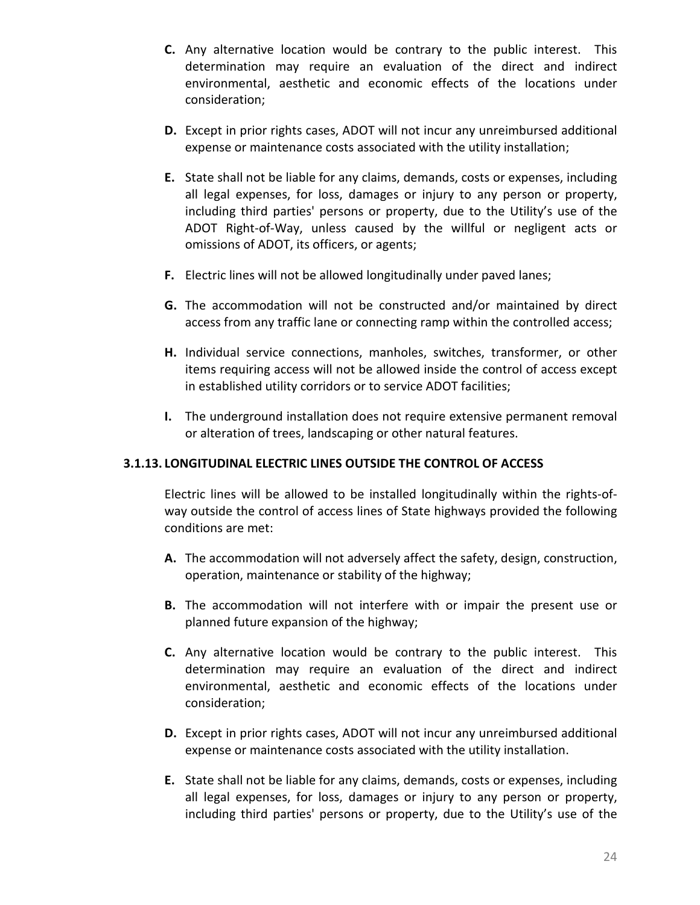- **C.** Any alternative location would be contrary to the public interest. This determination may require an evaluation of the direct and indirect environmental, aesthetic and economic effects of the locations under consideration;
- **D.** Except in prior rights cases, ADOT will not incur any unreimbursed additional expense or maintenance costs associated with the utility installation;
- **E.** State shall not be liable for any claims, demands, costs or expenses, including all legal expenses, for loss, damages or injury to any person or property, including third parties' persons or property, due to the Utility's use of the ADOT Right-of-Way, unless caused by the willful or negligent acts or omissions of ADOT, its officers, or agents;
- **F.** Electric lines will not be allowed longitudinally under paved lanes;
- **G.** The accommodation will not be constructed and/or maintained by direct access from any traffic lane or connecting ramp within the controlled access;
- **H.** Individual service connections, manholes, switches, transformer, or other items requiring access will not be allowed inside the control of access except in established utility corridors or to service ADOT facilities;
- **I.** The underground installation does not require extensive permanent removal or alteration of trees, landscaping or other natural features.

## <span id="page-32-0"></span>**3.1.13. LONGITUDINAL ELECTRIC LINES OUTSIDE THE CONTROL OF ACCESS**

Electric lines will be allowed to be installed longitudinally within the rights-ofway outside the control of access lines of State highways provided the following conditions are met:

- **A.** The accommodation will not adversely affect the safety, design, construction, operation, maintenance or stability of the highway;
- **B.** The accommodation will not interfere with or impair the present use or planned future expansion of the highway;
- **C.** Any alternative location would be contrary to the public interest. This determination may require an evaluation of the direct and indirect environmental, aesthetic and economic effects of the locations under consideration;
- **D.** Except in prior rights cases, ADOT will not incur any unreimbursed additional expense or maintenance costs associated with the utility installation.
- **E.** State shall not be liable for any claims, demands, costs or expenses, including all legal expenses, for loss, damages or injury to any person or property, including third parties' persons or property, due to the Utility's use of the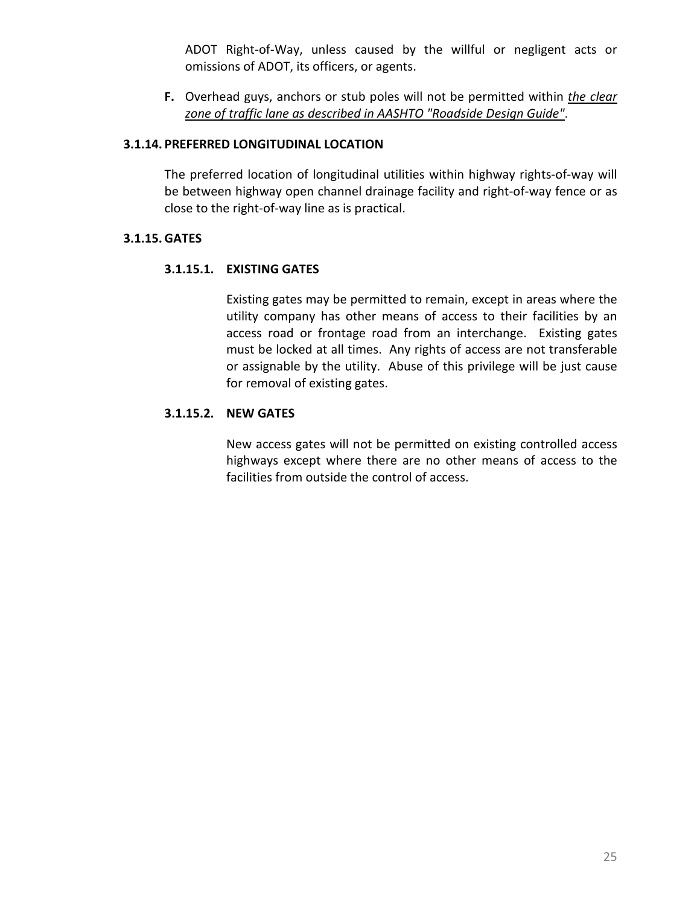ADOT Right-of-Way, unless caused by the willful or negligent acts or omissions of ADOT, its officers, or agents.

**F.** Overhead guys, anchors or stub poles will not be permitted within *[the clear](http://www.fhwa.dot.gov/programadmin/clearzone.cfm)  [zone of traffic lane as described in AASHTO "Roadside Design Guide"](http://www.fhwa.dot.gov/programadmin/clearzone.cfm)*.

## <span id="page-33-0"></span>**3.1.14. PREFERRED LONGITUDINAL LOCATION**

The preferred location of longitudinal utilities within highway rights-of-way will be between highway open channel drainage facility and right-of-way fence or as close to the right-of-way line as is practical.

# <span id="page-33-2"></span><span id="page-33-1"></span>**3.1.15. GATES**

# **3.1.15.1. EXISTING GATES**

Existing gates may be permitted to remain, except in areas where the utility company has other means of access to their facilities by an access road or frontage road from an interchange. Existing gates must be locked at all times. Any rights of access are not transferable or assignable by the utility. Abuse of this privilege will be just cause for removal of existing gates.

# <span id="page-33-3"></span>**3.1.15.2. NEW GATES**

New access gates will not be permitted on existing controlled access highways except where there are no other means of access to the facilities from outside the control of access.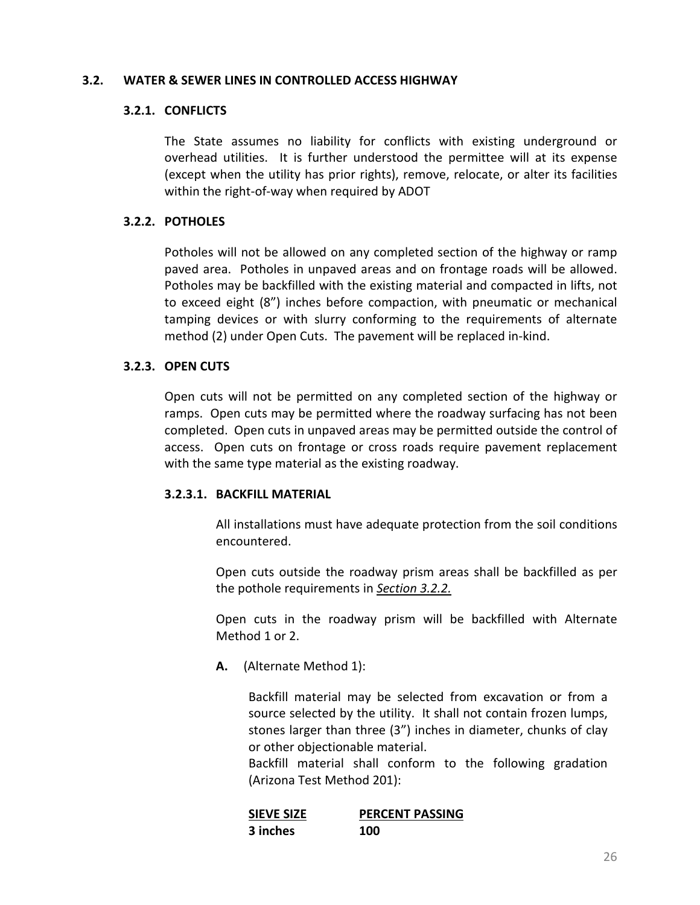#### <span id="page-34-1"></span><span id="page-34-0"></span>**3.2. WATER & SEWER LINES IN CONTROLLED ACCESS HIGHWAY**

## **3.2.1. CONFLICTS**

The State assumes no liability for conflicts with existing underground or overhead utilities. It is further understood the permittee will at its expense (except when the utility has prior rights), remove, relocate, or alter its facilities within the right-of-way when required by ADOT

# <span id="page-34-2"></span>**3.2.2. POTHOLES**

Potholes will not be allowed on any completed section of the highway or ramp paved area. Potholes in unpaved areas and on frontage roads will be allowed. Potholes may be backfilled with the existing material and compacted in lifts, not to exceed eight (8") inches before compaction, with pneumatic or mechanical tamping devices or with slurry conforming to the requirements of alternate method (2) under Open Cuts. The pavement will be replaced in-kind.

# <span id="page-34-3"></span>**3.2.3. OPEN CUTS**

Open cuts will not be permitted on any completed section of the highway or ramps. Open cuts may be permitted where the roadway surfacing has not been completed. Open cuts in unpaved areas may be permitted outside the control of access. Open cuts on frontage or cross roads require pavement replacement with the same type material as the existing roadway.

## <span id="page-34-4"></span>**3.2.3.1. BACKFILL MATERIAL**

All installations must have adequate protection from the soil conditions encountered.

Open cuts outside the roadway prism areas shall be backfilled as per the pothole requirements in *[Section 3.2.2.](#page-34-2)*

Open cuts in the roadway prism will be backfilled with Alternate Method 1 or 2.

**A.** (Alternate Method 1):

Backfill material may be selected from excavation or from a source selected by the utility. It shall not contain frozen lumps, stones larger than three (3") inches in diameter, chunks of clay or other objectionable material.

Backfill material shall conform to the following gradation (Arizona Test Method 201):

| <b>SIEVE SIZE</b> | <b>PERCENT PASSING</b> |
|-------------------|------------------------|
| 3 inches          | 100                    |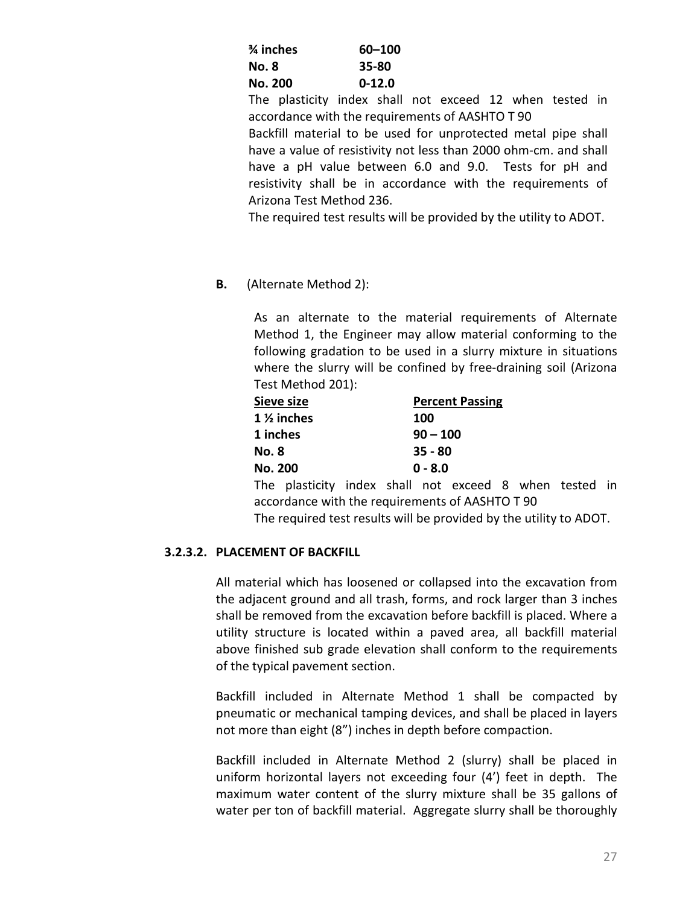| $3$ inches     | 60-100     |
|----------------|------------|
| No. 8          | 35-80      |
| <b>No. 200</b> | $0 - 12.0$ |

The plasticity index shall not exceed 12 when tested in accordance with the requirements of AASHTO T 90

Backfill material to be used for unprotected metal pipe shall have a value of resistivity not less than 2000 ohm-cm. and shall have a pH value between 6.0 and 9.0. Tests for pH and resistivity shall be in accordance with the requirements of Arizona Test Method 236.

The required test results will be provided by the utility to ADOT.

**B.** (Alternate Method 2):

As an alternate to the material requirements of Alternate Method 1, the Engineer may allow material conforming to the following gradation to be used in a slurry mixture in situations where the slurry will be confined by free-draining soil (Arizona Test Method 201):

| Sieve size            |                                                        |           |  | <b>Percent Passing</b> |  |  |  |  |  |
|-----------------------|--------------------------------------------------------|-----------|--|------------------------|--|--|--|--|--|
| $1\frac{1}{2}$ inches |                                                        |           |  | 100                    |  |  |  |  |  |
| 1 inches              |                                                        |           |  | $90 - 100$             |  |  |  |  |  |
| <b>No. 8</b>          |                                                        | $35 - 80$ |  |                        |  |  |  |  |  |
| <b>No. 200</b>        |                                                        | $0 - 8.0$ |  |                        |  |  |  |  |  |
|                       | The plasticity index shall not exceed 8 when tested in |           |  |                        |  |  |  |  |  |

accordance with the requirements of AASHTO T 90 The required test results will be provided by the utility to ADOT.

# <span id="page-35-0"></span>**3.2.3.2. PLACEMENT OF BACKFILL**

All material which has loosened or collapsed into the excavation from the adjacent ground and all trash, forms, and rock larger than 3 inches shall be removed from the excavation before backfill is placed. Where a utility structure is located within a paved area, all backfill material above finished sub grade elevation shall conform to the requirements of the typical pavement section.

Backfill included in Alternate Method 1 shall be compacted by pneumatic or mechanical tamping devices, and shall be placed in layers not more than eight (8") inches in depth before compaction.

Backfill included in Alternate Method 2 (slurry) shall be placed in uniform horizontal layers not exceeding four (4') feet in depth. The maximum water content of the slurry mixture shall be 35 gallons of water per ton of backfill material. Aggregate slurry shall be thoroughly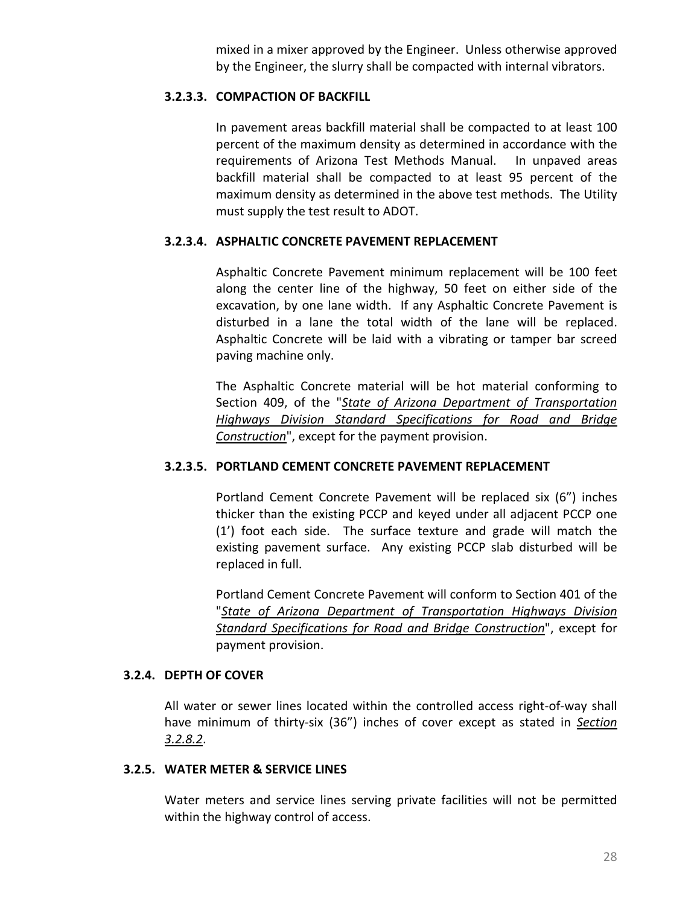mixed in a mixer approved by the Engineer. Unless otherwise approved by the Engineer, the slurry shall be compacted with internal vibrators.

## **3.2.3.3. COMPACTION OF BACKFILL**

In pavement areas backfill material shall be compacted to at least 100 percent of the maximum density as determined in accordance with the requirements of Arizona Test Methods Manual. In unpaved areas backfill material shall be compacted to at least 95 percent of the maximum density as determined in the above test methods. The Utility must supply the test result to ADOT.

# **3.2.3.4. ASPHALTIC CONCRETE PAVEMENT REPLACEMENT**

Asphaltic Concrete Pavement minimum replacement will be 100 feet along the center line of the highway, 50 feet on either side of the excavation, by one lane width. If any Asphaltic Concrete Pavement is disturbed in a lane the total width of the lane will be replaced. Asphaltic Concrete will be laid with a vibrating or tamper bar screed paving machine only.

The Asphaltic Concrete material will be hot material conforming to Section 409, of the "*[State of Arizona Department of Transportation](http://www.azdot.gov/business/ContractsandSpecifications/Specifications)  [Highways Division Standard Specifications for Road and Bridge](http://www.azdot.gov/business/ContractsandSpecifications/Specifications)  [Construction](http://www.azdot.gov/business/ContractsandSpecifications/Specifications)*", except for the payment provision.

# **3.2.3.5. PORTLAND CEMENT CONCRETE PAVEMENT REPLACEMENT**

Portland Cement Concrete Pavement will be replaced six (6") inches thicker than the existing PCCP and keyed under all adjacent PCCP one (1') foot each side. The surface texture and grade will match the existing pavement surface. Any existing PCCP slab disturbed will be replaced in full.

Portland Cement Concrete Pavement will conform to Section 401 of the "*[State of Arizona Department of Transportation Highways Division](http://www.azdot.gov/business/ContractsandSpecifications/Specifications)  [Standard Specifications for Road and Bridge Construction](http://www.azdot.gov/business/ContractsandSpecifications/Specifications)*", except for payment provision.

## **3.2.4. DEPTH OF COVER**

All water or sewer lines located within the controlled access right-of-way shall have minimum of thirty-six (36") inches of cover except as stated in *[Section](#page-37-0)  [3.2.8.2](#page-37-0)*.

## **3.2.5. WATER METER & SERVICE LINES**

Water meters and service lines serving private facilities will not be permitted within the highway control of access.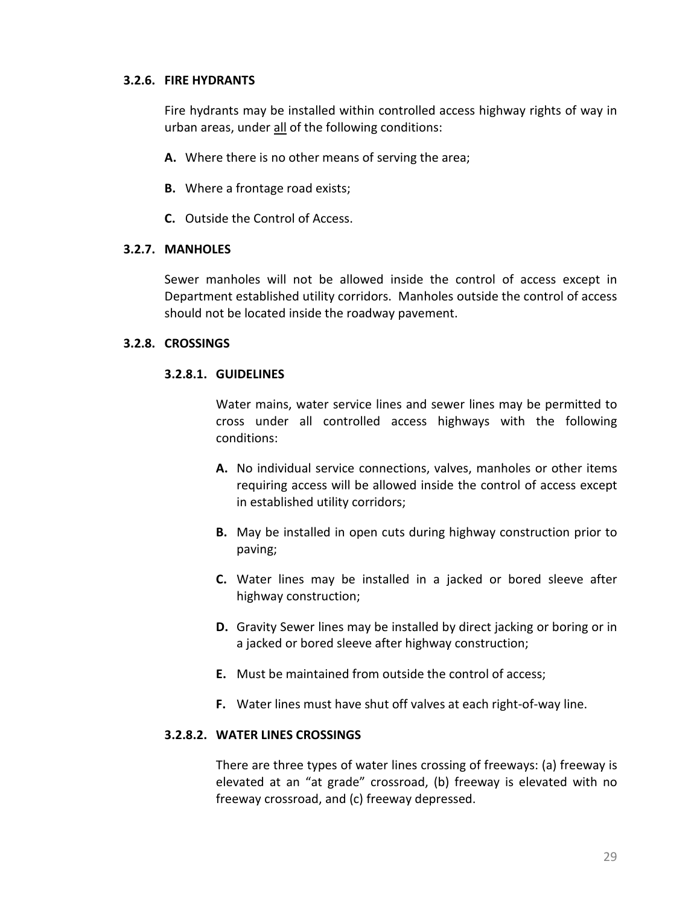## **3.2.6. FIRE HYDRANTS**

Fire hydrants may be installed within controlled access highway rights of way in urban areas, under all of the following conditions:

- **A.** Where there is no other means of serving the area;
- **B.** Where a frontage road exists;
- **C.** Outside the Control of Access.

### **3.2.7. MANHOLES**

Sewer manholes will not be allowed inside the control of access except in Department established utility corridors. Manholes outside the control of access should not be located inside the roadway pavement.

### **3.2.8. CROSSINGS**

### **3.2.8.1. GUIDELINES**

Water mains, water service lines and sewer lines may be permitted to cross under all controlled access highways with the following conditions:

- **A.** No individual service connections, valves, manholes or other items requiring access will be allowed inside the control of access except in established utility corridors;
- **B.** May be installed in open cuts during highway construction prior to paving;
- **C.** Water lines may be installed in a jacked or bored sleeve after highway construction;
- **D.** Gravity Sewer lines may be installed by direct jacking or boring or in a jacked or bored sleeve after highway construction;
- **E.** Must be maintained from outside the control of access;
- **F.** Water lines must have shut off valves at each right-of-way line.

### <span id="page-37-0"></span>**3.2.8.2. WATER LINES CROSSINGS**

There are three types of water lines crossing of freeways: (a) freeway is elevated at an "at grade" crossroad, (b) freeway is elevated with no freeway crossroad, and (c) freeway depressed.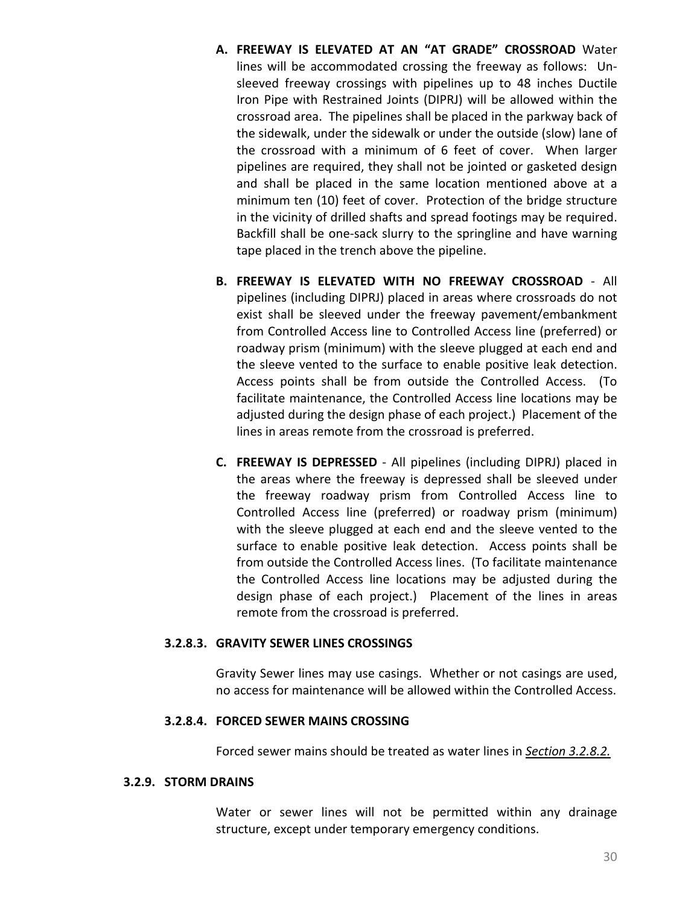- **A. FREEWAY IS ELEVATED AT AN "AT GRADE" CROSSROAD** Water lines will be accommodated crossing the freeway as follows: Unsleeved freeway crossings with pipelines up to 48 inches Ductile Iron Pipe with Restrained Joints (DIPRJ) will be allowed within the crossroad area. The pipelines shall be placed in the parkway back of the sidewalk, under the sidewalk or under the outside (slow) lane of the crossroad with a minimum of 6 feet of cover. When larger pipelines are required, they shall not be jointed or gasketed design and shall be placed in the same location mentioned above at a minimum ten (10) feet of cover. Protection of the bridge structure in the vicinity of drilled shafts and spread footings may be required. Backfill shall be one-sack slurry to the springline and have warning tape placed in the trench above the pipeline.
- **B. FREEWAY IS ELEVATED WITH NO FREEWAY CROSSROAD** All pipelines (including DIPRJ) placed in areas where crossroads do not exist shall be sleeved under the freeway pavement/embankment from Controlled Access line to Controlled Access line (preferred) or roadway prism (minimum) with the sleeve plugged at each end and the sleeve vented to the surface to enable positive leak detection. Access points shall be from outside the Controlled Access. (To facilitate maintenance, the Controlled Access line locations may be adjusted during the design phase of each project.) Placement of the lines in areas remote from the crossroad is preferred.
- **C. FREEWAY IS DEPRESSED** All pipelines (including DIPRJ) placed in the areas where the freeway is depressed shall be sleeved under the freeway roadway prism from Controlled Access line to Controlled Access line (preferred) or roadway prism (minimum) with the sleeve plugged at each end and the sleeve vented to the surface to enable positive leak detection. Access points shall be from outside the Controlled Access lines. (To facilitate maintenance the Controlled Access line locations may be adjusted during the design phase of each project.) Placement of the lines in areas remote from the crossroad is preferred.

#### **3.2.8.3. GRAVITY SEWER LINES CROSSINGS**

Gravity Sewer lines may use casings. Whether or not casings are used, no access for maintenance will be allowed within the Controlled Access.

#### **3.2.8.4. FORCED SEWER MAINS CROSSING**

Forced sewer mains should be treated as water lines in *[Section 3.2.8.2.](#page-37-0)*

#### **3.2.9. STORM DRAINS**

Water or sewer lines will not be permitted within any drainage structure, except under temporary emergency conditions.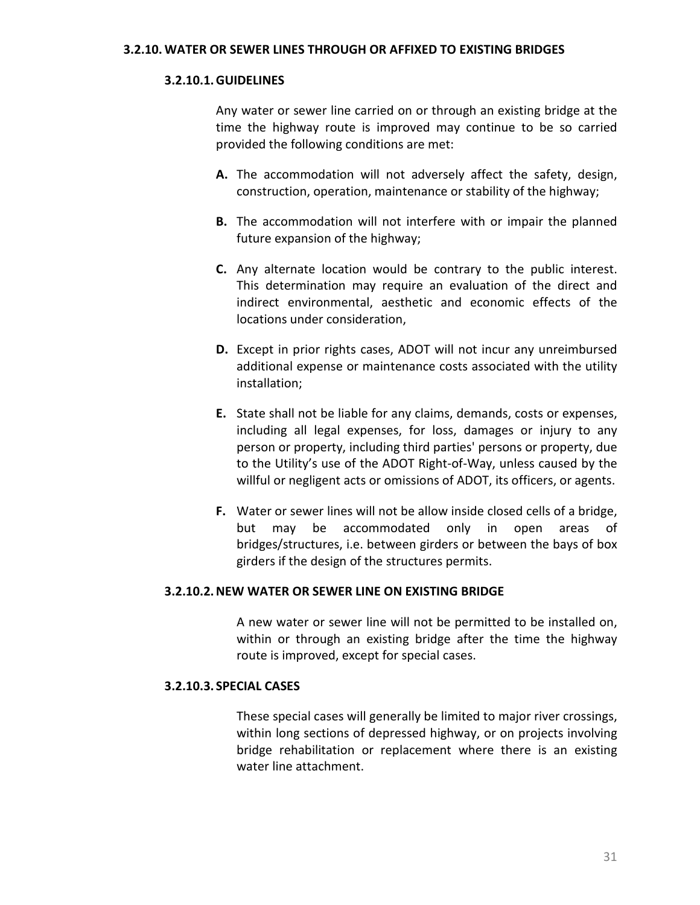### **3.2.10.1.GUIDELINES**

Any water or sewer line carried on or through an existing bridge at the time the highway route is improved may continue to be so carried provided the following conditions are met:

- **A.** The accommodation will not adversely affect the safety, design, construction, operation, maintenance or stability of the highway;
- **B.** The accommodation will not interfere with or impair the planned future expansion of the highway;
- **C.** Any alternate location would be contrary to the public interest. This determination may require an evaluation of the direct and indirect environmental, aesthetic and economic effects of the locations under consideration,
- **D.** Except in prior rights cases, ADOT will not incur any unreimbursed additional expense or maintenance costs associated with the utility installation;
- **E.** State shall not be liable for any claims, demands, costs or expenses, including all legal expenses, for loss, damages or injury to any person or property, including third parties' persons or property, due to the Utility's use of the ADOT Right-of-Way, unless caused by the willful or negligent acts or omissions of ADOT, its officers, or agents.
- **F.** Water or sewer lines will not be allow inside closed cells of a bridge, but may be accommodated only in open areas of bridges/structures, i.e. between girders or between the bays of box girders if the design of the structures permits.

### **3.2.10.2.NEW WATER OR SEWER LINE ON EXISTING BRIDGE**

A new water or sewer line will not be permitted to be installed on, within or through an existing bridge after the time the highway route is improved, except for special cases.

#### **3.2.10.3. SPECIAL CASES**

These special cases will generally be limited to major river crossings, within long sections of depressed highway, or on projects involving bridge rehabilitation or replacement where there is an existing water line attachment.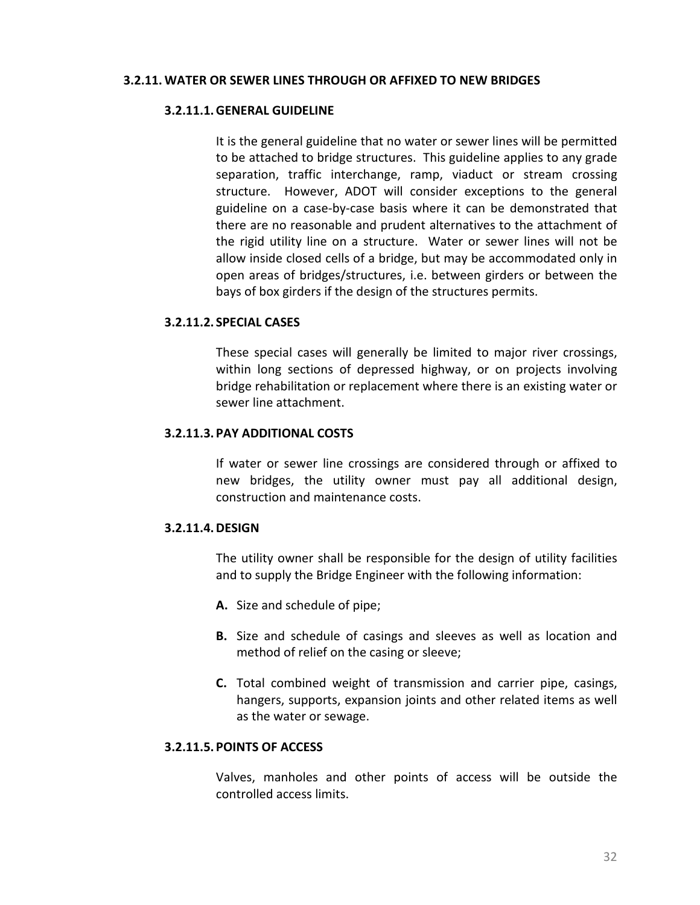#### **3.2.11. WATER OR SEWER LINES THROUGH OR AFFIXED TO NEW BRIDGES**

#### **3.2.11.1.GENERAL GUIDELINE**

It is the general guideline that no water or sewer lines will be permitted to be attached to bridge structures. This guideline applies to any grade separation, traffic interchange, ramp, viaduct or stream crossing structure. However, ADOT will consider exceptions to the general guideline on a case-by-case basis where it can be demonstrated that there are no reasonable and prudent alternatives to the attachment of the rigid utility line on a structure. Water or sewer lines will not be allow inside closed cells of a bridge, but may be accommodated only in open areas of bridges/structures, i.e. between girders or between the bays of box girders if the design of the structures permits.

### **3.2.11.2. SPECIAL CASES**

These special cases will generally be limited to major river crossings, within long sections of depressed highway, or on projects involving bridge rehabilitation or replacement where there is an existing water or sewer line attachment.

### **3.2.11.3. PAY ADDITIONAL COSTS**

If water or sewer line crossings are considered through or affixed to new bridges, the utility owner must pay all additional design, construction and maintenance costs.

## **3.2.11.4.DESIGN**

The utility owner shall be responsible for the design of utility facilities and to supply the Bridge Engineer with the following information:

- **A.** Size and schedule of pipe;
- **B.** Size and schedule of casings and sleeves as well as location and method of relief on the casing or sleeve;
- **C.** Total combined weight of transmission and carrier pipe, casings, hangers, supports, expansion joints and other related items as well as the water or sewage.

## **3.2.11.5. POINTS OF ACCESS**

Valves, manholes and other points of access will be outside the controlled access limits.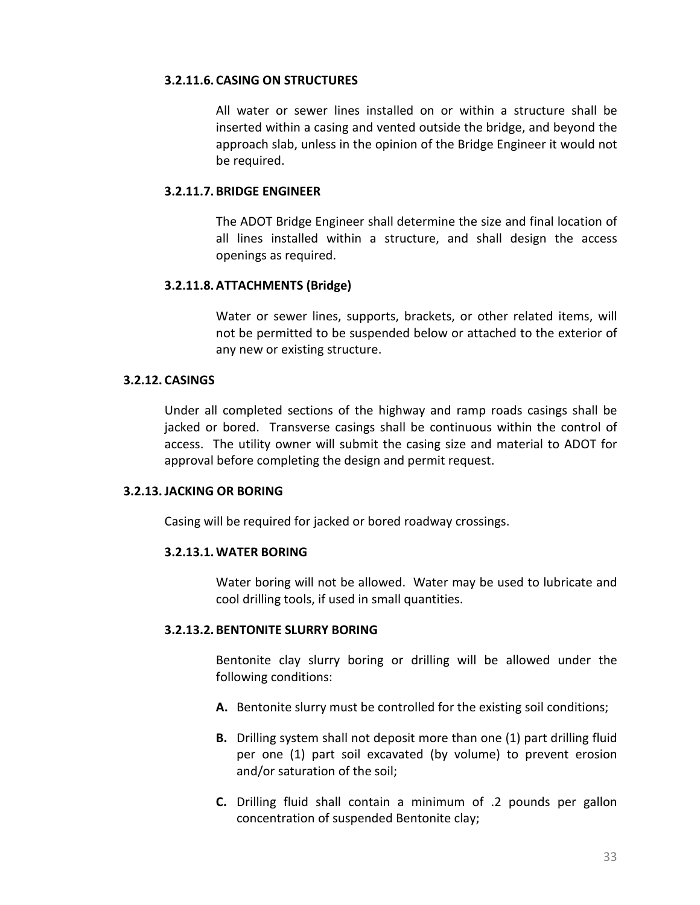#### **3.2.11.6. CASING ON STRUCTURES**

All water or sewer lines installed on or within a structure shall be inserted within a casing and vented outside the bridge, and beyond the approach slab, unless in the opinion of the Bridge Engineer it would not be required.

## **3.2.11.7. BRIDGE ENGINEER**

The ADOT Bridge Engineer shall determine the size and final location of all lines installed within a structure, and shall design the access openings as required.

## **3.2.11.8.ATTACHMENTS (Bridge)**

Water or sewer lines, supports, brackets, or other related items, will not be permitted to be suspended below or attached to the exterior of any new or existing structure.

### **3.2.12. CASINGS**

Under all completed sections of the highway and ramp roads casings shall be jacked or bored. Transverse casings shall be continuous within the control of access. The utility owner will submit the casing size and material to ADOT for approval before completing the design and permit request.

## **3.2.13.JACKING OR BORING**

Casing will be required for jacked or bored roadway crossings.

## **3.2.13.1.WATER BORING**

Water boring will not be allowed. Water may be used to lubricate and cool drilling tools, if used in small quantities.

## **3.2.13.2. BENTONITE SLURRY BORING**

Bentonite clay slurry boring or drilling will be allowed under the following conditions:

- **A.** Bentonite slurry must be controlled for the existing soil conditions;
- **B.** Drilling system shall not deposit more than one (1) part drilling fluid per one (1) part soil excavated (by volume) to prevent erosion and/or saturation of the soil;
- **C.** Drilling fluid shall contain a minimum of .2 pounds per gallon concentration of suspended Bentonite clay;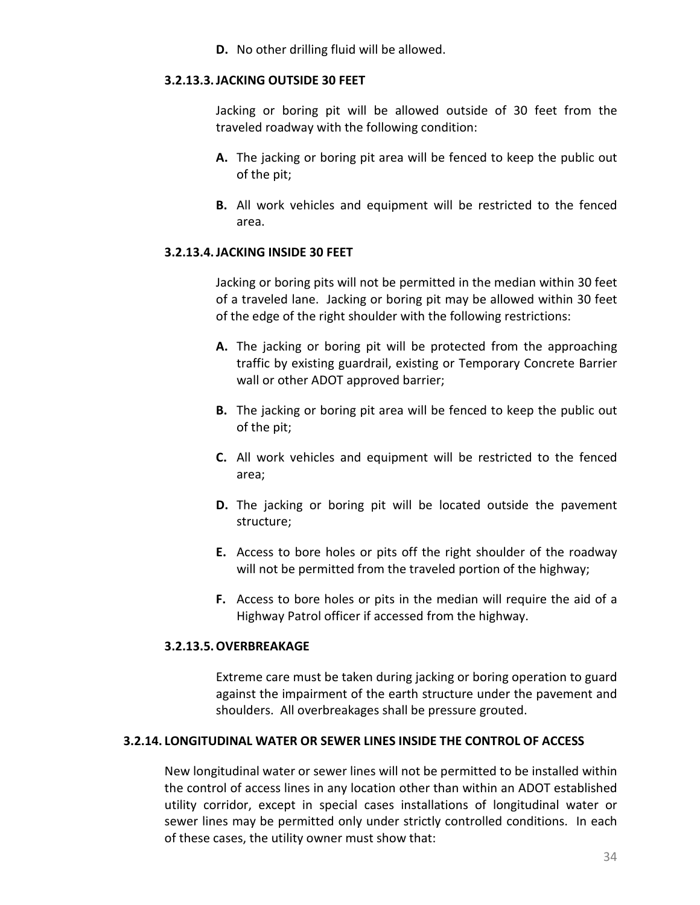**D.** No other drilling fluid will be allowed.

#### **3.2.13.3.JACKING OUTSIDE 30 FEET**

Jacking or boring pit will be allowed outside of 30 feet from the traveled roadway with the following condition:

- **A.** The jacking or boring pit area will be fenced to keep the public out of the pit;
- **B.** All work vehicles and equipment will be restricted to the fenced area.

# **3.2.13.4.JACKING INSIDE 30 FEET**

Jacking or boring pits will not be permitted in the median within 30 feet of a traveled lane. Jacking or boring pit may be allowed within 30 feet of the edge of the right shoulder with the following restrictions:

- **A.** The jacking or boring pit will be protected from the approaching traffic by existing guardrail, existing or Temporary Concrete Barrier wall or other ADOT approved barrier;
- **B.** The jacking or boring pit area will be fenced to keep the public out of the pit;
- **C.** All work vehicles and equipment will be restricted to the fenced area;
- **D.** The jacking or boring pit will be located outside the pavement structure;
- **E.** Access to bore holes or pits off the right shoulder of the roadway will not be permitted from the traveled portion of the highway;
- **F.** Access to bore holes or pits in the median will require the aid of a Highway Patrol officer if accessed from the highway.

# **3.2.13.5.OVERBREAKAGE**

Extreme care must be taken during jacking or boring operation to guard against the impairment of the earth structure under the pavement and shoulders. All overbreakages shall be pressure grouted.

## **3.2.14. LONGITUDINAL WATER OR SEWER LINES INSIDE THE CONTROL OF ACCESS**

New longitudinal water or sewer lines will not be permitted to be installed within the control of access lines in any location other than within an ADOT established utility corridor, except in special cases installations of longitudinal water or sewer lines may be permitted only under strictly controlled conditions. In each of these cases, the utility owner must show that: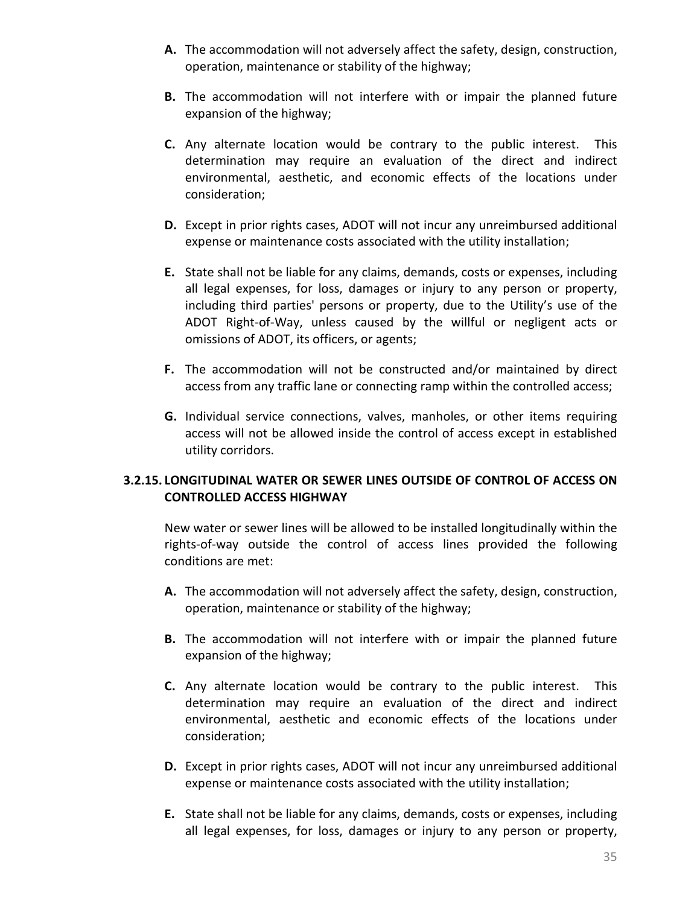- **A.** The accommodation will not adversely affect the safety, design, construction, operation, maintenance or stability of the highway;
- **B.** The accommodation will not interfere with or impair the planned future expansion of the highway;
- **C.** Any alternate location would be contrary to the public interest. This determination may require an evaluation of the direct and indirect environmental, aesthetic, and economic effects of the locations under consideration;
- **D.** Except in prior rights cases, ADOT will not incur any unreimbursed additional expense or maintenance costs associated with the utility installation;
- **E.** State shall not be liable for any claims, demands, costs or expenses, including all legal expenses, for loss, damages or injury to any person or property, including third parties' persons or property, due to the Utility's use of the ADOT Right-of-Way, unless caused by the willful or negligent acts or omissions of ADOT, its officers, or agents;
- **F.** The accommodation will not be constructed and/or maintained by direct access from any traffic lane or connecting ramp within the controlled access;
- **G.** Individual service connections, valves, manholes, or other items requiring access will not be allowed inside the control of access except in established utility corridors.

# **3.2.15. LONGITUDINAL WATER OR SEWER LINES OUTSIDE OF CONTROL OF ACCESS ON CONTROLLED ACCESS HIGHWAY**

New water or sewer lines will be allowed to be installed longitudinally within the rights-of-way outside the control of access lines provided the following conditions are met:

- **A.** The accommodation will not adversely affect the safety, design, construction, operation, maintenance or stability of the highway;
- **B.** The accommodation will not interfere with or impair the planned future expansion of the highway;
- **C.** Any alternate location would be contrary to the public interest. This determination may require an evaluation of the direct and indirect environmental, aesthetic and economic effects of the locations under consideration;
- **D.** Except in prior rights cases, ADOT will not incur any unreimbursed additional expense or maintenance costs associated with the utility installation;
- **E.** State shall not be liable for any claims, demands, costs or expenses, including all legal expenses, for loss, damages or injury to any person or property,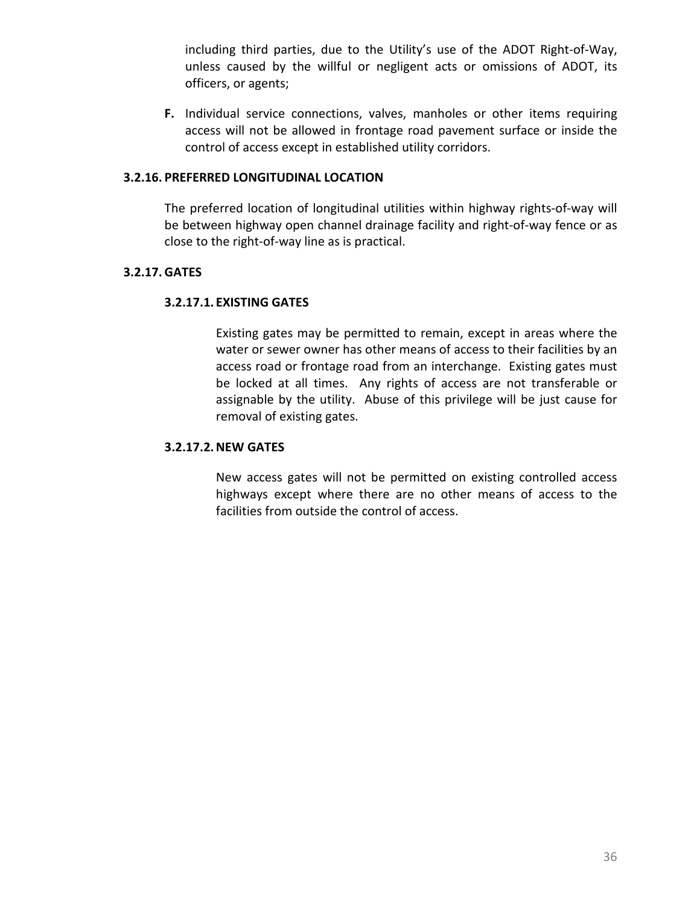including third parties, due to the Utility's use of the ADOT Right-of-Way, unless caused by the willful or negligent acts or omissions of ADOT, its officers, or agents;

**F.** Individual service connections, valves, manholes or other items requiring access will not be allowed in frontage road pavement surface or inside the control of access except in established utility corridors.

### **3.2.16. PREFERRED LONGITUDINAL LOCATION**

The preferred location of longitudinal utilities within highway rights-of-way will be between highway open channel drainage facility and right-of-way fence or as close to the right-of-way line as is practical.

# **3.2.17. GATES**

# **3.2.17.1. EXISTING GATES**

Existing gates may be permitted to remain, except in areas where the water or sewer owner has other means of access to their facilities by an access road or frontage road from an interchange. Existing gates must be locked at all times. Any rights of access are not transferable or assignable by the utility. Abuse of this privilege will be just cause for removal of existing gates.

## **3.2.17.2.NEW GATES**

New access gates will not be permitted on existing controlled access highways except where there are no other means of access to the facilities from outside the control of access.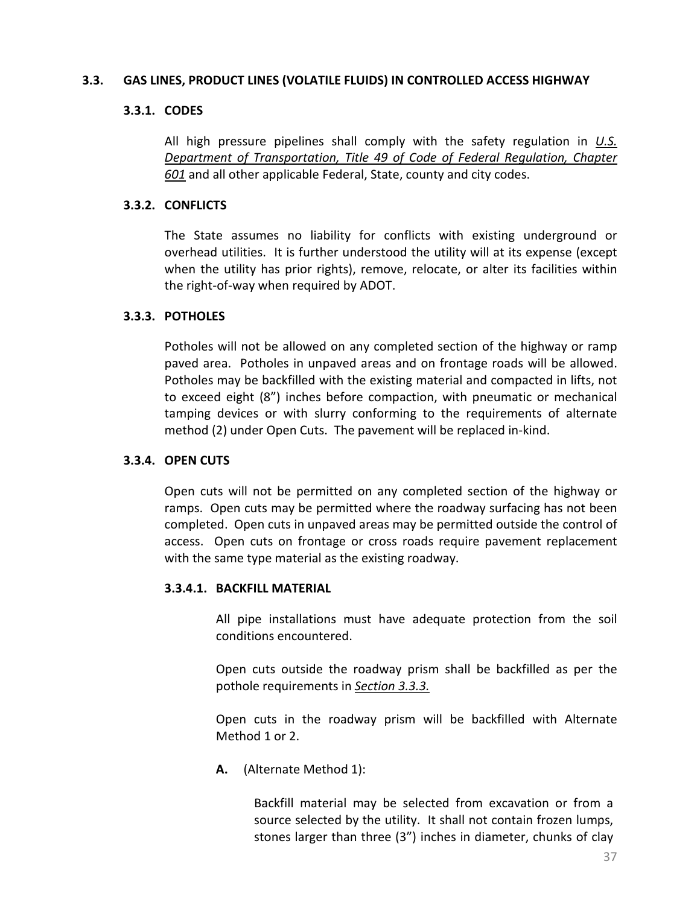### **3.3. GAS LINES, PRODUCT LINES (VOLATILE FLUIDS) IN CONTROLLED ACCESS HIGHWAY**

## **3.3.1. CODES**

All high pressure pipelines shall comply with the safety regulation in *[U.S.](https://www.gpo.gov/fdsys/pkg/USCODE-2009-title49/pdf/USCODE-2009-title49-subtitleVIII-chap601.pdf)  [Department of Transportation, Title 49 of Code of Federal](https://www.gpo.gov/fdsys/pkg/USCODE-2009-title49/pdf/USCODE-2009-title49-subtitleVIII-chap601.pdf) Regulation, Chapter [601](https://www.gpo.gov/fdsys/pkg/USCODE-2009-title49/pdf/USCODE-2009-title49-subtitleVIII-chap601.pdf)* and all other applicable Federal, State, county and city codes.

### **3.3.2. CONFLICTS**

The State assumes no liability for conflicts with existing underground or overhead utilities. It is further understood the utility will at its expense (except when the utility has prior rights), remove, relocate, or alter its facilities within the right-of-way when required by ADOT.

### <span id="page-45-0"></span>**3.3.3. POTHOLES**

Potholes will not be allowed on any completed section of the highway or ramp paved area. Potholes in unpaved areas and on frontage roads will be allowed. Potholes may be backfilled with the existing material and compacted in lifts, not to exceed eight (8") inches before compaction, with pneumatic or mechanical tamping devices or with slurry conforming to the requirements of alternate method (2) under Open Cuts. The pavement will be replaced in-kind.

#### **3.3.4. OPEN CUTS**

Open cuts will not be permitted on any completed section of the highway or ramps. Open cuts may be permitted where the roadway surfacing has not been completed. Open cuts in unpaved areas may be permitted outside the control of access. Open cuts on frontage or cross roads require pavement replacement with the same type material as the existing roadway.

#### **3.3.4.1. BACKFILL MATERIAL**

All pipe installations must have adequate protection from the soil conditions encountered.

Open cuts outside the roadway prism shall be backfilled as per the pothole requirements in *[Section 3.3.3.](#page-45-0)*

Open cuts in the roadway prism will be backfilled with Alternate Method 1 or 2.

**A.** (Alternate Method 1):

Backfill material may be selected from excavation or from a source selected by the utility. It shall not contain frozen lumps, stones larger than three (3") inches in diameter, chunks of clay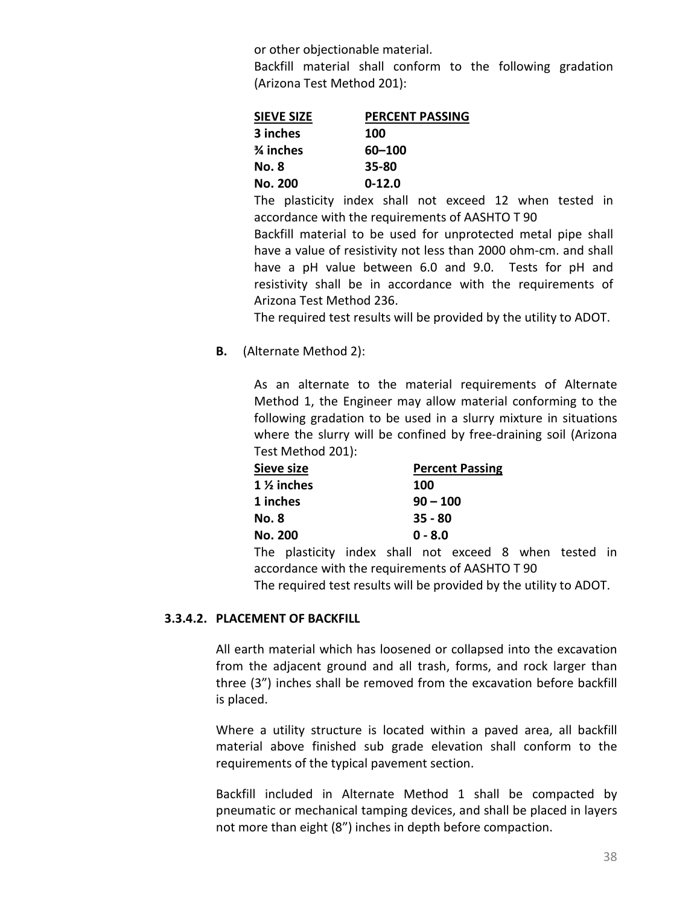or other objectionable material.

Backfill material shall conform to the following gradation (Arizona Test Method 201):

| <b>SIEVE SIZE</b> | <b>PERCENT PASSING</b> |  |  |  |  |
|-------------------|------------------------|--|--|--|--|
| 3 inches          | 100                    |  |  |  |  |
| % inches          | 60-100                 |  |  |  |  |
| No. 8             | 35-80                  |  |  |  |  |
| No. 200           | $0 - 12.0$             |  |  |  |  |

The plasticity index shall not exceed 12 when tested in accordance with the requirements of AASHTO T 90 Backfill material to be used for unprotected metal pipe shall have a value of resistivity not less than 2000 ohm-cm. and shall have a pH value between 6.0 and 9.0. Tests for pH and resistivity shall be in accordance with the requirements of

The required test results will be provided by the utility to ADOT.

**B.** (Alternate Method 2):

Arizona Test Method 236.

As an alternate to the material requirements of Alternate Method 1, the Engineer may allow material conforming to the following gradation to be used in a slurry mixture in situations where the slurry will be confined by free-draining soil (Arizona Test Method 201):

| Sieve size            | <b>Percent Passing</b> |
|-----------------------|------------------------|
| $1\frac{1}{2}$ inches | <b>100</b>             |
| 1 inches              | $90 - 100$             |
| <b>No. 8</b>          | $35 - 80$              |
| <b>No. 200</b>        | $0 - 8.0$              |
|                       |                        |

The plasticity index shall not exceed 8 when tested in accordance with the requirements of AASHTO T 90 The required test results will be provided by the utility to ADOT.

## **3.3.4.2. PLACEMENT OF BACKFILL**

All earth material which has loosened or collapsed into the excavation from the adjacent ground and all trash, forms, and rock larger than three (3") inches shall be removed from the excavation before backfill is placed.

Where a utility structure is located within a paved area, all backfill material above finished sub grade elevation shall conform to the requirements of the typical pavement section.

Backfill included in Alternate Method 1 shall be compacted by pneumatic or mechanical tamping devices, and shall be placed in layers not more than eight (8") inches in depth before compaction.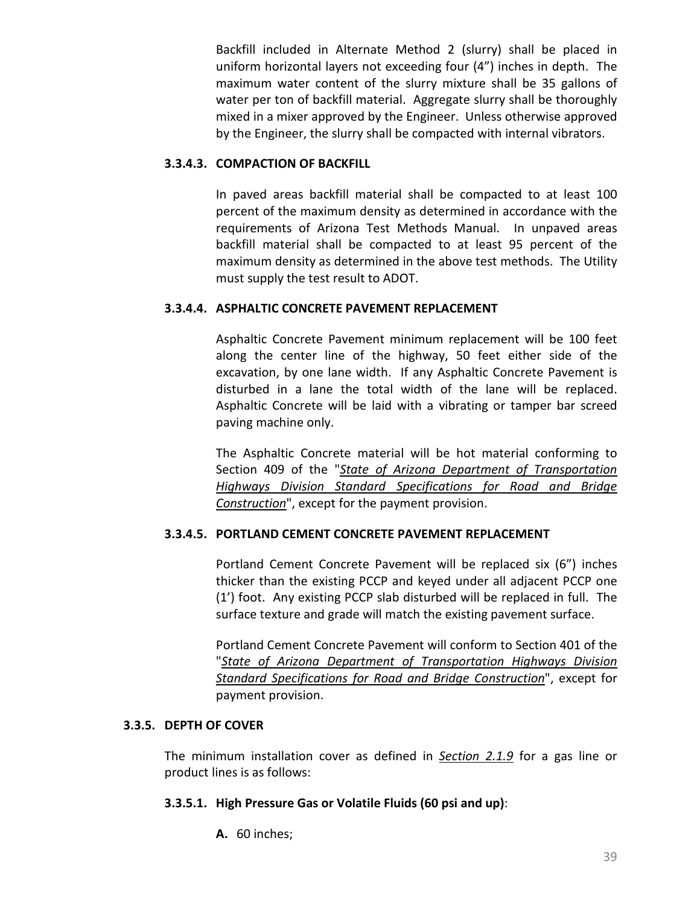Backfill included in Alternate Method 2 (slurry) shall be placed in uniform horizontal layers not exceeding four (4") inches in depth. The maximum water content of the slurry mixture shall be 35 gallons of water per ton of backfill material. Aggregate slurry shall be thoroughly mixed in a mixer approved by the Engineer. Unless otherwise approved by the Engineer, the slurry shall be compacted with internal vibrators.

# **3.3.4.3. COMPACTION OF BACKFILL**

In paved areas backfill material shall be compacted to at least 100 percent of the maximum density as determined in accordance with the requirements of Arizona Test Methods Manual. In unpaved areas backfill material shall be compacted to at least 95 percent of the maximum density as determined in the above test methods. The Utility must supply the test result to ADOT.

# **3.3.4.4. ASPHALTIC CONCRETE PAVEMENT REPLACEMENT**

Asphaltic Concrete Pavement minimum replacement will be 100 feet along the center line of the highway, 50 feet either side of the excavation, by one lane width. If any Asphaltic Concrete Pavement is disturbed in a lane the total width of the lane will be replaced. Asphaltic Concrete will be laid with a vibrating or tamper bar screed paving machine only.

The Asphaltic Concrete material will be hot material conforming to Section 409 of the "*[State of Arizona Department of Transportation](http://www.azdot.gov/business/ContractsandSpecifications/Specifications)  [Highways Division Standard Specifications for Road and Bridge](http://www.azdot.gov/business/ContractsandSpecifications/Specifications)  [Construction](http://www.azdot.gov/business/ContractsandSpecifications/Specifications)*", except for the payment provision.

# **3.3.4.5. PORTLAND CEMENT CONCRETE PAVEMENT REPLACEMENT**

Portland Cement Concrete Pavement will be replaced six (6") inches thicker than the existing PCCP and keyed under all adjacent PCCP one (1') foot. Any existing PCCP slab disturbed will be replaced in full. The surface texture and grade will match the existing pavement surface.

Portland Cement Concrete Pavement will conform to Section 401 of the "*[State of Arizona Department of Transportation Highways Division](http://www.azdot.gov/business/ContractsandSpecifications/Specifications)  [Standard Specifications for Road and Bridge Construction](http://www.azdot.gov/business/ContractsandSpecifications/Specifications)*", except for payment provision.

# **3.3.5. DEPTH OF COVER**

The minimum installation cover as defined in *[Section 2.1.9](#page-19-0)* for a gas line or product lines is as follows:

# **3.3.5.1. High Pressure Gas or Volatile Fluids (60 psi and up)**:

**A.** 60 inches;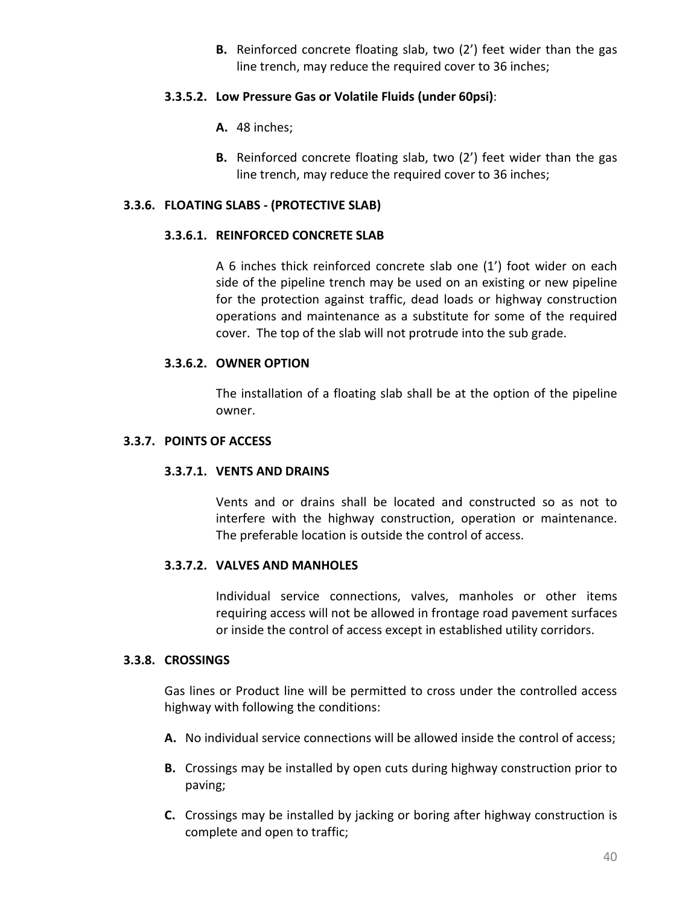**B.** Reinforced concrete floating slab, two (2') feet wider than the gas line trench, may reduce the required cover to 36 inches;

## **3.3.5.2. Low Pressure Gas or Volatile Fluids (under 60psi)**:

- **A.** 48 inches;
- **B.** Reinforced concrete floating slab, two (2') feet wider than the gas line trench, may reduce the required cover to 36 inches;

### **3.3.6. FLOATING SLABS - (PROTECTIVE SLAB)**

#### **3.3.6.1. REINFORCED CONCRETE SLAB**

A 6 inches thick reinforced concrete slab one (1') foot wider on each side of the pipeline trench may be used on an existing or new pipeline for the protection against traffic, dead loads or highway construction operations and maintenance as a substitute for some of the required cover. The top of the slab will not protrude into the sub grade.

### **3.3.6.2. OWNER OPTION**

The installation of a floating slab shall be at the option of the pipeline owner.

#### **3.3.7. POINTS OF ACCESS**

#### **3.3.7.1. VENTS AND DRAINS**

Vents and or drains shall be located and constructed so as not to interfere with the highway construction, operation or maintenance. The preferable location is outside the control of access.

### **3.3.7.2. VALVES AND MANHOLES**

Individual service connections, valves, manholes or other items requiring access will not be allowed in frontage road pavement surfaces or inside the control of access except in established utility corridors.

#### **3.3.8. CROSSINGS**

Gas lines or Product line will be permitted to cross under the controlled access highway with following the conditions:

- **A.** No individual service connections will be allowed inside the control of access;
- **B.** Crossings may be installed by open cuts during highway construction prior to paving;
- **C.** Crossings may be installed by jacking or boring after highway construction is complete and open to traffic;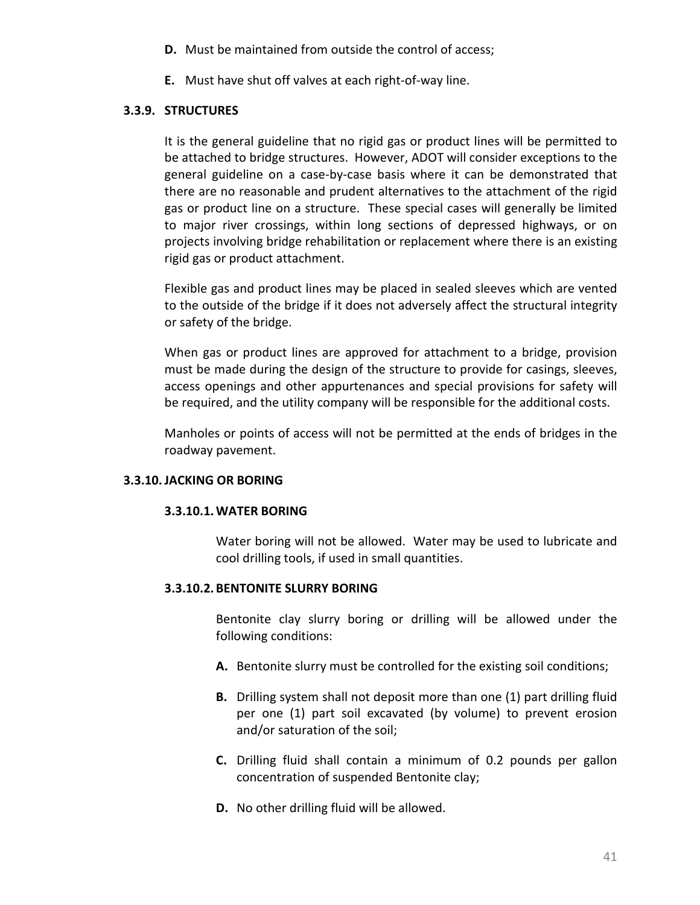- **D.** Must be maintained from outside the control of access;
- **E.** Must have shut off valves at each right-of-way line.

# **3.3.9. STRUCTURES**

It is the general guideline that no rigid gas or product lines will be permitted to be attached to bridge structures. However, ADOT will consider exceptions to the general guideline on a case-by-case basis where it can be demonstrated that there are no reasonable and prudent alternatives to the attachment of the rigid gas or product line on a structure. These special cases will generally be limited to major river crossings, within long sections of depressed highways, or on projects involving bridge rehabilitation or replacement where there is an existing rigid gas or product attachment.

Flexible gas and product lines may be placed in sealed sleeves which are vented to the outside of the bridge if it does not adversely affect the structural integrity or safety of the bridge.

When gas or product lines are approved for attachment to a bridge, provision must be made during the design of the structure to provide for casings, sleeves, access openings and other appurtenances and special provisions for safety will be required, and the utility company will be responsible for the additional costs.

Manholes or points of access will not be permitted at the ends of bridges in the roadway pavement.

# **3.3.10.JACKING OR BORING**

## **3.3.10.1.WATER BORING**

Water boring will not be allowed. Water may be used to lubricate and cool drilling tools, if used in small quantities.

# **3.3.10.2. BENTONITE SLURRY BORING**

Bentonite clay slurry boring or drilling will be allowed under the following conditions:

- **A.** Bentonite slurry must be controlled for the existing soil conditions;
- **B.** Drilling system shall not deposit more than one (1) part drilling fluid per one (1) part soil excavated (by volume) to prevent erosion and/or saturation of the soil;
- **C.** Drilling fluid shall contain a minimum of 0.2 pounds per gallon concentration of suspended Bentonite clay;
- **D.** No other drilling fluid will be allowed.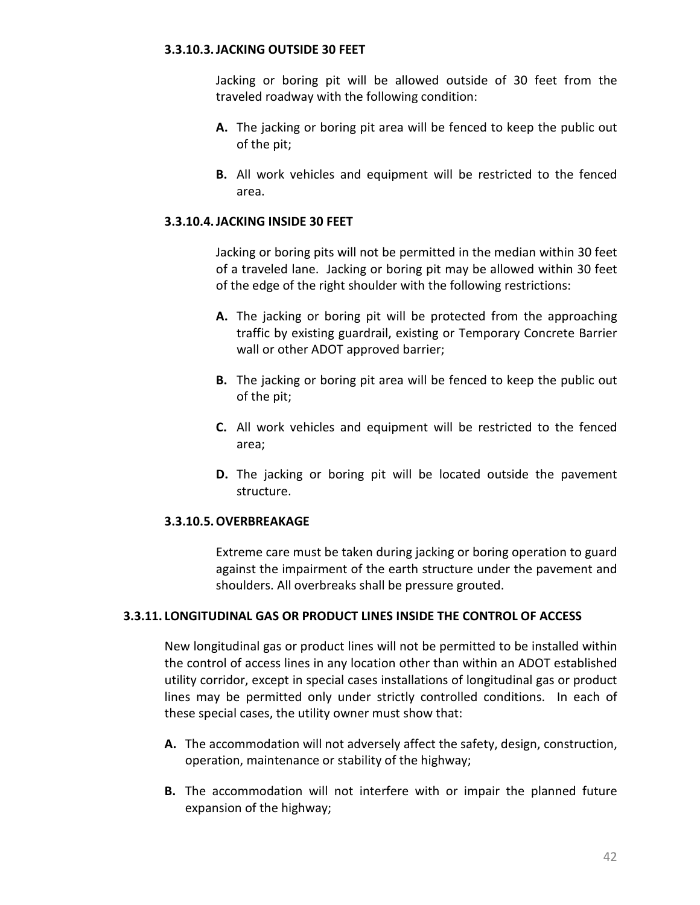### **3.3.10.3.JACKING OUTSIDE 30 FEET**

Jacking or boring pit will be allowed outside of 30 feet from the traveled roadway with the following condition:

- **A.** The jacking or boring pit area will be fenced to keep the public out of the pit;
- **B.** All work vehicles and equipment will be restricted to the fenced area.

### **3.3.10.4.JACKING INSIDE 30 FEET**

Jacking or boring pits will not be permitted in the median within 30 feet of a traveled lane. Jacking or boring pit may be allowed within 30 feet of the edge of the right shoulder with the following restrictions:

- **A.** The jacking or boring pit will be protected from the approaching traffic by existing guardrail, existing or Temporary Concrete Barrier wall or other ADOT approved barrier;
- **B.** The jacking or boring pit area will be fenced to keep the public out of the pit;
- **C.** All work vehicles and equipment will be restricted to the fenced area;
- **D.** The jacking or boring pit will be located outside the pavement structure.

## **3.3.10.5.OVERBREAKAGE**

Extreme care must be taken during jacking or boring operation to guard against the impairment of the earth structure under the pavement and shoulders. All overbreaks shall be pressure grouted.

### **3.3.11. LONGITUDINAL GAS OR PRODUCT LINES INSIDE THE CONTROL OF ACCESS**

New longitudinal gas or product lines will not be permitted to be installed within the control of access lines in any location other than within an ADOT established utility corridor, except in special cases installations of longitudinal gas or product lines may be permitted only under strictly controlled conditions. In each of these special cases, the utility owner must show that:

- **A.** The accommodation will not adversely affect the safety, design, construction, operation, maintenance or stability of the highway;
- **B.** The accommodation will not interfere with or impair the planned future expansion of the highway;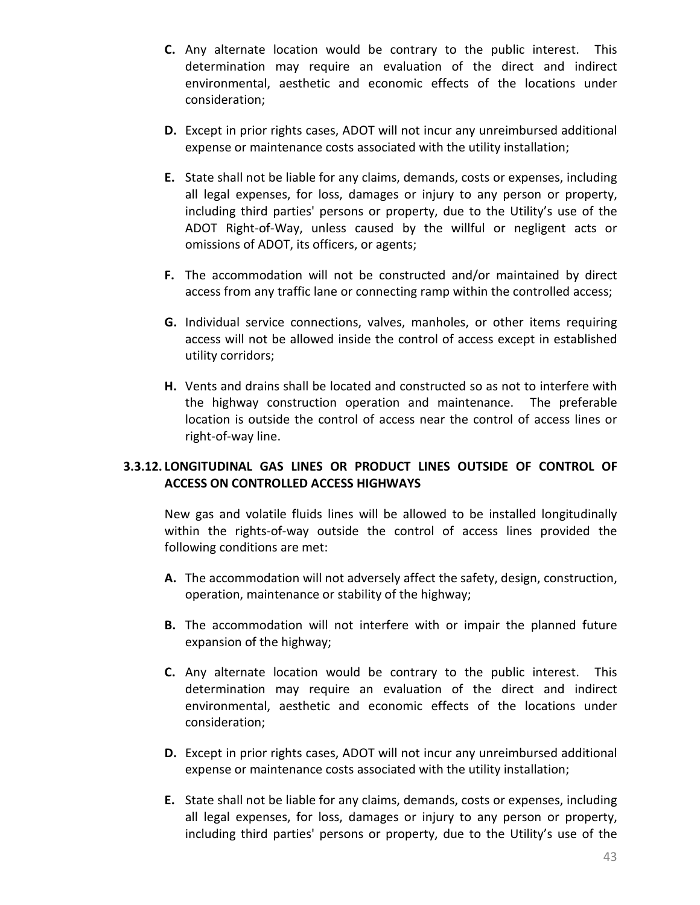- **C.** Any alternate location would be contrary to the public interest. This determination may require an evaluation of the direct and indirect environmental, aesthetic and economic effects of the locations under consideration;
- **D.** Except in prior rights cases, ADOT will not incur any unreimbursed additional expense or maintenance costs associated with the utility installation;
- **E.** State shall not be liable for any claims, demands, costs or expenses, including all legal expenses, for loss, damages or injury to any person or property, including third parties' persons or property, due to the Utility's use of the ADOT Right-of-Way, unless caused by the willful or negligent acts or omissions of ADOT, its officers, or agents;
- **F.** The accommodation will not be constructed and/or maintained by direct access from any traffic lane or connecting ramp within the controlled access;
- **G.** Individual service connections, valves, manholes, or other items requiring access will not be allowed inside the control of access except in established utility corridors;
- **H.** Vents and drains shall be located and constructed so as not to interfere with the highway construction operation and maintenance. The preferable location is outside the control of access near the control of access lines or right-of-way line.

# **3.3.12. LONGITUDINAL GAS LINES OR PRODUCT LINES OUTSIDE OF CONTROL OF ACCESS ON CONTROLLED ACCESS HIGHWAYS**

New gas and volatile fluids lines will be allowed to be installed longitudinally within the rights-of-way outside the control of access lines provided the following conditions are met:

- **A.** The accommodation will not adversely affect the safety, design, construction, operation, maintenance or stability of the highway;
- **B.** The accommodation will not interfere with or impair the planned future expansion of the highway;
- **C.** Any alternate location would be contrary to the public interest. This determination may require an evaluation of the direct and indirect environmental, aesthetic and economic effects of the locations under consideration;
- **D.** Except in prior rights cases, ADOT will not incur any unreimbursed additional expense or maintenance costs associated with the utility installation;
- **E.** State shall not be liable for any claims, demands, costs or expenses, including all legal expenses, for loss, damages or injury to any person or property, including third parties' persons or property, due to the Utility's use of the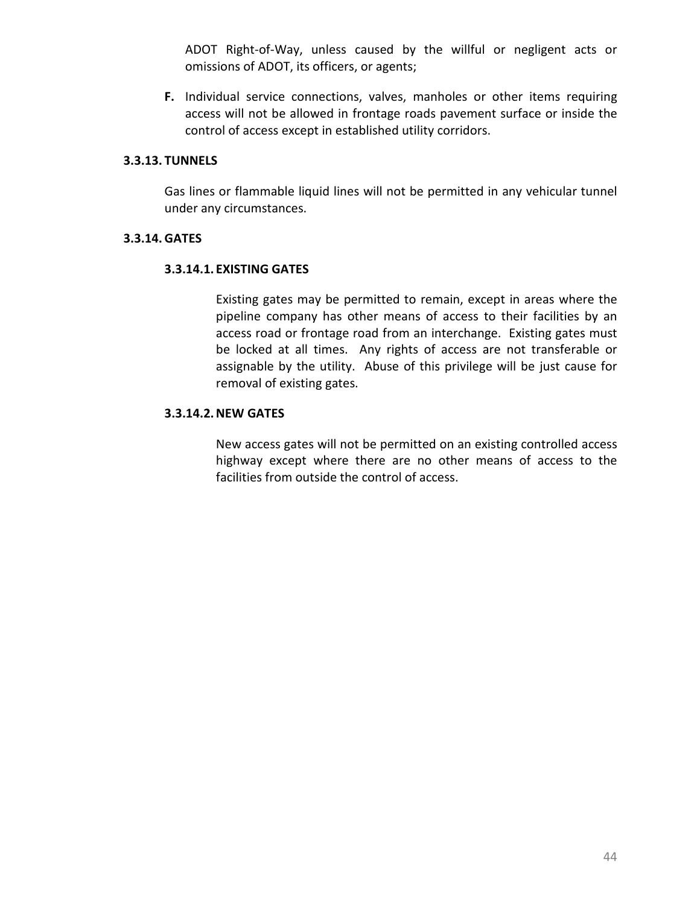ADOT Right-of-Way, unless caused by the willful or negligent acts or omissions of ADOT, its officers, or agents;

**F.** Individual service connections, valves, manholes or other items requiring access will not be allowed in frontage roads pavement surface or inside the control of access except in established utility corridors.

### **3.3.13. TUNNELS**

Gas lines or flammable liquid lines will not be permitted in any vehicular tunnel under any circumstances.

### **3.3.14. GATES**

### **3.3.14.1. EXISTING GATES**

Existing gates may be permitted to remain, except in areas where the pipeline company has other means of access to their facilities by an access road or frontage road from an interchange. Existing gates must be locked at all times. Any rights of access are not transferable or assignable by the utility. Abuse of this privilege will be just cause for removal of existing gates.

## **3.3.14.2.NEW GATES**

New access gates will not be permitted on an existing controlled access highway except where there are no other means of access to the facilities from outside the control of access.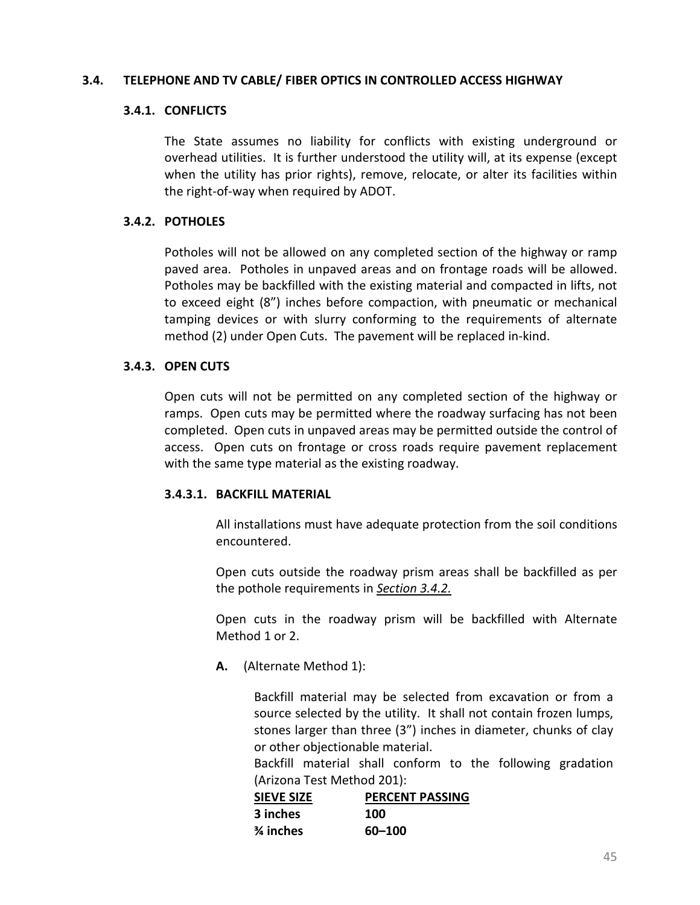### **3.4. TELEPHONE AND TV CABLE/ FIBER OPTICS IN CONTROLLED ACCESS HIGHWAY**

### **3.4.1. CONFLICTS**

The State assumes no liability for conflicts with existing underground or overhead utilities. It is further understood the utility will, at its expense (except when the utility has prior rights), remove, relocate, or alter its facilities within the right-of-way when required by ADOT.

### <span id="page-53-0"></span>**3.4.2. POTHOLES**

Potholes will not be allowed on any completed section of the highway or ramp paved area. Potholes in unpaved areas and on frontage roads will be allowed. Potholes may be backfilled with the existing material and compacted in lifts, not to exceed eight (8") inches before compaction, with pneumatic or mechanical tamping devices or with slurry conforming to the requirements of alternate method (2) under Open Cuts. The pavement will be replaced in-kind.

### **3.4.3. OPEN CUTS**

Open cuts will not be permitted on any completed section of the highway or ramps. Open cuts may be permitted where the roadway surfacing has not been completed. Open cuts in unpaved areas may be permitted outside the control of access. Open cuts on frontage or cross roads require pavement replacement with the same type material as the existing roadway.

## **3.4.3.1. BACKFILL MATERIAL**

All installations must have adequate protection from the soil conditions encountered.

Open cuts outside the roadway prism areas shall be backfilled as per the pothole requirements in *[Section 3.4.2.](#page-53-0)*

Open cuts in the roadway prism will be backfilled with Alternate Method 1 or 2.

**A.** (Alternate Method 1):

Backfill material may be selected from excavation or from a source selected by the utility. It shall not contain frozen lumps, stones larger than three (3") inches in diameter, chunks of clay or other objectionable material.

Backfill material shall conform to the following gradation (Arizona Test Method 201):

| <b>SIEVE SIZE</b> | <b>PERCENT PASSING</b> |
|-------------------|------------------------|
| 3 inches          | 100                    |
| % inches          | 60-100                 |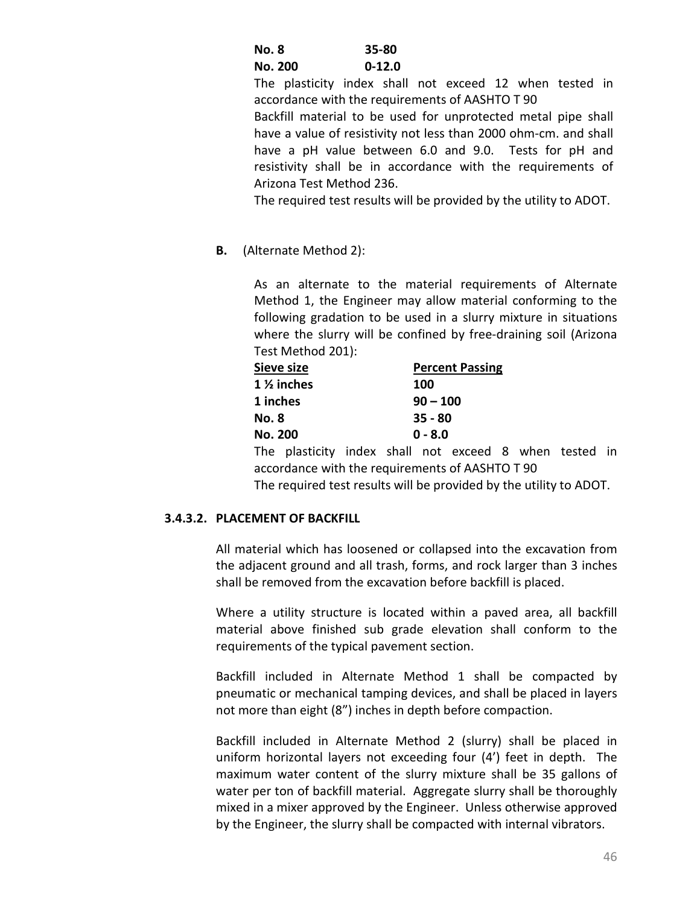| No. 8 |         | 35-80    |
|-------|---------|----------|
|       | No. 200 | $0-12.0$ |

The plasticity index shall not exceed 12 when tested in accordance with the requirements of AASHTO T 90

Backfill material to be used for unprotected metal pipe shall have a value of resistivity not less than 2000 ohm-cm. and shall have a pH value between 6.0 and 9.0. Tests for pH and resistivity shall be in accordance with the requirements of Arizona Test Method 236.

The required test results will be provided by the utility to ADOT.

**B.** (Alternate Method 2):

As an alternate to the material requirements of Alternate Method 1, the Engineer may allow material conforming to the following gradation to be used in a slurry mixture in situations where the slurry will be confined by free-draining soil (Arizona Test Method 201):

| Sieve size            | <b>Percent Passing</b> |
|-----------------------|------------------------|
| $1\frac{1}{2}$ inches | 100                    |
| 1 inches              | $90 - 100$             |
| No. 8                 | $35 - 80$              |
| No. 200               | $0 - 8.0$              |

The plasticity index shall not exceed 8 when tested in accordance with the requirements of AASHTO T 90

The required test results will be provided by the utility to ADOT.

## **3.4.3.2. PLACEMENT OF BACKFILL**

All material which has loosened or collapsed into the excavation from the adjacent ground and all trash, forms, and rock larger than 3 inches shall be removed from the excavation before backfill is placed.

Where a utility structure is located within a paved area, all backfill material above finished sub grade elevation shall conform to the requirements of the typical pavement section.

Backfill included in Alternate Method 1 shall be compacted by pneumatic or mechanical tamping devices, and shall be placed in layers not more than eight (8") inches in depth before compaction.

Backfill included in Alternate Method 2 (slurry) shall be placed in uniform horizontal layers not exceeding four (4') feet in depth. The maximum water content of the slurry mixture shall be 35 gallons of water per ton of backfill material. Aggregate slurry shall be thoroughly mixed in a mixer approved by the Engineer. Unless otherwise approved by the Engineer, the slurry shall be compacted with internal vibrators.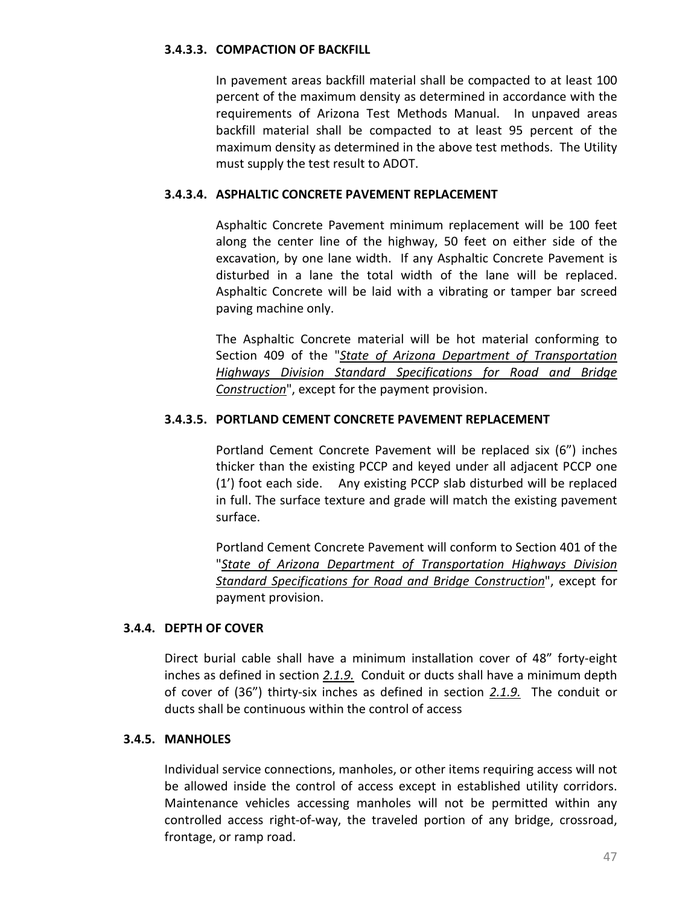## **3.4.3.3. COMPACTION OF BACKFILL**

In pavement areas backfill material shall be compacted to at least 100 percent of the maximum density as determined in accordance with the requirements of Arizona Test Methods Manual. In unpaved areas backfill material shall be compacted to at least 95 percent of the maximum density as determined in the above test methods. The Utility must supply the test result to ADOT.

## **3.4.3.4. ASPHALTIC CONCRETE PAVEMENT REPLACEMENT**

Asphaltic Concrete Pavement minimum replacement will be 100 feet along the center line of the highway, 50 feet on either side of the excavation, by one lane width. If any Asphaltic Concrete Pavement is disturbed in a lane the total width of the lane will be replaced. Asphaltic Concrete will be laid with a vibrating or tamper bar screed paving machine only.

The Asphaltic Concrete material will be hot material conforming to Section 409 of the "*[State of Arizona Department of Transportation](http://www.azdot.gov/business/ContractsandSpecifications/Specifications)  [Highways Division Standard Specifications for Road and Bridge](http://www.azdot.gov/business/ContractsandSpecifications/Specifications)  [Construction](http://www.azdot.gov/business/ContractsandSpecifications/Specifications)*", except for the payment provision.

## **3.4.3.5. PORTLAND CEMENT CONCRETE PAVEMENT REPLACEMENT**

Portland Cement Concrete Pavement will be replaced six (6") inches thicker than the existing PCCP and keyed under all adjacent PCCP one (1') foot each side. Any existing PCCP slab disturbed will be replaced in full. The surface texture and grade will match the existing pavement surface.

Portland Cement Concrete Pavement will conform to Section 401 of the "*[State of Arizona Department of Transportation Highways Division](http://www.azdot.gov/business/ContractsandSpecifications/Specifications)  [Standard Specifications for Road and Bridge Construction](http://www.azdot.gov/business/ContractsandSpecifications/Specifications)*", except for payment provision.

## **3.4.4. DEPTH OF COVER**

Direct burial cable shall have a minimum installation cover of 48" forty-eight inches as defined in section *[2.1.9.](#page-19-0)* Conduit or ducts shall have a minimum depth of cover of (36") thirty-six inches as defined in section *[2.1.9.](#page-19-0)* The conduit or ducts shall be continuous within the control of access

#### **3.4.5. MANHOLES**

Individual service connections, manholes, or other items requiring access will not be allowed inside the control of access except in established utility corridors. Maintenance vehicles accessing manholes will not be permitted within any controlled access right-of-way, the traveled portion of any bridge, crossroad, frontage, or ramp road.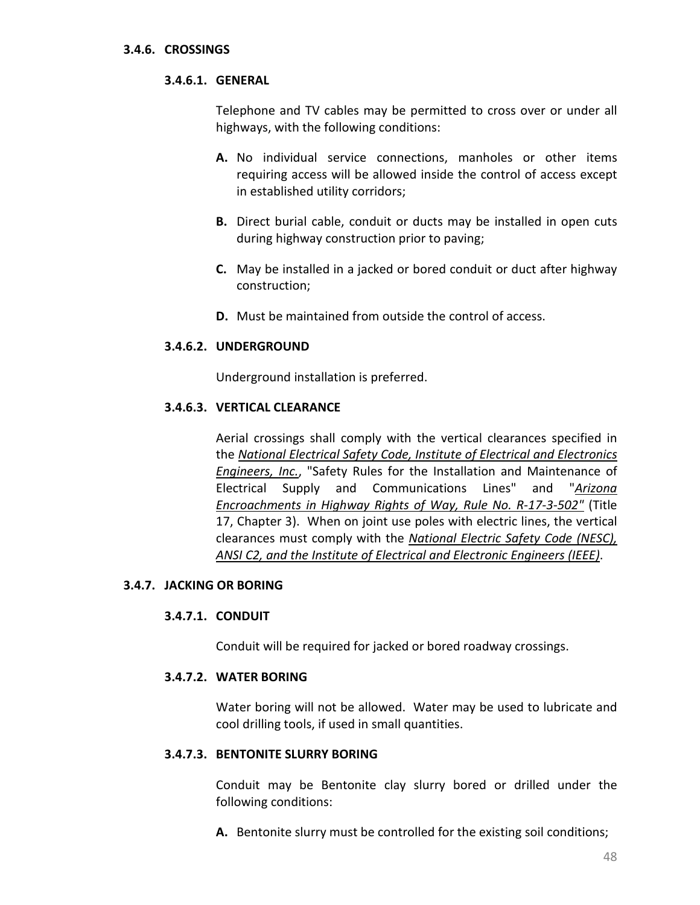### **3.4.6. CROSSINGS**

### **3.4.6.1. GENERAL**

Telephone and TV cables may be permitted to cross over or under all highways, with the following conditions:

- **A.** No individual service connections, manholes or other items requiring access will be allowed inside the control of access except in established utility corridors;
- **B.** Direct burial cable, conduit or ducts may be installed in open cuts during highway construction prior to paving;
- **C.** May be installed in a jacked or bored conduit or duct after highway construction;
- **D.** Must be maintained from outside the control of access.

### **3.4.6.2. UNDERGROUND**

Underground installation is preferred.

### **3.4.6.3. VERTICAL CLEARANCE**

Aerial crossings shall comply with the vertical clearances specified in the *[National Electrical Safety Code, Institute of Electrical and Electronics](http://standards.ieee.org/nesc/index.html)  [Engineers, Inc.](http://standards.ieee.org/nesc/index.html)*, "Safety Rules for the Installation and Maintenance of Electrical Supply and Communications Lines" and "*[Arizona](http://www.azsos.gov/rules/arizona-administrative-code)  [Encroachments in Highway Rights of Way, Rule No. R-17-3-502"](http://www.azsos.gov/rules/arizona-administrative-code)* (Title 17, Chapter 3). When on joint use poles with electric lines, the vertical clearances must comply with the *[National Electric Safety Code \(NESC\),](http://standards.ieee.org/nesc/index.html)  [ANSI C2, and the Institute of Electrical and Electronic Engineers \(IEEE\)](http://standards.ieee.org/nesc/index.html)*.

### **3.4.7. JACKING OR BORING**

#### **3.4.7.1. CONDUIT**

Conduit will be required for jacked or bored roadway crossings.

#### **3.4.7.2. WATER BORING**

Water boring will not be allowed. Water may be used to lubricate and cool drilling tools, if used in small quantities.

## **3.4.7.3. BENTONITE SLURRY BORING**

Conduit may be Bentonite clay slurry bored or drilled under the following conditions:

**A.** Bentonite slurry must be controlled for the existing soil conditions;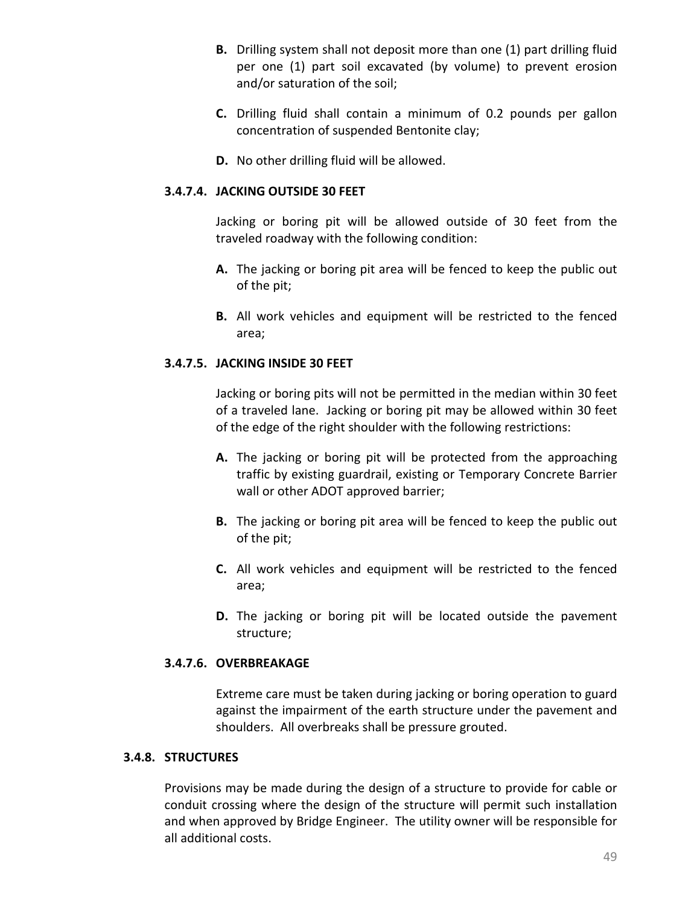- **B.** Drilling system shall not deposit more than one (1) part drilling fluid per one (1) part soil excavated (by volume) to prevent erosion and/or saturation of the soil;
- **C.** Drilling fluid shall contain a minimum of 0.2 pounds per gallon concentration of suspended Bentonite clay;
- **D.** No other drilling fluid will be allowed.

### **3.4.7.4. JACKING OUTSIDE 30 FEET**

Jacking or boring pit will be allowed outside of 30 feet from the traveled roadway with the following condition:

- **A.** The jacking or boring pit area will be fenced to keep the public out of the pit;
- **B.** All work vehicles and equipment will be restricted to the fenced area;

### **3.4.7.5. JACKING INSIDE 30 FEET**

Jacking or boring pits will not be permitted in the median within 30 feet of a traveled lane. Jacking or boring pit may be allowed within 30 feet of the edge of the right shoulder with the following restrictions:

- **A.** The jacking or boring pit will be protected from the approaching traffic by existing guardrail, existing or Temporary Concrete Barrier wall or other ADOT approved barrier;
- **B.** The jacking or boring pit area will be fenced to keep the public out of the pit;
- **C.** All work vehicles and equipment will be restricted to the fenced area;
- **D.** The jacking or boring pit will be located outside the pavement structure;

## **3.4.7.6. OVERBREAKAGE**

Extreme care must be taken during jacking or boring operation to guard against the impairment of the earth structure under the pavement and shoulders. All overbreaks shall be pressure grouted.

#### **3.4.8. STRUCTURES**

Provisions may be made during the design of a structure to provide for cable or conduit crossing where the design of the structure will permit such installation and when approved by Bridge Engineer. The utility owner will be responsible for all additional costs.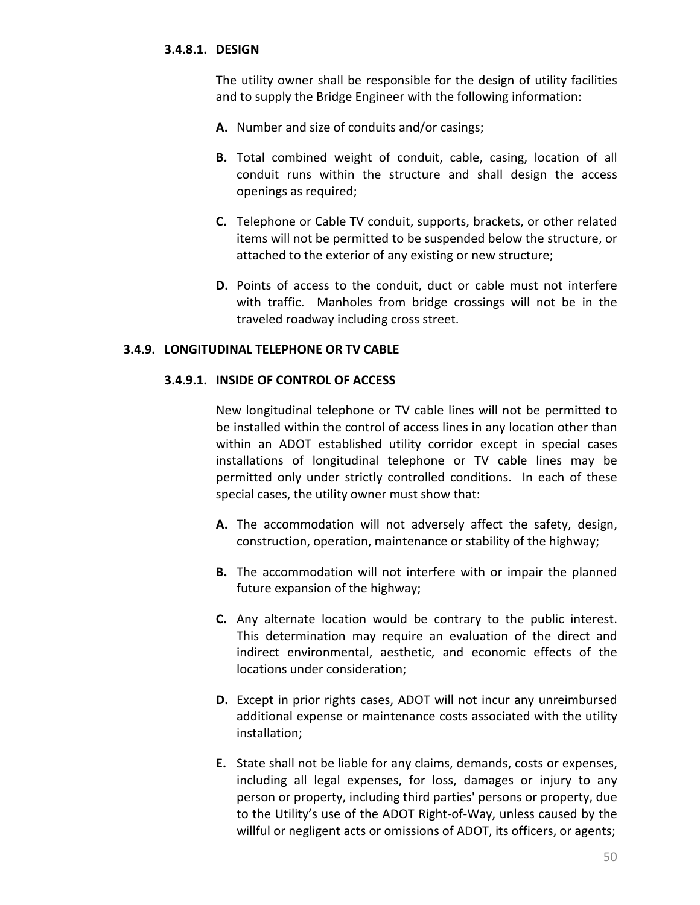### **3.4.8.1. DESIGN**

The utility owner shall be responsible for the design of utility facilities and to supply the Bridge Engineer with the following information:

- **A.** Number and size of conduits and/or casings;
- **B.** Total combined weight of conduit, cable, casing, location of all conduit runs within the structure and shall design the access openings as required;
- **C.** Telephone or Cable TV conduit, supports, brackets, or other related items will not be permitted to be suspended below the structure, or attached to the exterior of any existing or new structure;
- **D.** Points of access to the conduit, duct or cable must not interfere with traffic. Manholes from bridge crossings will not be in the traveled roadway including cross street.

#### **3.4.9. LONGITUDINAL TELEPHONE OR TV CABLE**

### **3.4.9.1. INSIDE OF CONTROL OF ACCESS**

New longitudinal telephone or TV cable lines will not be permitted to be installed within the control of access lines in any location other than within an ADOT established utility corridor except in special cases installations of longitudinal telephone or TV cable lines may be permitted only under strictly controlled conditions. In each of these special cases, the utility owner must show that:

- **A.** The accommodation will not adversely affect the safety, design, construction, operation, maintenance or stability of the highway;
- **B.** The accommodation will not interfere with or impair the planned future expansion of the highway;
- **C.** Any alternate location would be contrary to the public interest. This determination may require an evaluation of the direct and indirect environmental, aesthetic, and economic effects of the locations under consideration;
- **D.** Except in prior rights cases, ADOT will not incur any unreimbursed additional expense or maintenance costs associated with the utility installation;
- **E.** State shall not be liable for any claims, demands, costs or expenses, including all legal expenses, for loss, damages or injury to any person or property, including third parties' persons or property, due to the Utility's use of the ADOT Right-of-Way, unless caused by the willful or negligent acts or omissions of ADOT, its officers, or agents;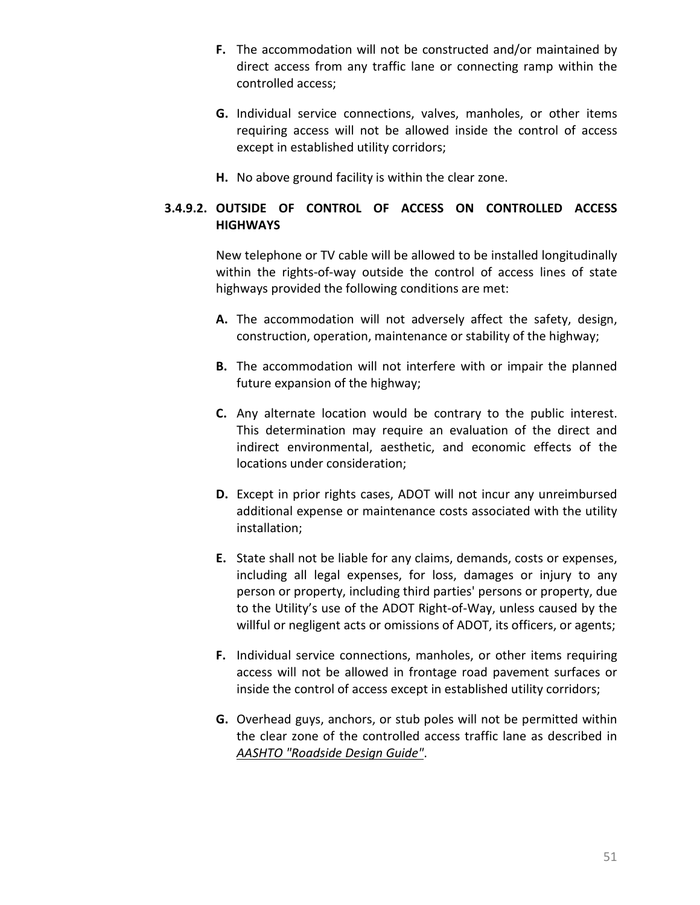- **F.** The accommodation will not be constructed and/or maintained by direct access from any traffic lane or connecting ramp within the controlled access;
- **G.** Individual service connections, valves, manholes, or other items requiring access will not be allowed inside the control of access except in established utility corridors;
- **H.** No above ground facility is within the clear zone.

# **3.4.9.2. OUTSIDE OF CONTROL OF ACCESS ON CONTROLLED ACCESS HIGHWAYS**

New telephone or TV cable will be allowed to be installed longitudinally within the rights-of-way outside the control of access lines of state highways provided the following conditions are met:

- **A.** The accommodation will not adversely affect the safety, design, construction, operation, maintenance or stability of the highway;
- **B.** The accommodation will not interfere with or impair the planned future expansion of the highway;
- **C.** Any alternate location would be contrary to the public interest. This determination may require an evaluation of the direct and indirect environmental, aesthetic, and economic effects of the locations under consideration;
- **D.** Except in prior rights cases, ADOT will not incur any unreimbursed additional expense or maintenance costs associated with the utility installation;
- **E.** State shall not be liable for any claims, demands, costs or expenses, including all legal expenses, for loss, damages or injury to any person or property, including third parties' persons or property, due to the Utility's use of the ADOT Right-of-Way, unless caused by the willful or negligent acts or omissions of ADOT, its officers, or agents;
- **F.** Individual service connections, manholes, or other items requiring access will not be allowed in frontage road pavement surfaces or inside the control of access except in established utility corridors;
- **G.** Overhead guys, anchors, or stub poles will not be permitted within the clear zone of the controlled access traffic lane as described in *[AASHTO "Roadside Design Guide"](http://www.fhwa.dot.gov/programadmin/clearzone.cfm)*.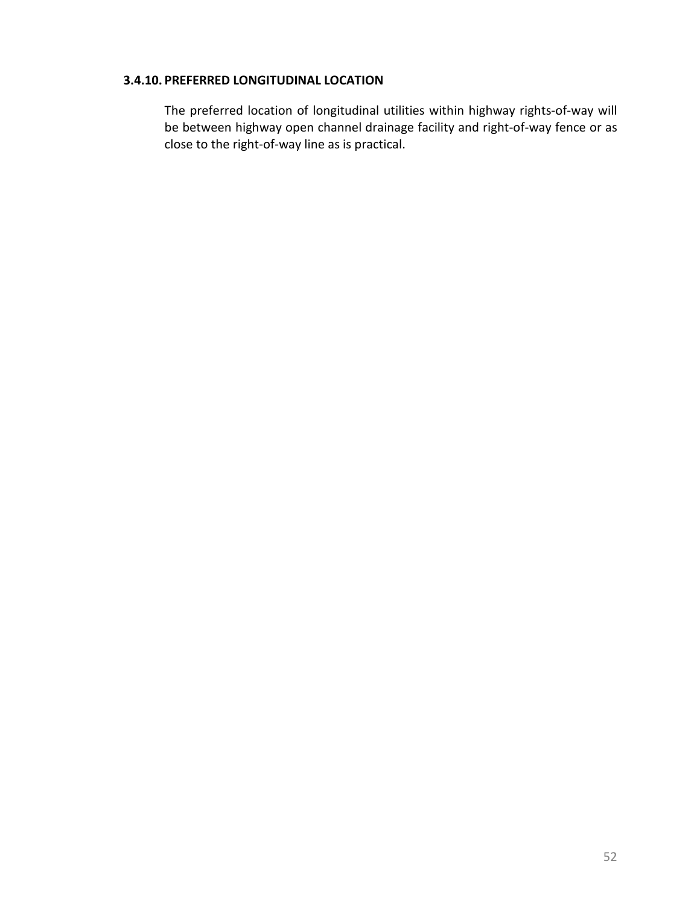## **3.4.10. PREFERRED LONGITUDINAL LOCATION**

The preferred location of longitudinal utilities within highway rights-of-way will be between highway open channel drainage facility and right-of-way fence or as close to the right-of-way line as is practical.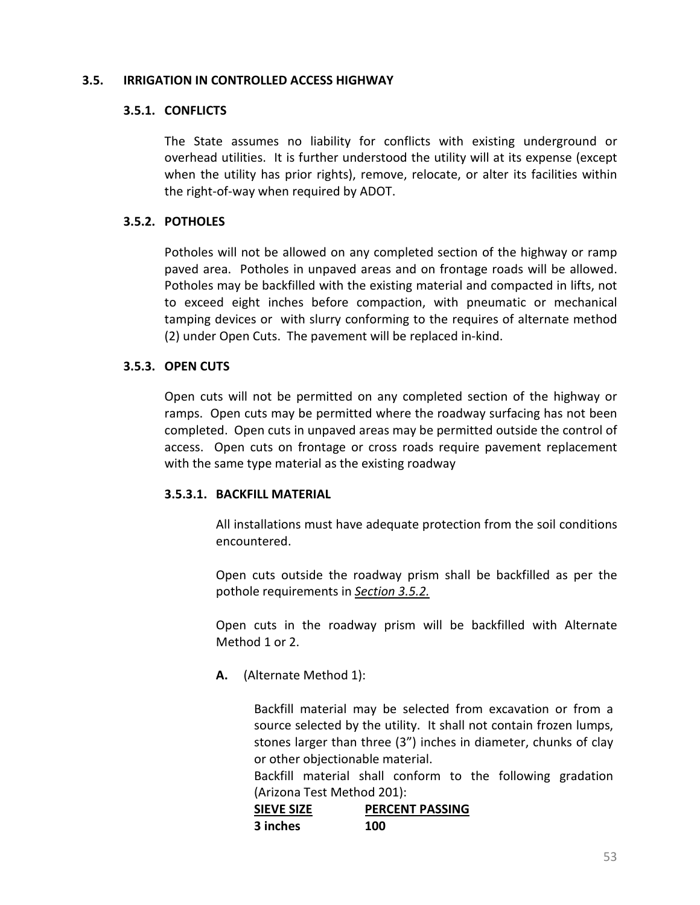### **3.5. IRRIGATION IN CONTROLLED ACCESS HIGHWAY**

### **3.5.1. CONFLICTS**

<span id="page-61-0"></span>The State assumes no liability for conflicts with existing underground or overhead utilities. It is further understood the utility will at its expense (except when the utility has prior rights), remove, relocate, or alter its facilities within the right-of-way when required by ADOT.

### **3.5.2. POTHOLES**

Potholes will not be allowed on any completed section of the highway or ramp paved area. Potholes in unpaved areas and on frontage roads will be allowed. Potholes may be backfilled with the existing material and compacted in lifts, not to exceed eight inches before compaction, with pneumatic or mechanical tamping devices or with slurry conforming to the requires of alternate method (2) under Open Cuts. The pavement will be replaced in-kind.

### **3.5.3. OPEN CUTS**

Open cuts will not be permitted on any completed section of the highway or ramps. Open cuts may be permitted where the roadway surfacing has not been completed. Open cuts in unpaved areas may be permitted outside the control of access. Open cuts on frontage or cross roads require pavement replacement with the same type material as the existing roadway

## **3.5.3.1. BACKFILL MATERIAL**

All installations must have adequate protection from the soil conditions encountered.

Open cuts outside the roadway prism shall be backfilled as per the pothole requirements in *[Section 3.5.2.](#page-61-0)*

Open cuts in the roadway prism will be backfilled with Alternate Method 1 or 2.

**A.** (Alternate Method 1):

Backfill material may be selected from excavation or from a source selected by the utility. It shall not contain frozen lumps, stones larger than three (3") inches in diameter, chunks of clay or other objectionable material.

Backfill material shall conform to the following gradation (Arizona Test Method 201):

| <b>SIEVE SIZE</b> | <b>PERCENT PASSING</b> |
|-------------------|------------------------|
| 3 inches          | 100                    |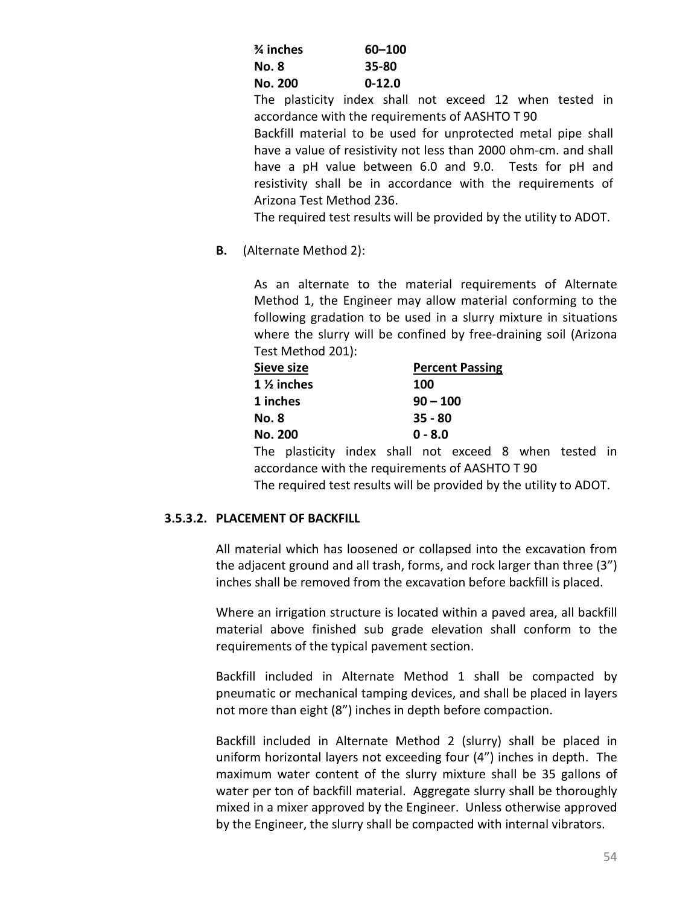| % inches       | 60-100   |
|----------------|----------|
| No. 8          | 35-80    |
| <b>No. 200</b> | $0-12.0$ |

The plasticity index shall not exceed 12 when tested in accordance with the requirements of AASHTO T 90

Backfill material to be used for unprotected metal pipe shall have a value of resistivity not less than 2000 ohm-cm. and shall have a pH value between 6.0 and 9.0. Tests for pH and resistivity shall be in accordance with the requirements of Arizona Test Method 236.

The required test results will be provided by the utility to ADOT.

**B.** (Alternate Method 2):

As an alternate to the material requirements of Alternate Method 1, the Engineer may allow material conforming to the following gradation to be used in a slurry mixture in situations where the slurry will be confined by free-draining soil (Arizona Test Method 201):

| Sieve size            | <b>Percent Passing</b> |  |
|-----------------------|------------------------|--|
| $1\frac{1}{2}$ inches | 100                    |  |
| 1 inches              | $90 - 100$             |  |
| <b>No. 8</b>          | $35 - 80$              |  |
| No. 200               | $0 - 8.0$              |  |

The plasticity index shall not exceed 8 when tested in accordance with the requirements of AASHTO T 90

## The required test results will be provided by the utility to ADOT.

## **3.5.3.2. PLACEMENT OF BACKFILL**

All material which has loosened or collapsed into the excavation from the adjacent ground and all trash, forms, and rock larger than three (3") inches shall be removed from the excavation before backfill is placed.

Where an irrigation structure is located within a paved area, all backfill material above finished sub grade elevation shall conform to the requirements of the typical pavement section.

Backfill included in Alternate Method 1 shall be compacted by pneumatic or mechanical tamping devices, and shall be placed in layers not more than eight (8") inches in depth before compaction.

Backfill included in Alternate Method 2 (slurry) shall be placed in uniform horizontal layers not exceeding four (4") inches in depth. The maximum water content of the slurry mixture shall be 35 gallons of water per ton of backfill material. Aggregate slurry shall be thoroughly mixed in a mixer approved by the Engineer. Unless otherwise approved by the Engineer, the slurry shall be compacted with internal vibrators.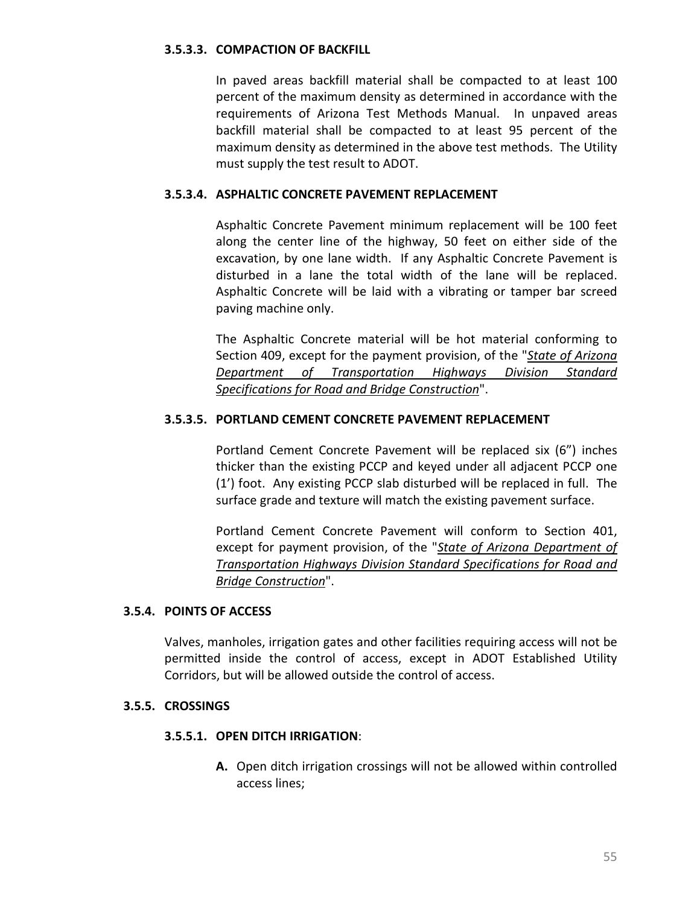## **3.5.3.3. COMPACTION OF BACKFILL**

In paved areas backfill material shall be compacted to at least 100 percent of the maximum density as determined in accordance with the requirements of Arizona Test Methods Manual. In unpaved areas backfill material shall be compacted to at least 95 percent of the maximum density as determined in the above test methods. The Utility must supply the test result to ADOT.

## **3.5.3.4. ASPHALTIC CONCRETE PAVEMENT REPLACEMENT**

Asphaltic Concrete Pavement minimum replacement will be 100 feet along the center line of the highway, 50 feet on either side of the excavation, by one lane width. If any Asphaltic Concrete Pavement is disturbed in a lane the total width of the lane will be replaced. Asphaltic Concrete will be laid with a vibrating or tamper bar screed paving machine only.

The Asphaltic Concrete material will be hot material conforming to Section 409, except for the payment provision, of the "*[State of Arizona](http://www.azdot.gov/business/ContractsandSpecifications/Specifications)  [Department of Transportation Highways Division Standard](http://www.azdot.gov/business/ContractsandSpecifications/Specifications)  [Specifications for Road and Bridge Construction](http://www.azdot.gov/business/ContractsandSpecifications/Specifications)*".

## **3.5.3.5. PORTLAND CEMENT CONCRETE PAVEMENT REPLACEMENT**

Portland Cement Concrete Pavement will be replaced six (6") inches thicker than the existing PCCP and keyed under all adjacent PCCP one (1') foot. Any existing PCCP slab disturbed will be replaced in full. The surface grade and texture will match the existing pavement surface.

Portland Cement Concrete Pavement will conform to Section 401, except for payment provision, of the "*[State of Arizona Department of](http://www.azdot.gov/business/ContractsandSpecifications/Specifications)  [Transportation Highways Division Standard Specifications for Road and](http://www.azdot.gov/business/ContractsandSpecifications/Specifications)  [Bridge Construction](http://www.azdot.gov/business/ContractsandSpecifications/Specifications)*".

## **3.5.4. POINTS OF ACCESS**

Valves, manholes, irrigation gates and other facilities requiring access will not be permitted inside the control of access, except in ADOT Established Utility Corridors, but will be allowed outside the control of access.

### **3.5.5. CROSSINGS**

## **3.5.5.1. OPEN DITCH IRRIGATION**:

**A.** Open ditch irrigation crossings will not be allowed within controlled access lines;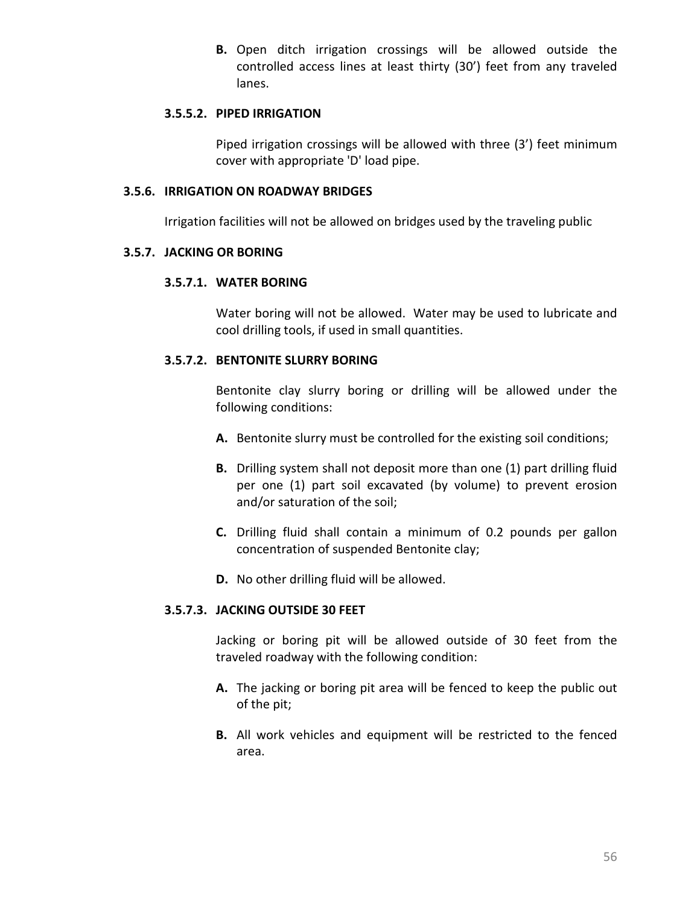**B.** Open ditch irrigation crossings will be allowed outside the controlled access lines at least thirty (30') feet from any traveled lanes.

## **3.5.5.2. PIPED IRRIGATION**

Piped irrigation crossings will be allowed with three (3') feet minimum cover with appropriate 'D' load pipe.

# **3.5.6. IRRIGATION ON ROADWAY BRIDGES**

Irrigation facilities will not be allowed on bridges used by the traveling public

### **3.5.7. JACKING OR BORING**

### **3.5.7.1. WATER BORING**

Water boring will not be allowed. Water may be used to lubricate and cool drilling tools, if used in small quantities.

## **3.5.7.2. BENTONITE SLURRY BORING**

Bentonite clay slurry boring or drilling will be allowed under the following conditions:

- **A.** Bentonite slurry must be controlled for the existing soil conditions;
- **B.** Drilling system shall not deposit more than one (1) part drilling fluid per one (1) part soil excavated (by volume) to prevent erosion and/or saturation of the soil;
- **C.** Drilling fluid shall contain a minimum of 0.2 pounds per gallon concentration of suspended Bentonite clay;
- **D.** No other drilling fluid will be allowed.

## **3.5.7.3. JACKING OUTSIDE 30 FEET**

Jacking or boring pit will be allowed outside of 30 feet from the traveled roadway with the following condition:

- **A.** The jacking or boring pit area will be fenced to keep the public out of the pit;
- **B.** All work vehicles and equipment will be restricted to the fenced area.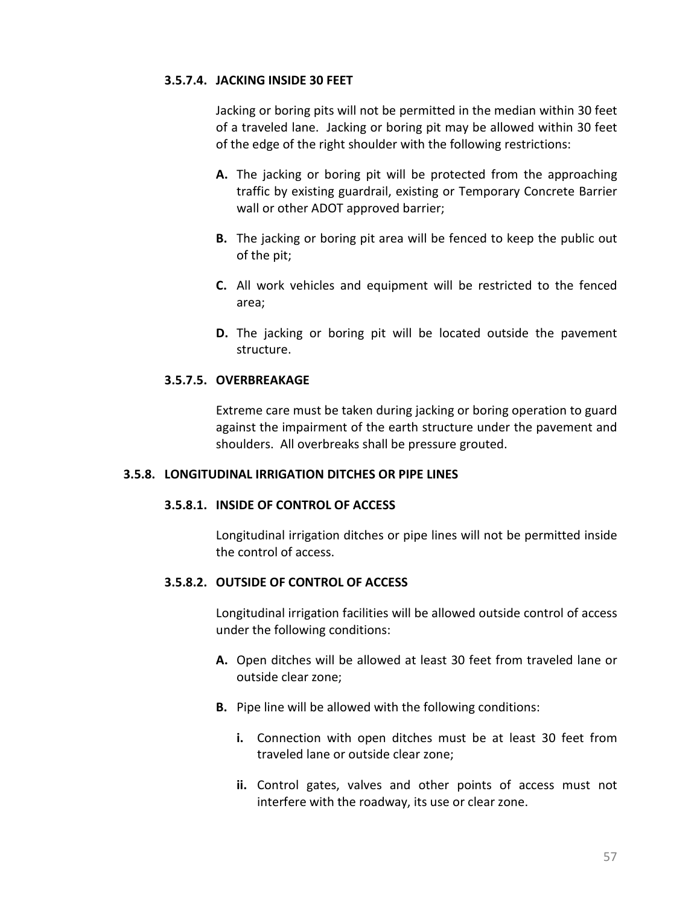## **3.5.7.4. JACKING INSIDE 30 FEET**

Jacking or boring pits will not be permitted in the median within 30 feet of a traveled lane. Jacking or boring pit may be allowed within 30 feet of the edge of the right shoulder with the following restrictions:

- **A.** The jacking or boring pit will be protected from the approaching traffic by existing guardrail, existing or Temporary Concrete Barrier wall or other ADOT approved barrier;
- **B.** The jacking or boring pit area will be fenced to keep the public out of the pit;
- **C.** All work vehicles and equipment will be restricted to the fenced area;
- **D.** The jacking or boring pit will be located outside the pavement structure.

# **3.5.7.5. OVERBREAKAGE**

Extreme care must be taken during jacking or boring operation to guard against the impairment of the earth structure under the pavement and shoulders. All overbreaks shall be pressure grouted.

## **3.5.8. LONGITUDINAL IRRIGATION DITCHES OR PIPE LINES**

## **3.5.8.1. INSIDE OF CONTROL OF ACCESS**

Longitudinal irrigation ditches or pipe lines will not be permitted inside the control of access.

## **3.5.8.2. OUTSIDE OF CONTROL OF ACCESS**

Longitudinal irrigation facilities will be allowed outside control of access under the following conditions:

- **A.** Open ditches will be allowed at least 30 feet from traveled lane or outside clear zone;
- **B.** Pipe line will be allowed with the following conditions:
	- **i.** Connection with open ditches must be at least 30 feet from traveled lane or outside clear zone;
	- **ii.** Control gates, valves and other points of access must not interfere with the roadway, its use or clear zone.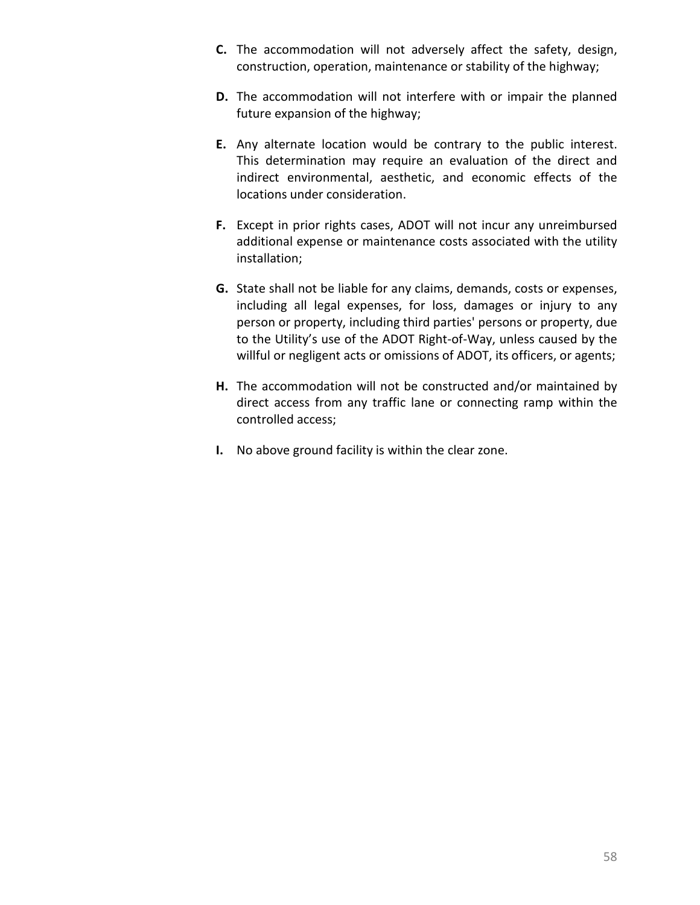- **C.** The accommodation will not adversely affect the safety, design, construction, operation, maintenance or stability of the highway;
- **D.** The accommodation will not interfere with or impair the planned future expansion of the highway;
- **E.** Any alternate location would be contrary to the public interest. This determination may require an evaluation of the direct and indirect environmental, aesthetic, and economic effects of the locations under consideration.
- **F.** Except in prior rights cases, ADOT will not incur any unreimbursed additional expense or maintenance costs associated with the utility installation;
- **G.** State shall not be liable for any claims, demands, costs or expenses, including all legal expenses, for loss, damages or injury to any person or property, including third parties' persons or property, due to the Utility's use of the ADOT Right-of-Way, unless caused by the willful or negligent acts or omissions of ADOT, its officers, or agents;
- **H.** The accommodation will not be constructed and/or maintained by direct access from any traffic lane or connecting ramp within the controlled access;
- **I.** No above ground facility is within the clear zone.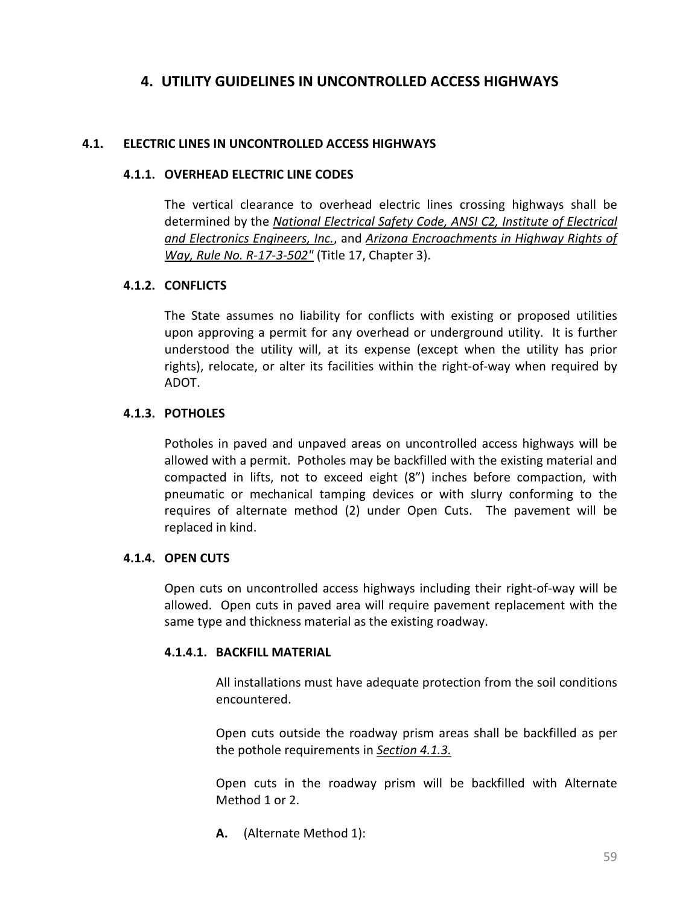# **4. UTILITY GUIDELINES IN UNCONTROLLED ACCESS HIGHWAYS**

### **4.1. ELECTRIC LINES IN UNCONTROLLED ACCESS HIGHWAYS**

#### **4.1.1. OVERHEAD ELECTRIC LINE CODES**

The vertical clearance to overhead electric lines crossing highways shall be determined by the *[National Electrical Safety Code, ANSI C2, Institute of Electrical](http://standards.ieee.org/nesc/index.html)  [and Electronics Engineers, Inc.](http://standards.ieee.org/nesc/index.html)*, and *[Arizona Encroachments in Highway Rights of](http://www.azsos.gov/rules/arizona-administrative-code)  [Way, Rule No. R-17-3-502"](http://www.azsos.gov/rules/arizona-administrative-code)* (Title 17, Chapter 3).

### **4.1.2. CONFLICTS**

The State assumes no liability for conflicts with existing or proposed utilities upon approving a permit for any overhead or underground utility. It is further understood the utility will, at its expense (except when the utility has prior rights), relocate, or alter its facilities within the right-of-way when required by ADOT.

## <span id="page-67-0"></span>**4.1.3. POTHOLES**

Potholes in paved and unpaved areas on uncontrolled access highways will be allowed with a permit. Potholes may be backfilled with the existing material and compacted in lifts, not to exceed eight (8") inches before compaction, with pneumatic or mechanical tamping devices or with slurry conforming to the requires of alternate method (2) under Open Cuts. The pavement will be replaced in kind.

#### **4.1.4. OPEN CUTS**

Open cuts on uncontrolled access highways including their right-of-way will be allowed. Open cuts in paved area will require pavement replacement with the same type and thickness material as the existing roadway.

#### **4.1.4.1. BACKFILL MATERIAL**

All installations must have adequate protection from the soil conditions encountered.

Open cuts outside the roadway prism areas shall be backfilled as per the pothole requirements in *[Section 4.1.3.](#page-67-0)*

Open cuts in the roadway prism will be backfilled with Alternate Method 1 or 2.

**A.** (Alternate Method 1):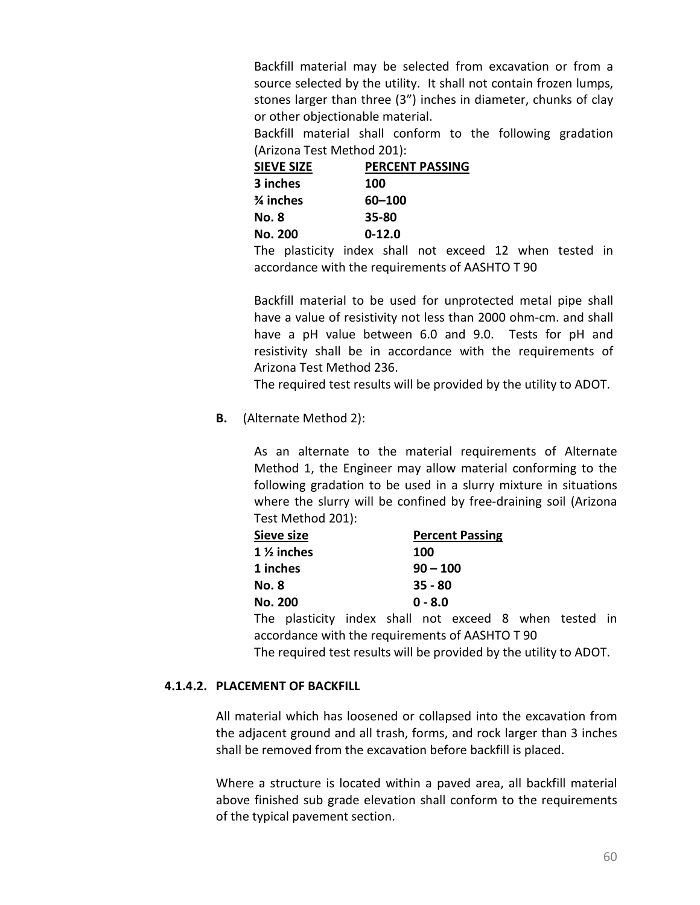Backfill material may be selected from excavation or from a source selected by the utility. It shall not contain frozen lumps, stones larger than three (3") inches in diameter, chunks of clay or other objectionable material.

Backfill material shall conform to the following gradation (Arizona Test Method 201):

| <b>SIEVE SIZE</b> | <b>PERCENT PASSING</b> |
|-------------------|------------------------|
| 3 inches          | 100                    |
| % inches          | 60-100                 |
| No. 8             | 35-80                  |
| <b>No. 200</b>    | $0 - 12.0$             |

The plasticity index shall not exceed 12 when tested in accordance with the requirements of AASHTO T 90

Backfill material to be used for unprotected metal pipe shall have a value of resistivity not less than 2000 ohm-cm. and shall have a pH value between 6.0 and 9.0. Tests for pH and resistivity shall be in accordance with the requirements of Arizona Test Method 236.

The required test results will be provided by the utility to ADOT.

**B.** (Alternate Method 2):

As an alternate to the material requirements of Alternate Method 1, the Engineer may allow material conforming to the following gradation to be used in a slurry mixture in situations where the slurry will be confined by free-draining soil (Arizona Test Method 201):

| Sieve size                                      |                                                        |            | <b>Percent Passing</b> |  |  |  |  |  |  |
|-------------------------------------------------|--------------------------------------------------------|------------|------------------------|--|--|--|--|--|--|
|                                                 | $1\frac{1}{2}$ inches                                  |            | 100                    |  |  |  |  |  |  |
| 1 inches                                        |                                                        | $90 - 100$ |                        |  |  |  |  |  |  |
| <b>No. 8</b>                                    |                                                        | $35 - 80$  |                        |  |  |  |  |  |  |
| <b>No. 200</b><br>$0 - 8.0$                     |                                                        |            |                        |  |  |  |  |  |  |
|                                                 | The plasticity index shall not exceed 8 when tested in |            |                        |  |  |  |  |  |  |
| accordance with the requirements of AASHTO T 90 |                                                        |            |                        |  |  |  |  |  |  |

The required test results will be provided by the utility to ADOT.

# **4.1.4.2. PLACEMENT OF BACKFILL**

All material which has loosened or collapsed into the excavation from the adjacent ground and all trash, forms, and rock larger than 3 inches shall be removed from the excavation before backfill is placed.

Where a structure is located within a paved area, all backfill material above finished sub grade elevation shall conform to the requirements of the typical pavement section.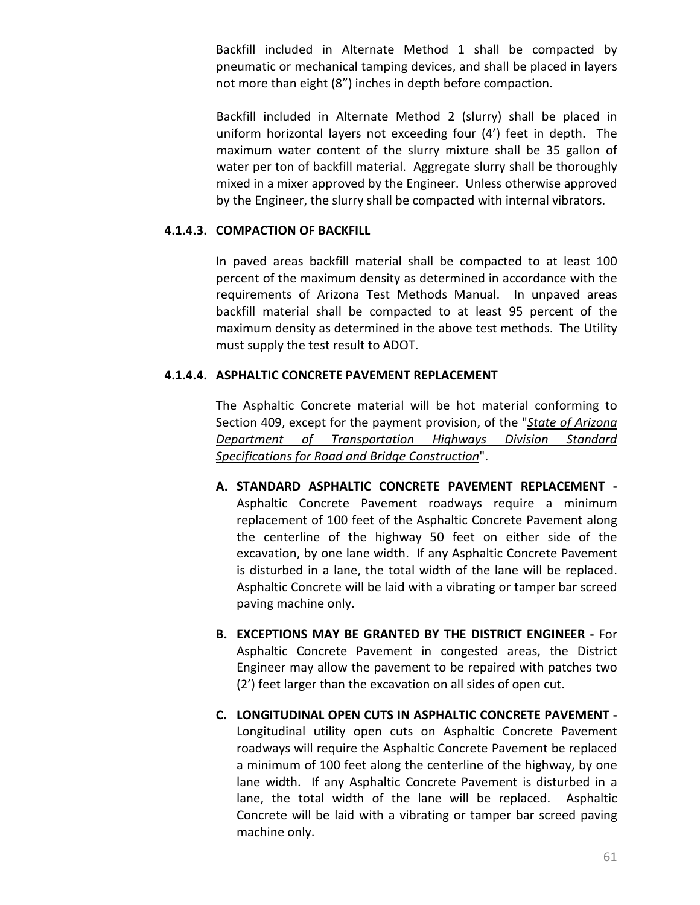Backfill included in Alternate Method 1 shall be compacted by pneumatic or mechanical tamping devices, and shall be placed in layers not more than eight (8") inches in depth before compaction.

Backfill included in Alternate Method 2 (slurry) shall be placed in uniform horizontal layers not exceeding four (4') feet in depth. The maximum water content of the slurry mixture shall be 35 gallon of water per ton of backfill material. Aggregate slurry shall be thoroughly mixed in a mixer approved by the Engineer. Unless otherwise approved by the Engineer, the slurry shall be compacted with internal vibrators.

# **4.1.4.3. COMPACTION OF BACKFILL**

In paved areas backfill material shall be compacted to at least 100 percent of the maximum density as determined in accordance with the requirements of Arizona Test Methods Manual. In unpaved areas backfill material shall be compacted to at least 95 percent of the maximum density as determined in the above test methods. The Utility must supply the test result to ADOT.

## **4.1.4.4. ASPHALTIC CONCRETE PAVEMENT REPLACEMENT**

The Asphaltic Concrete material will be hot material conforming to Section 409, except for the payment provision, of the "*[State of Arizona](http://www.azdot.gov/business/ContractsandSpecifications/Specifications)  [Department of Transportation Highways Division Standard](http://www.azdot.gov/business/ContractsandSpecifications/Specifications)  [Specifications for Road and Bridge Construction](http://www.azdot.gov/business/ContractsandSpecifications/Specifications)*".

- **A. STANDARD ASPHALTIC CONCRETE PAVEMENT REPLACEMENT -** Asphaltic Concrete Pavement roadways require a minimum replacement of 100 feet of the Asphaltic Concrete Pavement along the centerline of the highway 50 feet on either side of the excavation, by one lane width. If any Asphaltic Concrete Pavement is disturbed in a lane, the total width of the lane will be replaced. Asphaltic Concrete will be laid with a vibrating or tamper bar screed paving machine only.
- **B. EXCEPTIONS MAY BE GRANTED BY THE DISTRICT ENGINEER -** For Asphaltic Concrete Pavement in congested areas, the District Engineer may allow the pavement to be repaired with patches two (2') feet larger than the excavation on all sides of open cut.
- **C. LONGITUDINAL OPEN CUTS IN ASPHALTIC CONCRETE PAVEMENT -** Longitudinal utility open cuts on Asphaltic Concrete Pavement roadways will require the Asphaltic Concrete Pavement be replaced a minimum of 100 feet along the centerline of the highway, by one lane width. If any Asphaltic Concrete Pavement is disturbed in a lane, the total width of the lane will be replaced. Asphaltic Concrete will be laid with a vibrating or tamper bar screed paving machine only.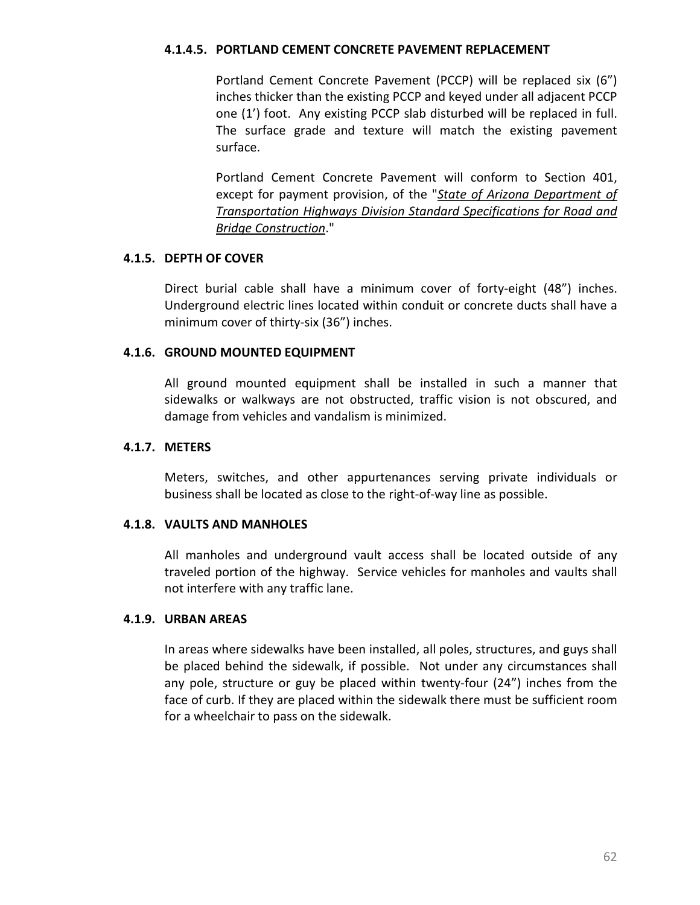## **4.1.4.5. PORTLAND CEMENT CONCRETE PAVEMENT REPLACEMENT**

Portland Cement Concrete Pavement (PCCP) will be replaced six (6") inches thicker than the existing PCCP and keyed under all adjacent PCCP one (1') foot. Any existing PCCP slab disturbed will be replaced in full. The surface grade and texture will match the existing pavement surface.

Portland Cement Concrete Pavement will conform to Section 401, except for payment provision, of the "*[State of Arizona Department of](http://www.azdot.gov/business/ContractsandSpecifications/Specifications)  [Transportation Highways Division Standard Specifications for Road and](http://www.azdot.gov/business/ContractsandSpecifications/Specifications)  [Bridge Construction](http://www.azdot.gov/business/ContractsandSpecifications/Specifications)*."

### **4.1.5. DEPTH OF COVER**

Direct burial cable shall have a minimum cover of forty-eight (48") inches. Underground electric lines located within conduit or concrete ducts shall have a minimum cover of thirty-six (36") inches.

### **4.1.6. GROUND MOUNTED EQUIPMENT**

All ground mounted equipment shall be installed in such a manner that sidewalks or walkways are not obstructed, traffic vision is not obscured, and damage from vehicles and vandalism is minimized.

### **4.1.7. METERS**

Meters, switches, and other appurtenances serving private individuals or business shall be located as close to the right-of-way line as possible.

## **4.1.8. VAULTS AND MANHOLES**

All manholes and underground vault access shall be located outside of any traveled portion of the highway. Service vehicles for manholes and vaults shall not interfere with any traffic lane.

#### **4.1.9. URBAN AREAS**

In areas where sidewalks have been installed, all poles, structures, and guys shall be placed behind the sidewalk, if possible. Not under any circumstances shall any pole, structure or guy be placed within twenty-four (24") inches from the face of curb. If they are placed within the sidewalk there must be sufficient room for a wheelchair to pass on the sidewalk.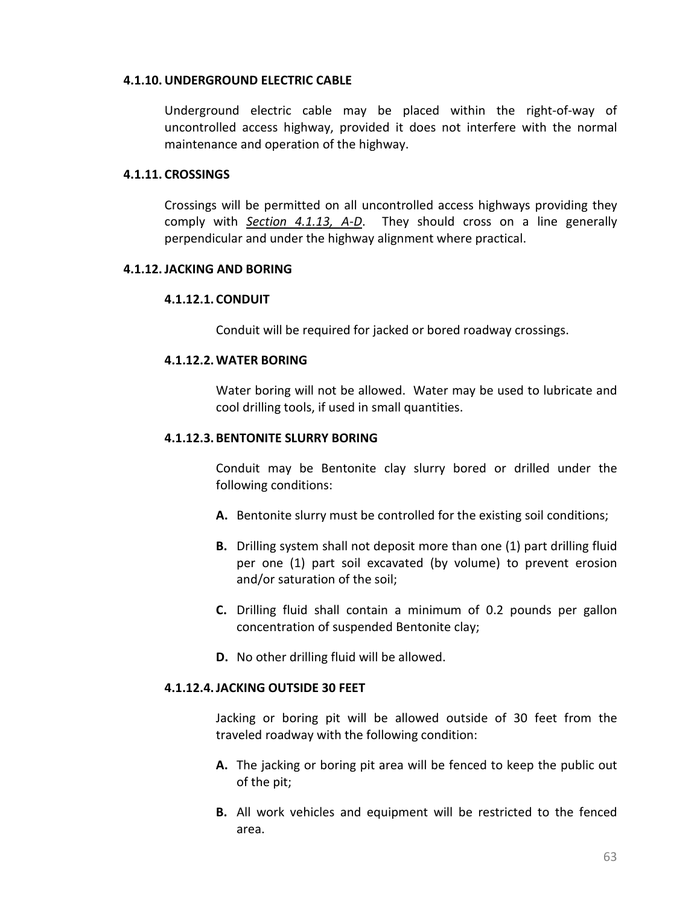#### **4.1.10.UNDERGROUND ELECTRIC CABLE**

Underground electric cable may be placed within the right-of-way of uncontrolled access highway, provided it does not interfere with the normal maintenance and operation of the highway.

### **4.1.11. CROSSINGS**

Crossings will be permitted on all uncontrolled access highways providing they comply with *[Section 4.1.13, A-D](#page-72-0)*. They should cross on a line generally perpendicular and under the highway alignment where practical.

### **4.1.12.JACKING AND BORING**

## **4.1.12.1. CONDUIT**

Conduit will be required for jacked or bored roadway crossings.

## **4.1.12.2.WATER BORING**

Water boring will not be allowed. Water may be used to lubricate and cool drilling tools, if used in small quantities.

### **4.1.12.3. BENTONITE SLURRY BORING**

Conduit may be Bentonite clay slurry bored or drilled under the following conditions:

- **A.** Bentonite slurry must be controlled for the existing soil conditions;
- **B.** Drilling system shall not deposit more than one (1) part drilling fluid per one (1) part soil excavated (by volume) to prevent erosion and/or saturation of the soil;
- **C.** Drilling fluid shall contain a minimum of 0.2 pounds per gallon concentration of suspended Bentonite clay;
- **D.** No other drilling fluid will be allowed.

#### **4.1.12.4.JACKING OUTSIDE 30 FEET**

Jacking or boring pit will be allowed outside of 30 feet from the traveled roadway with the following condition:

- **A.** The jacking or boring pit area will be fenced to keep the public out of the pit;
- **B.** All work vehicles and equipment will be restricted to the fenced area.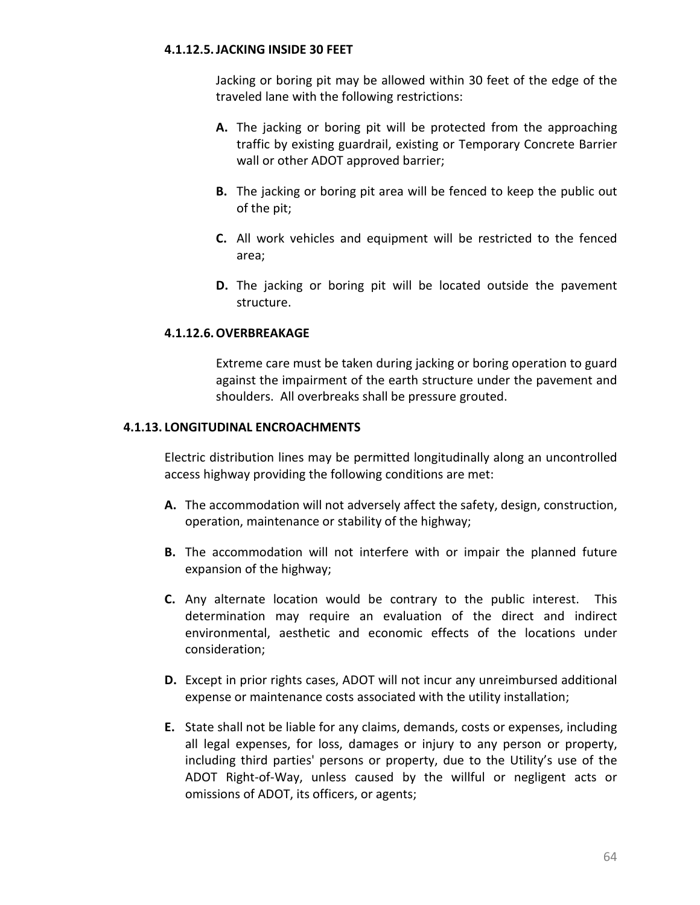### **4.1.12.5.JACKING INSIDE 30 FEET**

Jacking or boring pit may be allowed within 30 feet of the edge of the traveled lane with the following restrictions:

- **A.** The jacking or boring pit will be protected from the approaching traffic by existing guardrail, existing or Temporary Concrete Barrier wall or other ADOT approved barrier;
- **B.** The jacking or boring pit area will be fenced to keep the public out of the pit;
- **C.** All work vehicles and equipment will be restricted to the fenced area;
- **D.** The jacking or boring pit will be located outside the pavement structure.

### **4.1.12.6.OVERBREAKAGE**

Extreme care must be taken during jacking or boring operation to guard against the impairment of the earth structure under the pavement and shoulders. All overbreaks shall be pressure grouted.

### **4.1.13. LONGITUDINAL ENCROACHMENTS**

Electric distribution lines may be permitted longitudinally along an uncontrolled access highway providing the following conditions are met:

- **A.** The accommodation will not adversely affect the safety, design, construction, operation, maintenance or stability of the highway;
- **B.** The accommodation will not interfere with or impair the planned future expansion of the highway;
- **C.** Any alternate location would be contrary to the public interest. This determination may require an evaluation of the direct and indirect environmental, aesthetic and economic effects of the locations under consideration;
- **D.** Except in prior rights cases, ADOT will not incur any unreimbursed additional expense or maintenance costs associated with the utility installation;
- **E.** State shall not be liable for any claims, demands, costs or expenses, including all legal expenses, for loss, damages or injury to any person or property, including third parties' persons or property, due to the Utility's use of the ADOT Right-of-Way, unless caused by the willful or negligent acts or omissions of ADOT, its officers, or agents;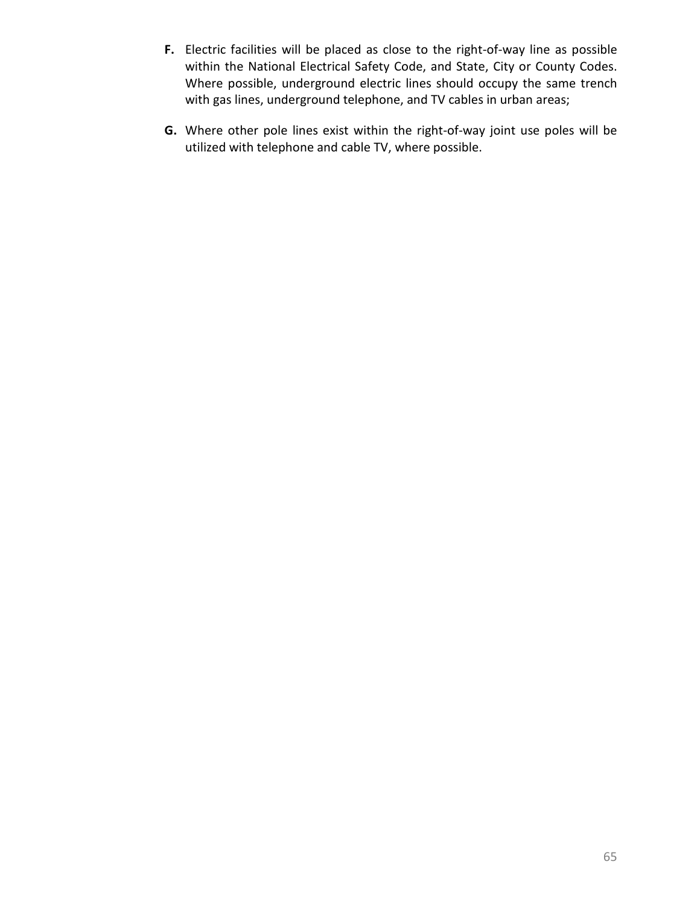- **F.** Electric facilities will be placed as close to the right-of-way line as possible within the National Electrical Safety Code, and State, City or County Codes. Where possible, underground electric lines should occupy the same trench with gas lines, underground telephone, and TV cables in urban areas;
- **G.** Where other pole lines exist within the right-of-way joint use poles will be utilized with telephone and cable TV, where possible.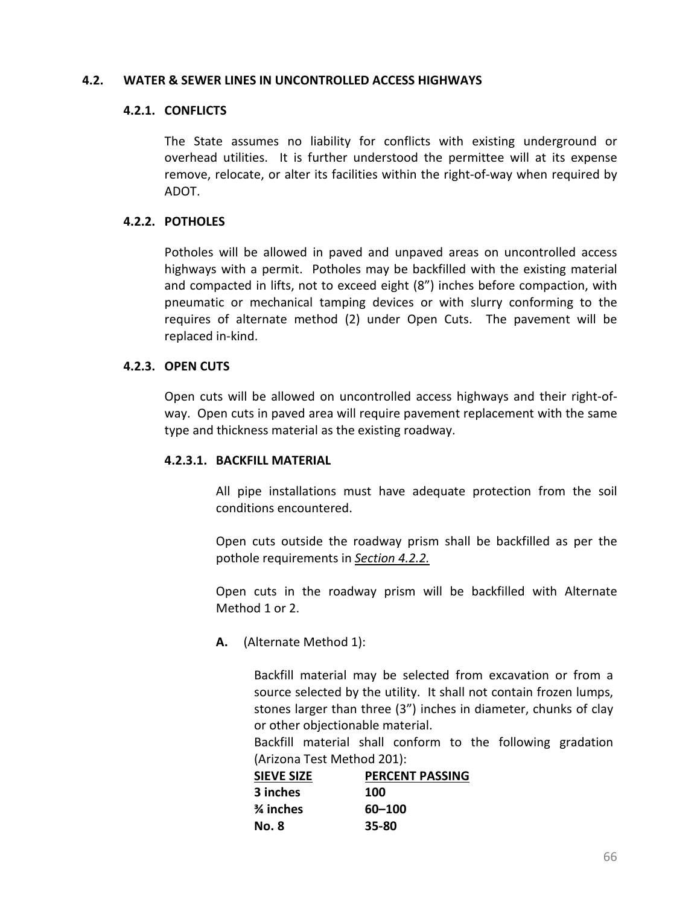#### **4.2. WATER & SEWER LINES IN UNCONTROLLED ACCESS HIGHWAYS**

#### **4.2.1. CONFLICTS**

The State assumes no liability for conflicts with existing underground or overhead utilities. It is further understood the permittee will at its expense remove, relocate, or alter its facilities within the right-of-way when required by ADOT.

#### **4.2.2. POTHOLES**

Potholes will be allowed in paved and unpaved areas on uncontrolled access highways with a permit. Potholes may be backfilled with the existing material and compacted in lifts, not to exceed eight (8") inches before compaction, with pneumatic or mechanical tamping devices or with slurry conforming to the requires of alternate method (2) under Open Cuts. The pavement will be replaced in-kind.

#### **4.2.3. OPEN CUTS**

Open cuts will be allowed on uncontrolled access highways and their right-ofway. Open cuts in paved area will require pavement replacement with the same type and thickness material as the existing roadway.

#### **4.2.3.1. BACKFILL MATERIAL**

All pipe installations must have adequate protection from the soil conditions encountered.

Open cuts outside the roadway prism shall be backfilled as per the pothole requirements in *[Section 4.2.2.](#page-95-0)*

Open cuts in the roadway prism will be backfilled with Alternate Method 1 or 2.

**A.** (Alternate Method 1):

Backfill material may be selected from excavation or from a source selected by the utility. It shall not contain frozen lumps, stones larger than three (3") inches in diameter, chunks of clay or other objectionable material.

Backfill material shall conform to the following gradation (Arizona Test Method 201):

| <b>SIEVE SIZE</b> | <b>PERCENT PASSING</b> |
|-------------------|------------------------|
| 3 inches          | 100                    |
| % inches          | 60-100                 |
| No. 8             | 35-80                  |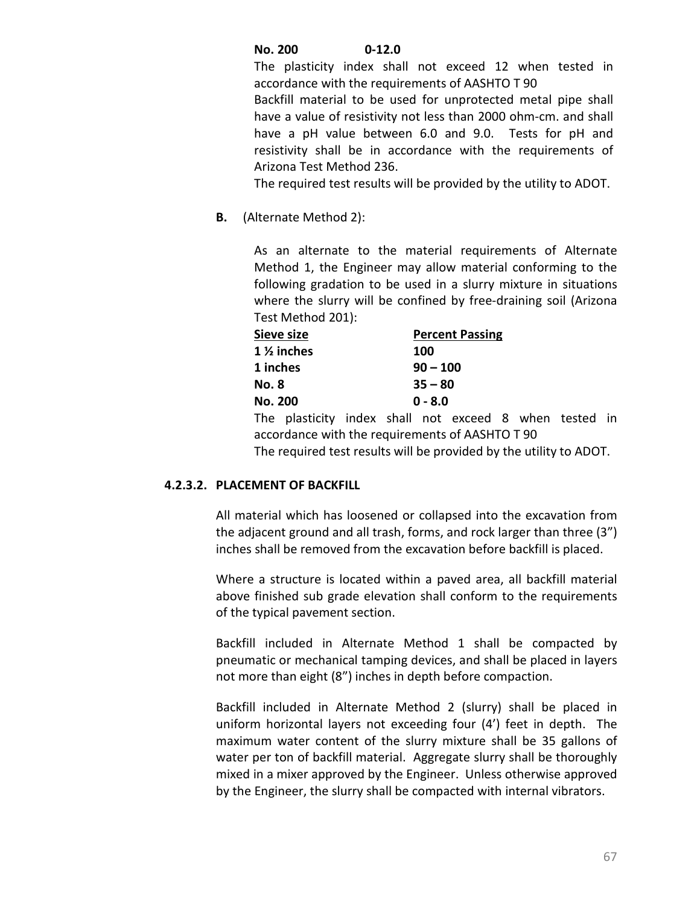## **No. 200 0-12.0**

The plasticity index shall not exceed 12 when tested in accordance with the requirements of AASHTO T 90 Backfill material to be used for unprotected metal pipe shall have a value of resistivity not less than 2000 ohm-cm. and shall have a pH value between 6.0 and 9.0. Tests for pH and resistivity shall be in accordance with the requirements of Arizona Test Method 236.

The required test results will be provided by the utility to ADOT.

**B.** (Alternate Method 2):

As an alternate to the material requirements of Alternate Method 1, the Engineer may allow material conforming to the following gradation to be used in a slurry mixture in situations where the slurry will be confined by free-draining soil (Arizona Test Method 201):

| Sieve size            | <b>Percent Passing</b> |
|-----------------------|------------------------|
| $1\frac{1}{2}$ inches | 100                    |
| 1 inches              | $90 - 100$             |
| No. 8                 | $35 - 80$              |
| <b>No. 200</b>        | $0 - 8.0$              |

The plasticity index shall not exceed 8 when tested in accordance with the requirements of AASHTO T 90 The required test results will be provided by the utility to ADOT.

### **4.2.3.2. PLACEMENT OF BACKFILL**

All material which has loosened or collapsed into the excavation from the adjacent ground and all trash, forms, and rock larger than three (3") inches shall be removed from the excavation before backfill is placed.

Where a structure is located within a paved area, all backfill material above finished sub grade elevation shall conform to the requirements of the typical pavement section.

Backfill included in Alternate Method 1 shall be compacted by pneumatic or mechanical tamping devices, and shall be placed in layers not more than eight (8") inches in depth before compaction.

Backfill included in Alternate Method 2 (slurry) shall be placed in uniform horizontal layers not exceeding four (4') feet in depth. The maximum water content of the slurry mixture shall be 35 gallons of water per ton of backfill material. Aggregate slurry shall be thoroughly mixed in a mixer approved by the Engineer. Unless otherwise approved by the Engineer, the slurry shall be compacted with internal vibrators.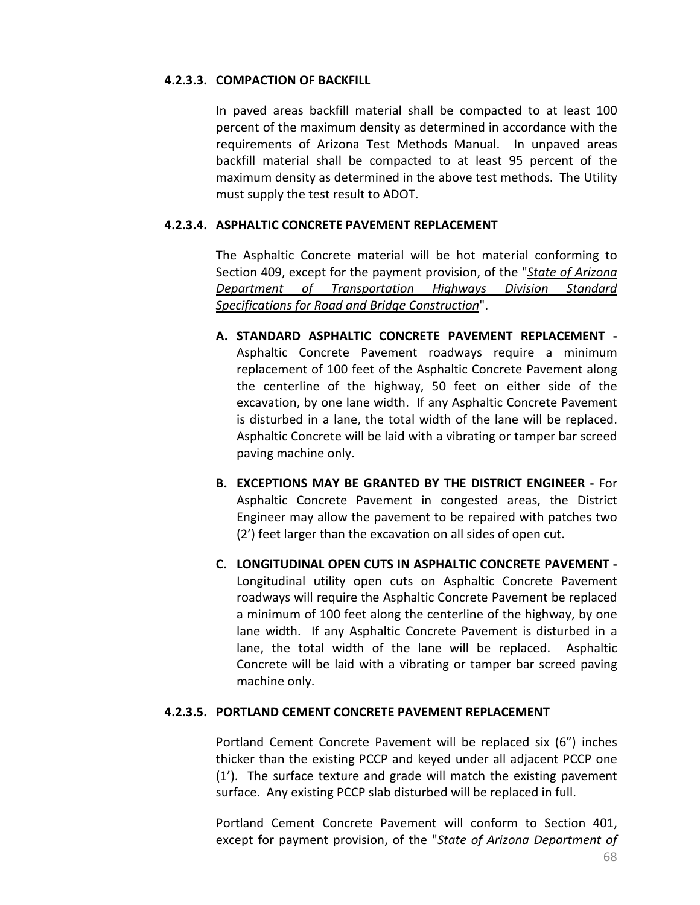#### **4.2.3.3. COMPACTION OF BACKFILL**

In paved areas backfill material shall be compacted to at least 100 percent of the maximum density as determined in accordance with the requirements of Arizona Test Methods Manual. In unpaved areas backfill material shall be compacted to at least 95 percent of the maximum density as determined in the above test methods. The Utility must supply the test result to ADOT.

## **4.2.3.4. ASPHALTIC CONCRETE PAVEMENT REPLACEMENT**

The Asphaltic Concrete material will be hot material conforming to Section 409, except for the payment provision, of the "*[State of Arizona](http://www.azdot.gov/business/ContractsandSpecifications/Specifications)  [Department of Transportation Highways Division Standard](http://www.azdot.gov/business/ContractsandSpecifications/Specifications)  [Specifications for Road and Bridge Construction](http://www.azdot.gov/business/ContractsandSpecifications/Specifications)*".

- **A. STANDARD ASPHALTIC CONCRETE PAVEMENT REPLACEMENT -** Asphaltic Concrete Pavement roadways require a minimum replacement of 100 feet of the Asphaltic Concrete Pavement along the centerline of the highway, 50 feet on either side of the excavation, by one lane width. If any Asphaltic Concrete Pavement is disturbed in a lane, the total width of the lane will be replaced. Asphaltic Concrete will be laid with a vibrating or tamper bar screed paving machine only.
- **B. EXCEPTIONS MAY BE GRANTED BY THE DISTRICT ENGINEER -** For Asphaltic Concrete Pavement in congested areas, the District Engineer may allow the pavement to be repaired with patches two (2') feet larger than the excavation on all sides of open cut.
- **C. LONGITUDINAL OPEN CUTS IN ASPHALTIC CONCRETE PAVEMENT -** Longitudinal utility open cuts on Asphaltic Concrete Pavement roadways will require the Asphaltic Concrete Pavement be replaced a minimum of 100 feet along the centerline of the highway, by one lane width. If any Asphaltic Concrete Pavement is disturbed in a lane, the total width of the lane will be replaced. Asphaltic Concrete will be laid with a vibrating or tamper bar screed paving machine only.

### **4.2.3.5. PORTLAND CEMENT CONCRETE PAVEMENT REPLACEMENT**

Portland Cement Concrete Pavement will be replaced six (6") inches thicker than the existing PCCP and keyed under all adjacent PCCP one (1'). The surface texture and grade will match the existing pavement surface. Any existing PCCP slab disturbed will be replaced in full.

Portland Cement Concrete Pavement will conform to Section 401, except for payment provision, of the "*[State of Arizona Department of](http://www.azdot.gov/business/ContractsandSpecifications/Specifications)*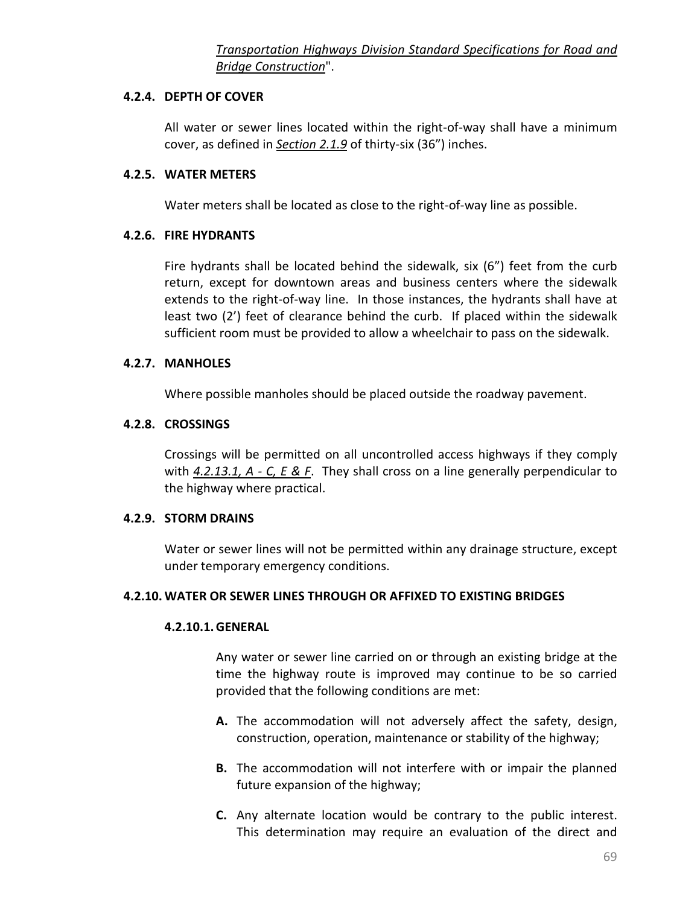## **4.2.4. DEPTH OF COVER**

All water or sewer lines located within the right-of-way shall have a minimum cover, as defined in *[Section 2.1.9](#page-19-0)* of thirty-six (36") inches.

## **4.2.5. WATER METERS**

Water meters shall be located as close to the right-of-way line as possible.

## **4.2.6. FIRE HYDRANTS**

Fire hydrants shall be located behind the sidewalk, six (6") feet from the curb return, except for downtown areas and business centers where the sidewalk extends to the right-of-way line. In those instances, the hydrants shall have at least two (2') feet of clearance behind the curb. If placed within the sidewalk sufficient room must be provided to allow a wheelchair to pass on the sidewalk.

## **4.2.7. MANHOLES**

Where possible manholes should be placed outside the roadway pavement.

## **4.2.8. CROSSINGS**

Crossings will be permitted on all uncontrolled access highways if they comply with *[4.2.13.1, A -](#page-80-0) C, E & F*. They shall cross on a line generally perpendicular to the highway where practical.

### **4.2.9. STORM DRAINS**

Water or sewer lines will not be permitted within any drainage structure, except under temporary emergency conditions.

### **4.2.10. WATER OR SEWER LINES THROUGH OR AFFIXED TO EXISTING BRIDGES**

### **4.2.10.1.GENERAL**

Any water or sewer line carried on or through an existing bridge at the time the highway route is improved may continue to be so carried provided that the following conditions are met:

- **A.** The accommodation will not adversely affect the safety, design, construction, operation, maintenance or stability of the highway;
- **B.** The accommodation will not interfere with or impair the planned future expansion of the highway;
- **C.** Any alternate location would be contrary to the public interest. This determination may require an evaluation of the direct and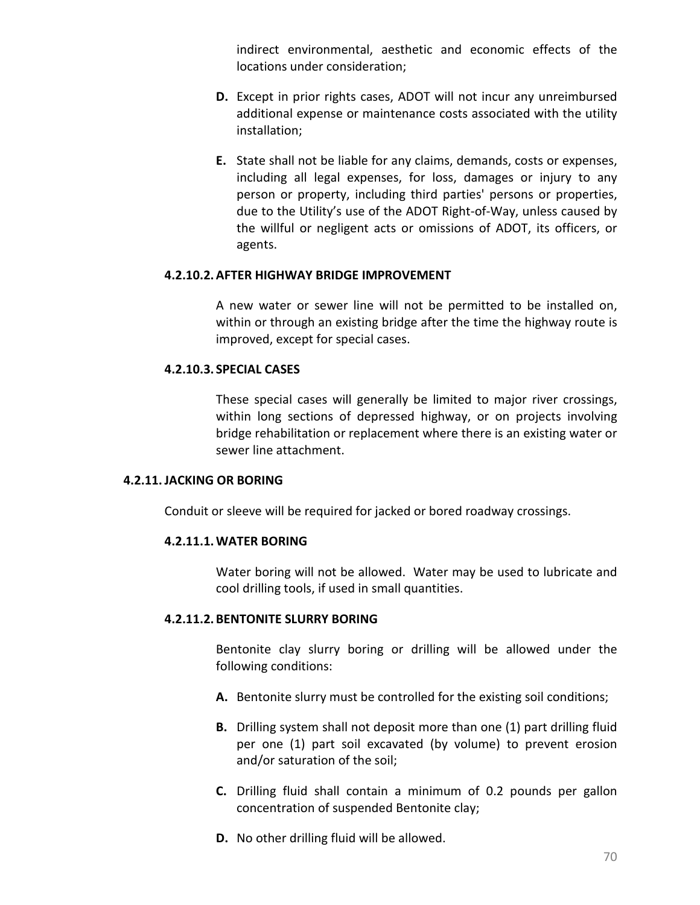indirect environmental, aesthetic and economic effects of the locations under consideration;

- **D.** Except in prior rights cases, ADOT will not incur any unreimbursed additional expense or maintenance costs associated with the utility installation;
- **E.** State shall not be liable for any claims, demands, costs or expenses, including all legal expenses, for loss, damages or injury to any person or property, including third parties' persons or properties, due to the Utility's use of the ADOT Right-of-Way, unless caused by the willful or negligent acts or omissions of ADOT, its officers, or agents.

#### **4.2.10.2.AFTER HIGHWAY BRIDGE IMPROVEMENT**

A new water or sewer line will not be permitted to be installed on, within or through an existing bridge after the time the highway route is improved, except for special cases.

#### **4.2.10.3. SPECIAL CASES**

These special cases will generally be limited to major river crossings, within long sections of depressed highway, or on projects involving bridge rehabilitation or replacement where there is an existing water or sewer line attachment.

#### **4.2.11.JACKING OR BORING**

Conduit or sleeve will be required for jacked or bored roadway crossings.

### **4.2.11.1.WATER BORING**

Water boring will not be allowed. Water may be used to lubricate and cool drilling tools, if used in small quantities.

#### **4.2.11.2. BENTONITE SLURRY BORING**

Bentonite clay slurry boring or drilling will be allowed under the following conditions:

- **A.** Bentonite slurry must be controlled for the existing soil conditions;
- **B.** Drilling system shall not deposit more than one (1) part drilling fluid per one (1) part soil excavated (by volume) to prevent erosion and/or saturation of the soil;
- **C.** Drilling fluid shall contain a minimum of 0.2 pounds per gallon concentration of suspended Bentonite clay;
- **D.** No other drilling fluid will be allowed.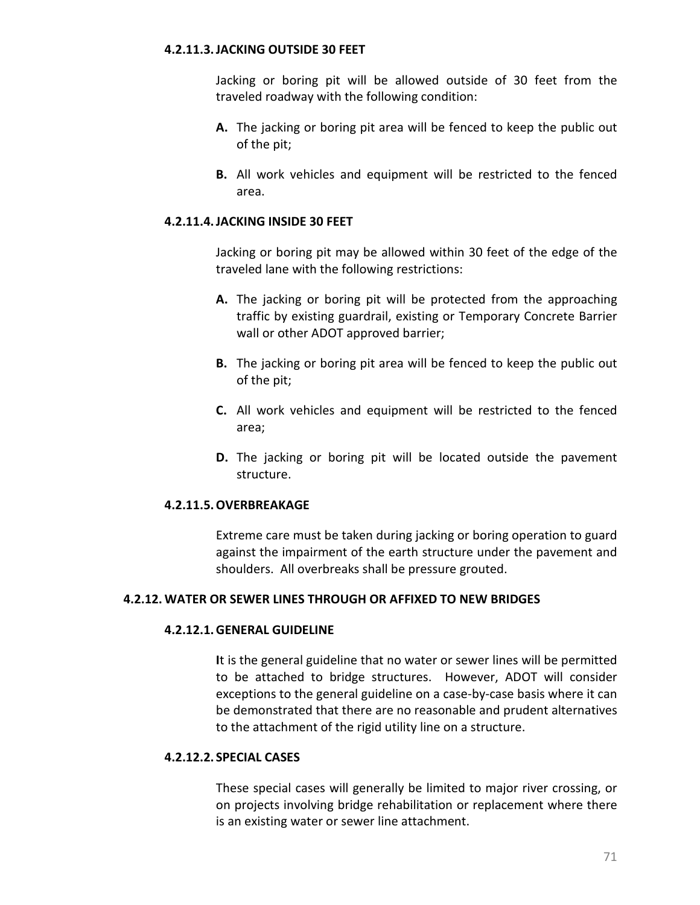#### **4.2.11.3.JACKING OUTSIDE 30 FEET**

Jacking or boring pit will be allowed outside of 30 feet from the traveled roadway with the following condition:

- **A.** The jacking or boring pit area will be fenced to keep the public out of the pit;
- **B.** All work vehicles and equipment will be restricted to the fenced area.

#### **4.2.11.4.JACKING INSIDE 30 FEET**

Jacking or boring pit may be allowed within 30 feet of the edge of the traveled lane with the following restrictions:

- **A.** The jacking or boring pit will be protected from the approaching traffic by existing guardrail, existing or Temporary Concrete Barrier wall or other ADOT approved barrier;
- **B.** The jacking or boring pit area will be fenced to keep the public out of the pit;
- **C.** All work vehicles and equipment will be restricted to the fenced area;
- **D.** The jacking or boring pit will be located outside the pavement structure.

### **4.2.11.5.OVERBREAKAGE**

Extreme care must be taken during jacking or boring operation to guard against the impairment of the earth structure under the pavement and shoulders. All overbreaks shall be pressure grouted.

#### **4.2.12. WATER OR SEWER LINES THROUGH OR AFFIXED TO NEW BRIDGES**

#### **4.2.12.1.GENERAL GUIDELINE**

**I**t is the general guideline that no water or sewer lines will be permitted to be attached to bridge structures. However, ADOT will consider exceptions to the general guideline on a case-by-case basis where it can be demonstrated that there are no reasonable and prudent alternatives to the attachment of the rigid utility line on a structure.

#### **4.2.12.2. SPECIAL CASES**

These special cases will generally be limited to major river crossing, or on projects involving bridge rehabilitation or replacement where there is an existing water or sewer line attachment.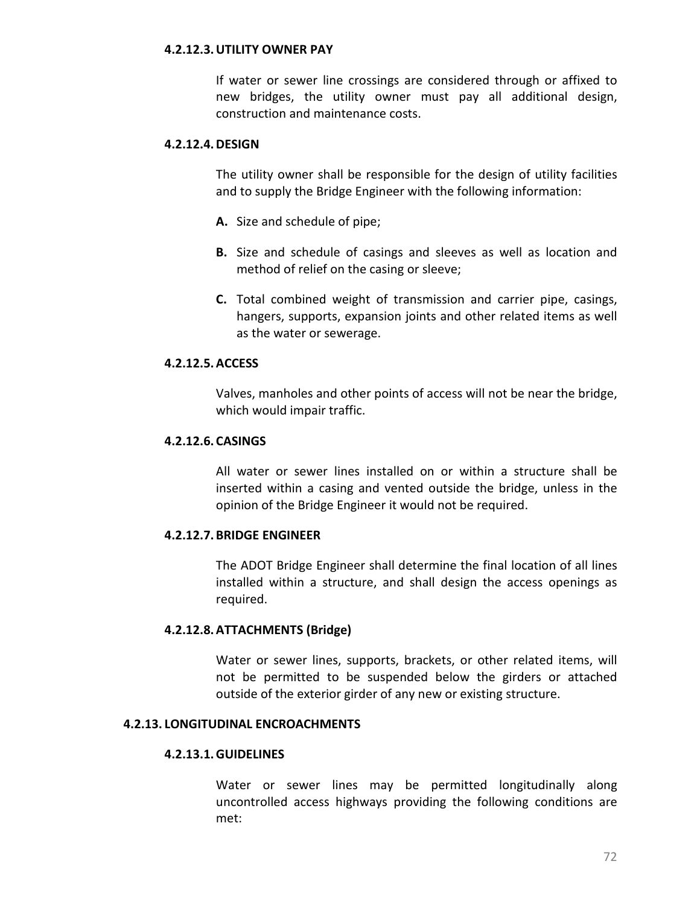#### **4.2.12.3.UTILITY OWNER PAY**

If water or sewer line crossings are considered through or affixed to new bridges, the utility owner must pay all additional design, construction and maintenance costs.

#### **4.2.12.4.DESIGN**

The utility owner shall be responsible for the design of utility facilities and to supply the Bridge Engineer with the following information:

- **A.** Size and schedule of pipe;
- **B.** Size and schedule of casings and sleeves as well as location and method of relief on the casing or sleeve;
- **C.** Total combined weight of transmission and carrier pipe, casings, hangers, supports, expansion joints and other related items as well as the water or sewerage.

#### **4.2.12.5.ACCESS**

Valves, manholes and other points of access will not be near the bridge, which would impair traffic.

### **4.2.12.6. CASINGS**

All water or sewer lines installed on or within a structure shall be inserted within a casing and vented outside the bridge, unless in the opinion of the Bridge Engineer it would not be required.

## **4.2.12.7. BRIDGE ENGINEER**

The ADOT Bridge Engineer shall determine the final location of all lines installed within a structure, and shall design the access openings as required.

### **4.2.12.8.ATTACHMENTS (Bridge)**

Water or sewer lines, supports, brackets, or other related items, will not be permitted to be suspended below the girders or attached outside of the exterior girder of any new or existing structure.

#### <span id="page-80-0"></span>**4.2.13. LONGITUDINAL ENCROACHMENTS**

### **4.2.13.1.GUIDELINES**

Water or sewer lines may be permitted longitudinally along uncontrolled access highways providing the following conditions are met: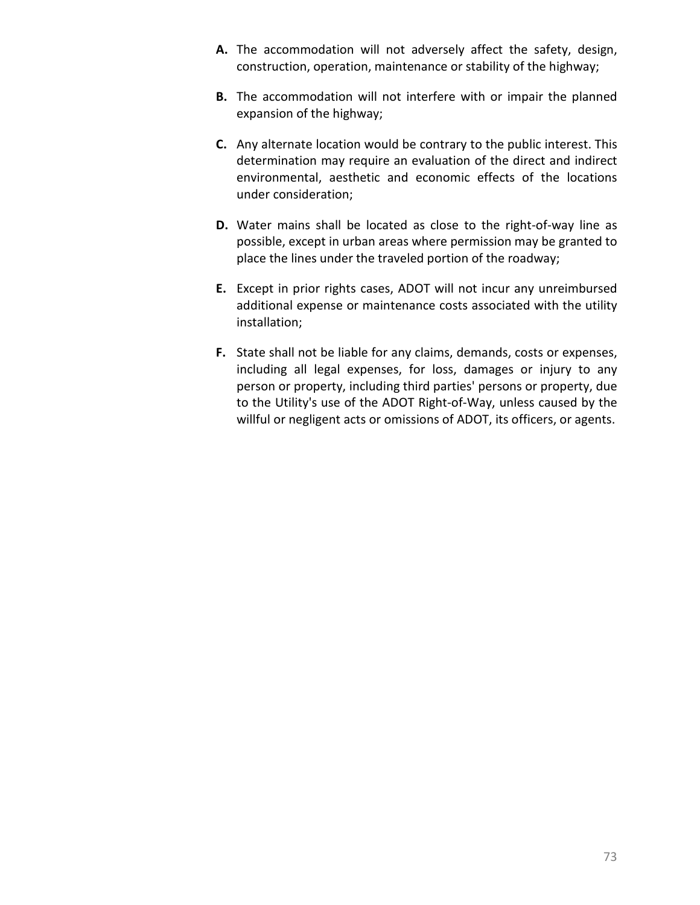- **A.** The accommodation will not adversely affect the safety, design, construction, operation, maintenance or stability of the highway;
- **B.** The accommodation will not interfere with or impair the planned expansion of the highway;
- **C.** Any alternate location would be contrary to the public interest. This determination may require an evaluation of the direct and indirect environmental, aesthetic and economic effects of the locations under consideration;
- **D.** Water mains shall be located as close to the right-of-way line as possible, except in urban areas where permission may be granted to place the lines under the traveled portion of the roadway;
- **E.** Except in prior rights cases, ADOT will not incur any unreimbursed additional expense or maintenance costs associated with the utility installation;
- **F.** State shall not be liable for any claims, demands, costs or expenses, including all legal expenses, for loss, damages or injury to any person or property, including third parties' persons or property, due to the Utility's use of the ADOT Right-of-Way, unless caused by the willful or negligent acts or omissions of ADOT, its officers, or agents.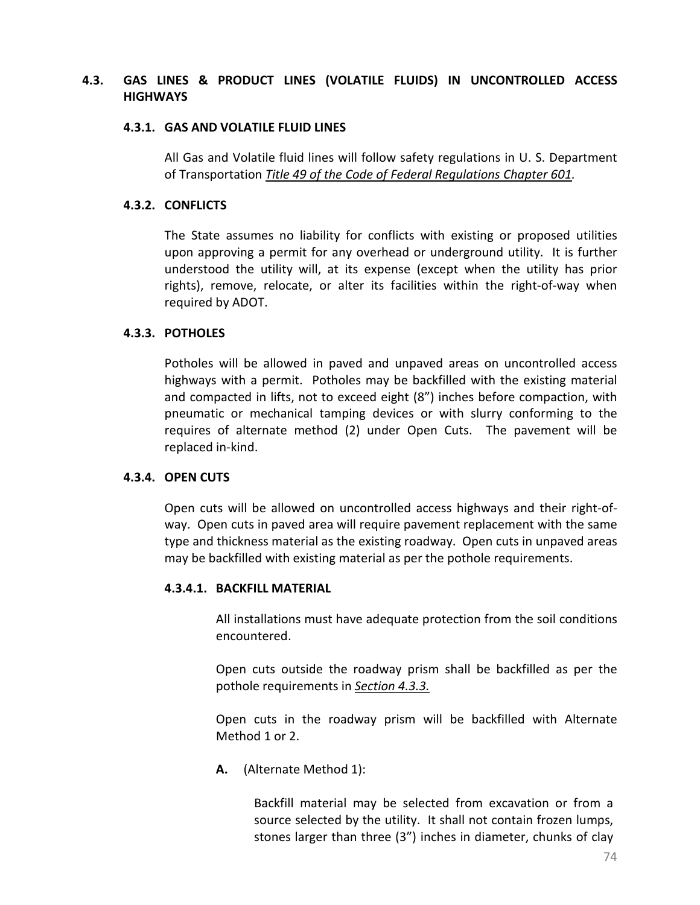## **4.3. GAS LINES & PRODUCT LINES (VOLATILE FLUIDS) IN UNCONTROLLED ACCESS HIGHWAYS**

#### **4.3.1. GAS AND VOLATILE FLUID LINES**

All Gas and Volatile fluid lines will follow safety regulations in U. S. Department of Transportation *[Title 49 of the Code of Federal Regulations Chapter 601.](https://www.gpo.gov/fdsys/pkg/USCODE-2009-title49/pdf/USCODE-2009-title49-subtitleVIII-chap601.pdf)*

## **4.3.2. CONFLICTS**

The State assumes no liability for conflicts with existing or proposed utilities upon approving a permit for any overhead or underground utility. It is further understood the utility will, at its expense (except when the utility has prior rights), remove, relocate, or alter its facilities within the right-of-way when required by ADOT.

### <span id="page-82-0"></span>**4.3.3. POTHOLES**

Potholes will be allowed in paved and unpaved areas on uncontrolled access highways with a permit. Potholes may be backfilled with the existing material and compacted in lifts, not to exceed eight (8") inches before compaction, with pneumatic or mechanical tamping devices or with slurry conforming to the requires of alternate method (2) under Open Cuts. The pavement will be replaced in-kind.

## **4.3.4. OPEN CUTS**

Open cuts will be allowed on uncontrolled access highways and their right-ofway. Open cuts in paved area will require pavement replacement with the same type and thickness material as the existing roadway. Open cuts in unpaved areas may be backfilled with existing material as per the pothole requirements.

### **4.3.4.1. BACKFILL MATERIAL**

All installations must have adequate protection from the soil conditions encountered.

Open cuts outside the roadway prism shall be backfilled as per the pothole requirements in *[Section 4.3.3.](#page-82-0)*

Open cuts in the roadway prism will be backfilled with Alternate Method 1 or 2.

**A.** (Alternate Method 1):

Backfill material may be selected from excavation or from a source selected by the utility. It shall not contain frozen lumps, stones larger than three (3") inches in diameter, chunks of clay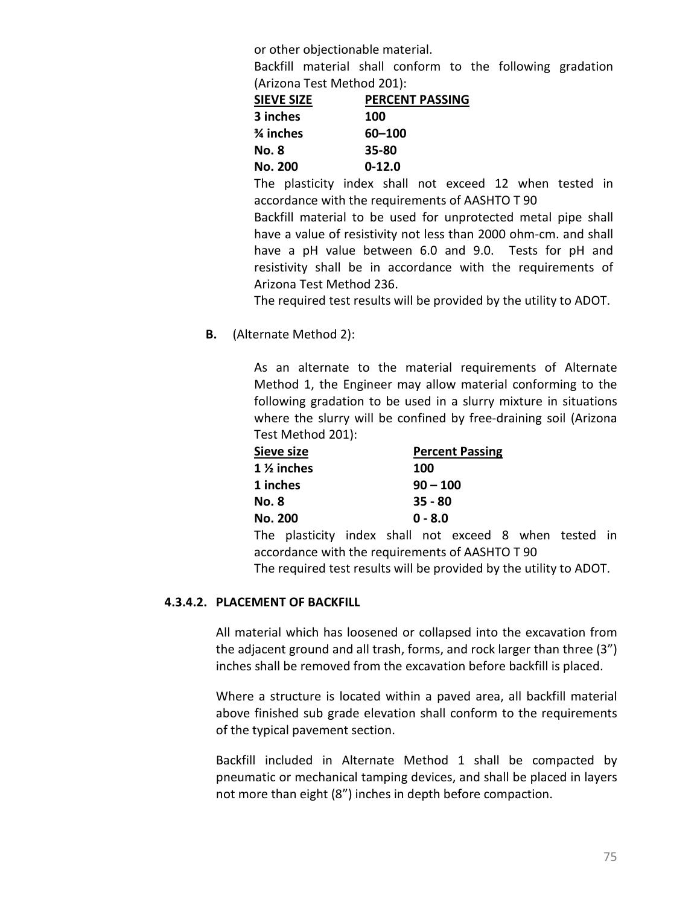or other objectionable material.

Backfill material shall conform to the following gradation (Arizona Test Method 201):

| <b>SIEVE SIZE</b> | <b>PERCENT PASSING</b> |
|-------------------|------------------------|
| 3 inches          | 100                    |
| % inches          | 60-100                 |
| No. 8             | 35-80                  |
| <b>No. 200</b>    | $0 - 12.0$             |

The plasticity index shall not exceed 12 when tested in accordance with the requirements of AASHTO T 90

Backfill material to be used for unprotected metal pipe shall have a value of resistivity not less than 2000 ohm-cm. and shall have a pH value between 6.0 and 9.0. Tests for pH and resistivity shall be in accordance with the requirements of Arizona Test Method 236.

The required test results will be provided by the utility to ADOT.

**B.** (Alternate Method 2):

As an alternate to the material requirements of Alternate Method 1, the Engineer may allow material conforming to the following gradation to be used in a slurry mixture in situations where the slurry will be confined by free-draining soil (Arizona Test Method 201):

| Sieve size            | <b>Percent Passing</b> |
|-----------------------|------------------------|
| $1\frac{1}{2}$ inches | 100                    |
| 1 inches              | $90 - 100$             |
| <b>No. 8</b>          | $35 - 80$              |
| <b>No. 200</b>        | $0 - 8.0$              |

The plasticity index shall not exceed 8 when tested in accordance with the requirements of AASHTO T 90 The required test results will be provided by the utility to ADOT.

## **4.3.4.2. PLACEMENT OF BACKFILL**

All material which has loosened or collapsed into the excavation from the adjacent ground and all trash, forms, and rock larger than three (3") inches shall be removed from the excavation before backfill is placed.

Where a structure is located within a paved area, all backfill material above finished sub grade elevation shall conform to the requirements of the typical pavement section.

Backfill included in Alternate Method 1 shall be compacted by pneumatic or mechanical tamping devices, and shall be placed in layers not more than eight (8") inches in depth before compaction.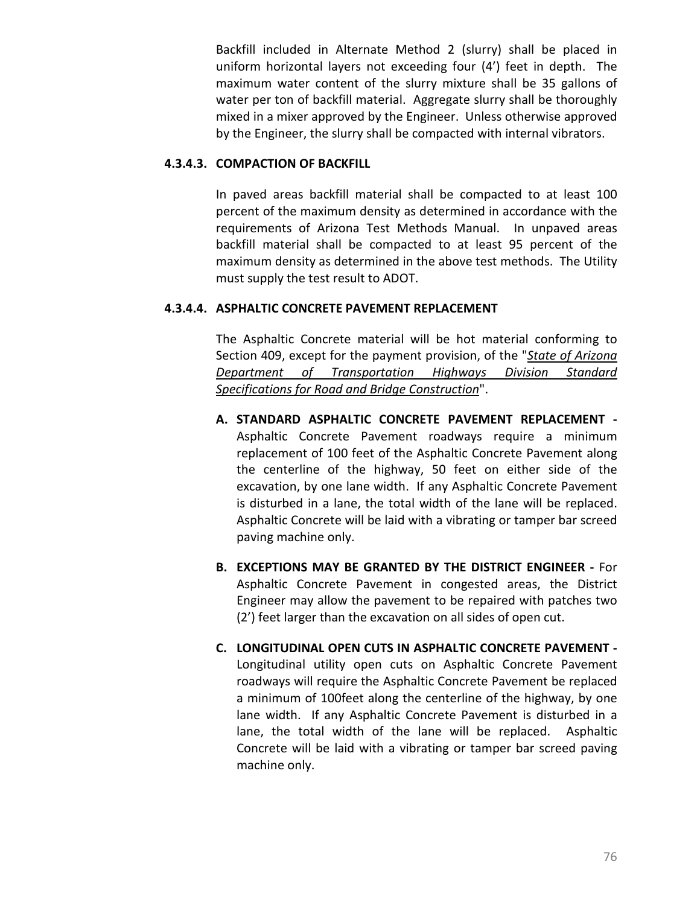Backfill included in Alternate Method 2 (slurry) shall be placed in uniform horizontal layers not exceeding four (4') feet in depth. The maximum water content of the slurry mixture shall be 35 gallons of water per ton of backfill material. Aggregate slurry shall be thoroughly mixed in a mixer approved by the Engineer. Unless otherwise approved by the Engineer, the slurry shall be compacted with internal vibrators.

## **4.3.4.3. COMPACTION OF BACKFILL**

In paved areas backfill material shall be compacted to at least 100 percent of the maximum density as determined in accordance with the requirements of Arizona Test Methods Manual. In unpaved areas backfill material shall be compacted to at least 95 percent of the maximum density as determined in the above test methods. The Utility must supply the test result to ADOT.

## **4.3.4.4. ASPHALTIC CONCRETE PAVEMENT REPLACEMENT**

The Asphaltic Concrete material will be hot material conforming to Section 409, except for the payment provision, of the "*[State of Arizona](http://www.azdot.gov/business/ContractsandSpecifications/Specifications)  [Department of Transportation Highways Division Standard](http://www.azdot.gov/business/ContractsandSpecifications/Specifications)  [Specifications for Road and Bridge Construction](http://www.azdot.gov/business/ContractsandSpecifications/Specifications)*".

- **A. STANDARD ASPHALTIC CONCRETE PAVEMENT REPLACEMENT -** Asphaltic Concrete Pavement roadways require a minimum replacement of 100 feet of the Asphaltic Concrete Pavement along the centerline of the highway, 50 feet on either side of the excavation, by one lane width. If any Asphaltic Concrete Pavement is disturbed in a lane, the total width of the lane will be replaced. Asphaltic Concrete will be laid with a vibrating or tamper bar screed paving machine only.
- **B. EXCEPTIONS MAY BE GRANTED BY THE DISTRICT ENGINEER -** For Asphaltic Concrete Pavement in congested areas, the District Engineer may allow the pavement to be repaired with patches two (2') feet larger than the excavation on all sides of open cut.
- **C. LONGITUDINAL OPEN CUTS IN ASPHALTIC CONCRETE PAVEMENT -** Longitudinal utility open cuts on Asphaltic Concrete Pavement roadways will require the Asphaltic Concrete Pavement be replaced a minimum of 100feet along the centerline of the highway, by one lane width. If any Asphaltic Concrete Pavement is disturbed in a lane, the total width of the lane will be replaced. Asphaltic Concrete will be laid with a vibrating or tamper bar screed paving machine only.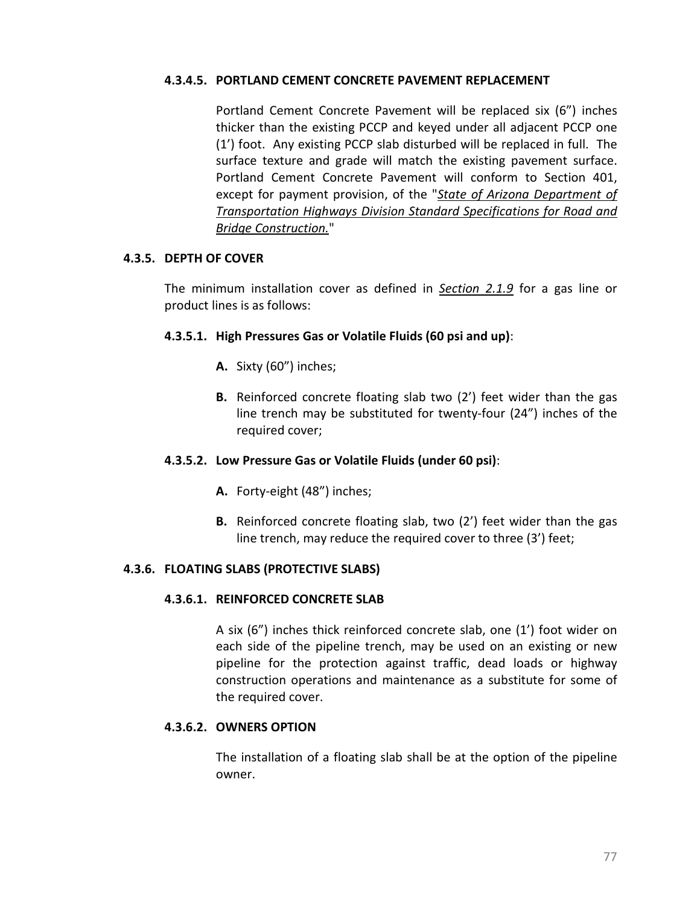#### **4.3.4.5. PORTLAND CEMENT CONCRETE PAVEMENT REPLACEMENT**

Portland Cement Concrete Pavement will be replaced six (6") inches thicker than the existing PCCP and keyed under all adjacent PCCP one (1') foot. Any existing PCCP slab disturbed will be replaced in full. The surface texture and grade will match the existing pavement surface. Portland Cement Concrete Pavement will conform to Section 401, except for payment provision, of the "*[State of Arizona Department of](http://www.azdot.gov/business/ContractsandSpecifications/Specifications)  [Transportation Highways Division Standard Specifications for Road and](http://www.azdot.gov/business/ContractsandSpecifications/Specifications)  [Bridge Construction.](http://www.azdot.gov/business/ContractsandSpecifications/Specifications)*"

#### <span id="page-85-0"></span>**4.3.5. DEPTH OF COVER**

The minimum installation cover as defined in *[Section 2.1.9](#page-19-0)* for a gas line or product lines is as follows:

### **4.3.5.1. High Pressures Gas or Volatile Fluids (60 psi and up)**:

- **A.** Sixty (60") inches;
- **B.** Reinforced concrete floating slab two (2') feet wider than the gas line trench may be substituted for twenty-four (24") inches of the required cover;

### **4.3.5.2. Low Pressure Gas or Volatile Fluids (under 60 psi)**:

- **A.** Forty-eight (48") inches;
- **B.** Reinforced concrete floating slab, two (2') feet wider than the gas line trench, may reduce the required cover to three (3') feet;

### <span id="page-85-1"></span>**4.3.6. FLOATING SLABS (PROTECTIVE SLABS)**

#### **4.3.6.1. REINFORCED CONCRETE SLAB**

A six (6") inches thick reinforced concrete slab, one (1') foot wider on each side of the pipeline trench, may be used on an existing or new pipeline for the protection against traffic, dead loads or highway construction operations and maintenance as a substitute for some of the required cover.

#### **4.3.6.2. OWNERS OPTION**

The installation of a floating slab shall be at the option of the pipeline owner.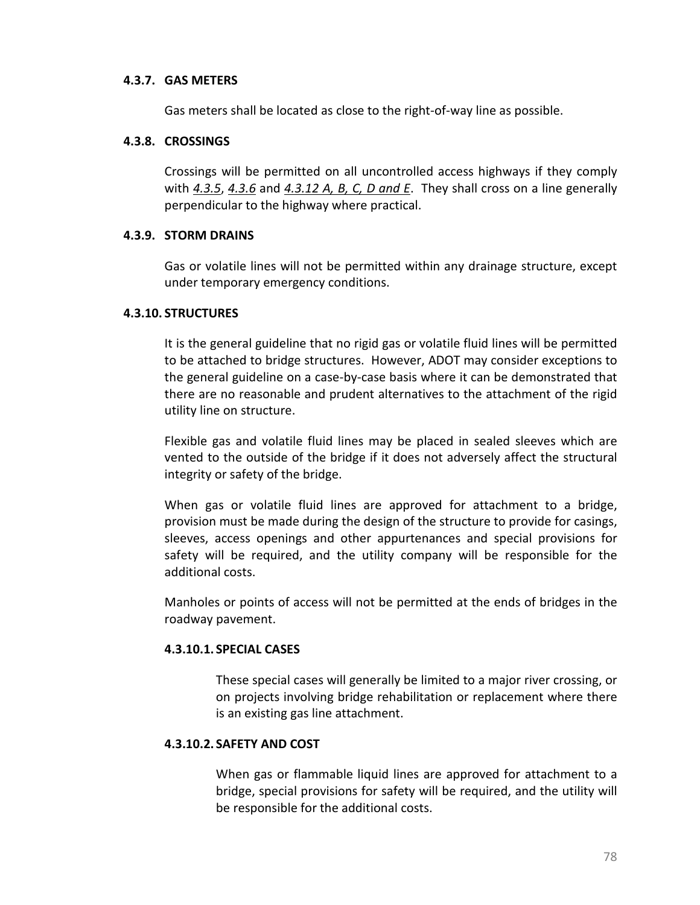#### **4.3.7. GAS METERS**

Gas meters shall be located as close to the right-of-way line as possible.

#### **4.3.8. CROSSINGS**

Crossings will be permitted on all uncontrolled access highways if they comply with *[4.3.5](#page-85-0)*, *[4.3.6](#page-85-1)* and *[4.3.12 A, B, C, D and E](#page-88-0)*. They shall cross on a line generally perpendicular to the highway where practical.

#### **4.3.9. STORM DRAINS**

Gas or volatile lines will not be permitted within any drainage structure, except under temporary emergency conditions.

#### **4.3.10. STRUCTURES**

It is the general guideline that no rigid gas or volatile fluid lines will be permitted to be attached to bridge structures. However, ADOT may consider exceptions to the general guideline on a case-by-case basis where it can be demonstrated that there are no reasonable and prudent alternatives to the attachment of the rigid utility line on structure.

Flexible gas and volatile fluid lines may be placed in sealed sleeves which are vented to the outside of the bridge if it does not adversely affect the structural integrity or safety of the bridge.

When gas or volatile fluid lines are approved for attachment to a bridge, provision must be made during the design of the structure to provide for casings, sleeves, access openings and other appurtenances and special provisions for safety will be required, and the utility company will be responsible for the additional costs.

Manholes or points of access will not be permitted at the ends of bridges in the roadway pavement.

### **4.3.10.1. SPECIAL CASES**

These special cases will generally be limited to a major river crossing, or on projects involving bridge rehabilitation or replacement where there is an existing gas line attachment.

### **4.3.10.2. SAFETY AND COST**

When gas or flammable liquid lines are approved for attachment to a bridge, special provisions for safety will be required, and the utility will be responsible for the additional costs.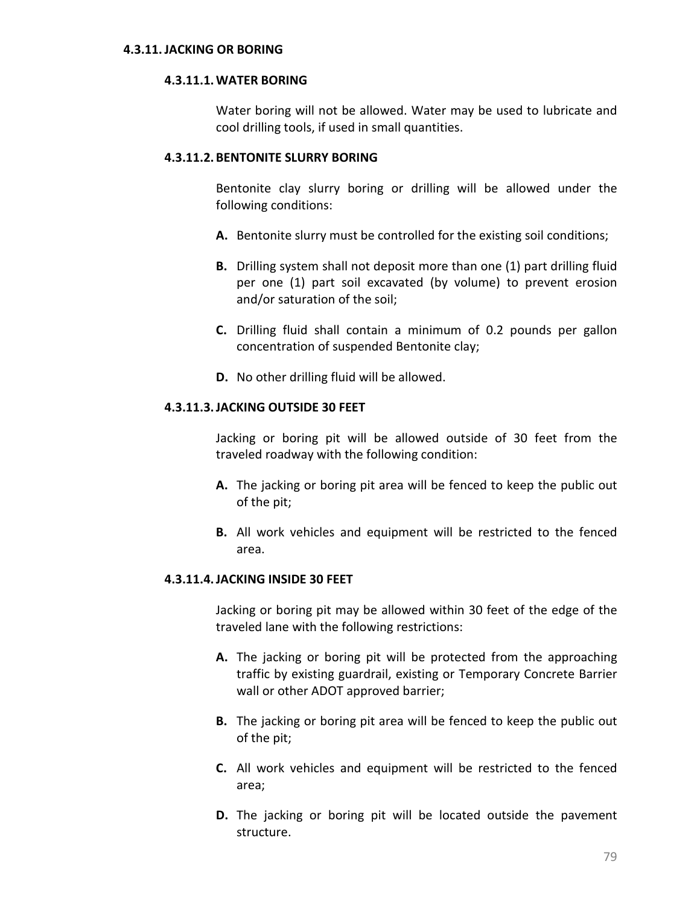#### **4.3.11.JACKING OR BORING**

#### **4.3.11.1.WATER BORING**

Water boring will not be allowed. Water may be used to lubricate and cool drilling tools, if used in small quantities.

#### **4.3.11.2. BENTONITE SLURRY BORING**

Bentonite clay slurry boring or drilling will be allowed under the following conditions:

- **A.** Bentonite slurry must be controlled for the existing soil conditions;
- **B.** Drilling system shall not deposit more than one (1) part drilling fluid per one (1) part soil excavated (by volume) to prevent erosion and/or saturation of the soil;
- **C.** Drilling fluid shall contain a minimum of 0.2 pounds per gallon concentration of suspended Bentonite clay;
- **D.** No other drilling fluid will be allowed.

#### **4.3.11.3.JACKING OUTSIDE 30 FEET**

Jacking or boring pit will be allowed outside of 30 feet from the traveled roadway with the following condition:

- **A.** The jacking or boring pit area will be fenced to keep the public out of the pit;
- **B.** All work vehicles and equipment will be restricted to the fenced area.

#### **4.3.11.4.JACKING INSIDE 30 FEET**

Jacking or boring pit may be allowed within 30 feet of the edge of the traveled lane with the following restrictions:

- **A.** The jacking or boring pit will be protected from the approaching traffic by existing guardrail, existing or Temporary Concrete Barrier wall or other ADOT approved barrier;
- **B.** The jacking or boring pit area will be fenced to keep the public out of the pit;
- **C.** All work vehicles and equipment will be restricted to the fenced area;
- **D.** The jacking or boring pit will be located outside the pavement structure.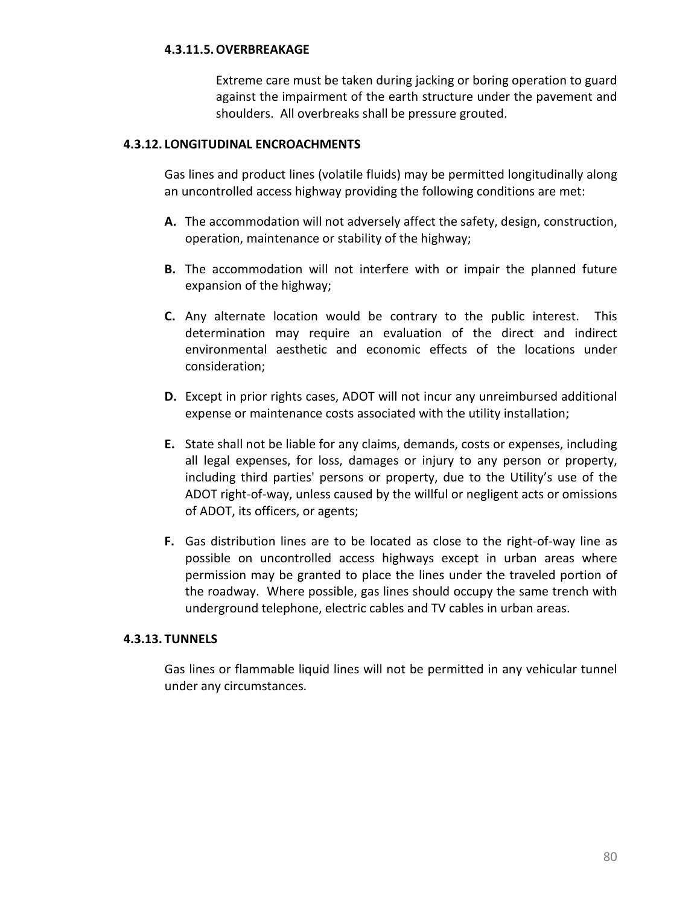### **4.3.11.5.OVERBREAKAGE**

Extreme care must be taken during jacking or boring operation to guard against the impairment of the earth structure under the pavement and shoulders. All overbreaks shall be pressure grouted.

#### <span id="page-88-0"></span>**4.3.12. LONGITUDINAL ENCROACHMENTS**

Gas lines and product lines (volatile fluids) may be permitted longitudinally along an uncontrolled access highway providing the following conditions are met:

- **A.** The accommodation will not adversely affect the safety, design, construction, operation, maintenance or stability of the highway;
- **B.** The accommodation will not interfere with or impair the planned future expansion of the highway;
- **C.** Any alternate location would be contrary to the public interest. This determination may require an evaluation of the direct and indirect environmental aesthetic and economic effects of the locations under consideration;
- **D.** Except in prior rights cases, ADOT will not incur any unreimbursed additional expense or maintenance costs associated with the utility installation;
- **E.** State shall not be liable for any claims, demands, costs or expenses, including all legal expenses, for loss, damages or injury to any person or property, including third parties' persons or property, due to the Utility's use of the ADOT right-of-way, unless caused by the willful or negligent acts or omissions of ADOT, its officers, or agents;
- **F.** Gas distribution lines are to be located as close to the right-of-way line as possible on uncontrolled access highways except in urban areas where permission may be granted to place the lines under the traveled portion of the roadway. Where possible, gas lines should occupy the same trench with underground telephone, electric cables and TV cables in urban areas.

#### **4.3.13. TUNNELS**

Gas lines or flammable liquid lines will not be permitted in any vehicular tunnel under any circumstances.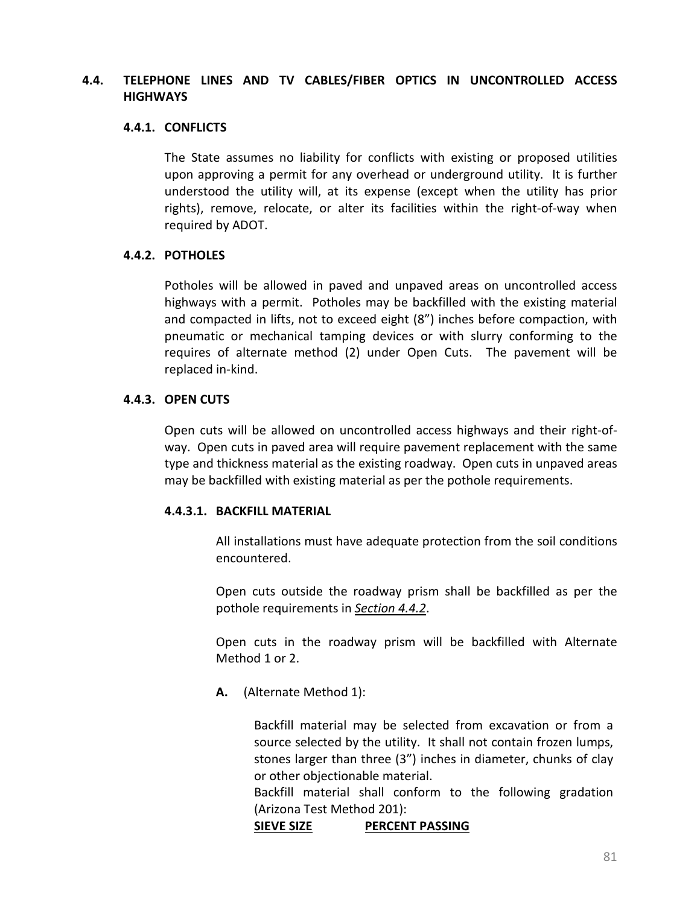## **4.4. TELEPHONE LINES AND TV CABLES/FIBER OPTICS IN UNCONTROLLED ACCESS HIGHWAYS**

#### **4.4.1. CONFLICTS**

The State assumes no liability for conflicts with existing or proposed utilities upon approving a permit for any overhead or underground utility. It is further understood the utility will, at its expense (except when the utility has prior rights), remove, relocate, or alter its facilities within the right-of-way when required by ADOT.

### <span id="page-89-0"></span>**4.4.2. POTHOLES**

Potholes will be allowed in paved and unpaved areas on uncontrolled access highways with a permit. Potholes may be backfilled with the existing material and compacted in lifts, not to exceed eight (8") inches before compaction, with pneumatic or mechanical tamping devices or with slurry conforming to the requires of alternate method (2) under Open Cuts. The pavement will be replaced in-kind.

#### **4.4.3. OPEN CUTS**

Open cuts will be allowed on uncontrolled access highways and their right-ofway. Open cuts in paved area will require pavement replacement with the same type and thickness material as the existing roadway. Open cuts in unpaved areas may be backfilled with existing material as per the pothole requirements.

### **4.4.3.1. BACKFILL MATERIAL**

All installations must have adequate protection from the soil conditions encountered.

Open cuts outside the roadway prism shall be backfilled as per the pothole requirements in *[Section 4.4.2](#page-89-0)*.

Open cuts in the roadway prism will be backfilled with Alternate Method 1 or 2.

**A.** (Alternate Method 1):

Backfill material may be selected from excavation or from a source selected by the utility. It shall not contain frozen lumps, stones larger than three (3") inches in diameter, chunks of clay or other objectionable material.

Backfill material shall conform to the following gradation (Arizona Test Method 201):

### **SIEVE SIZE PERCENT PASSING**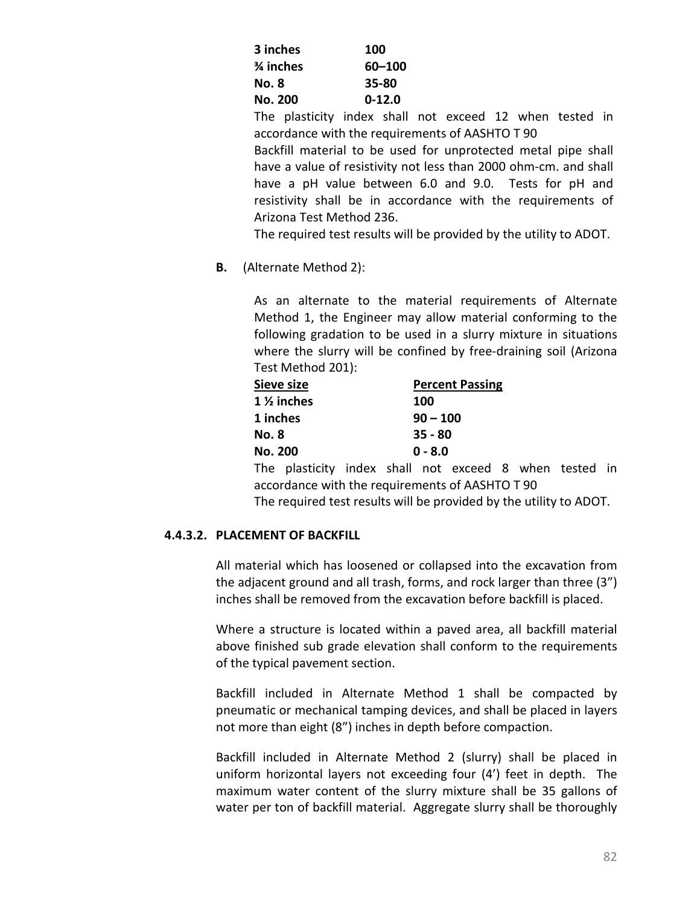| 3 inches       | 100        |
|----------------|------------|
| ¾ inches       | 60-100     |
| No. 8          | 35-80      |
| <b>No. 200</b> | $0 - 12.0$ |

The plasticity index shall not exceed 12 when tested in accordance with the requirements of AASHTO T 90

Backfill material to be used for unprotected metal pipe shall have a value of resistivity not less than 2000 ohm-cm. and shall have a pH value between 6.0 and 9.0. Tests for pH and resistivity shall be in accordance with the requirements of Arizona Test Method 236.

The required test results will be provided by the utility to ADOT.

**B.** (Alternate Method 2):

As an alternate to the material requirements of Alternate Method 1, the Engineer may allow material conforming to the following gradation to be used in a slurry mixture in situations where the slurry will be confined by free-draining soil (Arizona Test Method 201):

| Sieve size            | <b>Percent Passing</b> |
|-----------------------|------------------------|
| $1\frac{1}{2}$ inches | 100                    |
| 1 inches              | $90 - 100$             |
| <b>No. 8</b>          | $35 - 80$              |
| <b>No. 200</b>        | $0 - 8.0$              |
|                       |                        |

The plasticity index shall not exceed 8 when tested in accordance with the requirements of AASHTO T 90

The required test results will be provided by the utility to ADOT.

## **4.4.3.2. PLACEMENT OF BACKFILL**

All material which has loosened or collapsed into the excavation from the adjacent ground and all trash, forms, and rock larger than three (3") inches shall be removed from the excavation before backfill is placed.

Where a structure is located within a paved area, all backfill material above finished sub grade elevation shall conform to the requirements of the typical pavement section.

Backfill included in Alternate Method 1 shall be compacted by pneumatic or mechanical tamping devices, and shall be placed in layers not more than eight (8") inches in depth before compaction.

Backfill included in Alternate Method 2 (slurry) shall be placed in uniform horizontal layers not exceeding four (4') feet in depth. The maximum water content of the slurry mixture shall be 35 gallons of water per ton of backfill material. Aggregate slurry shall be thoroughly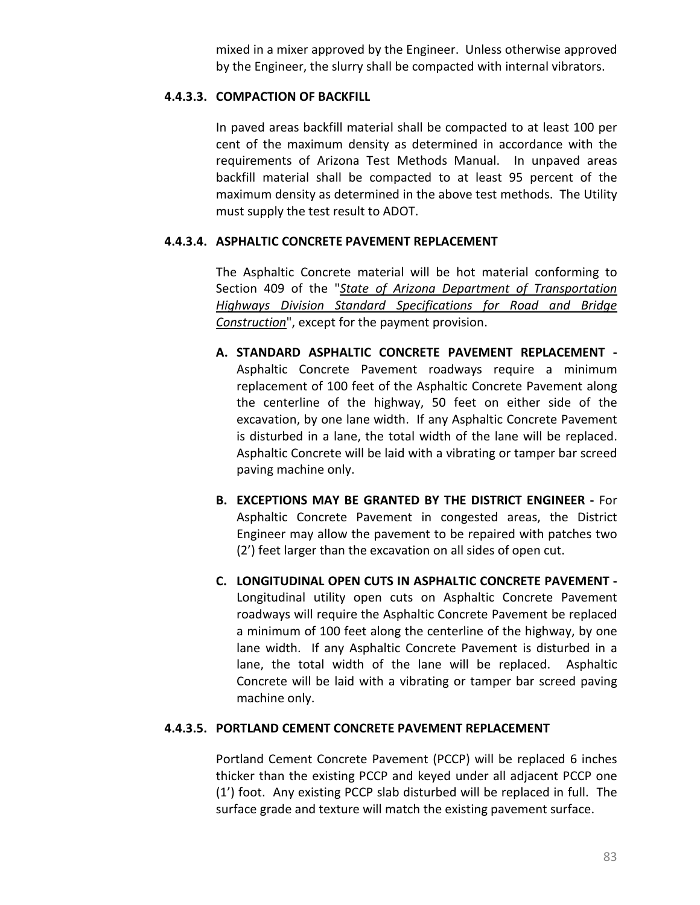mixed in a mixer approved by the Engineer. Unless otherwise approved by the Engineer, the slurry shall be compacted with internal vibrators.

## **4.4.3.3. COMPACTION OF BACKFILL**

In paved areas backfill material shall be compacted to at least 100 per cent of the maximum density as determined in accordance with the requirements of Arizona Test Methods Manual. In unpaved areas backfill material shall be compacted to at least 95 percent of the maximum density as determined in the above test methods. The Utility must supply the test result to ADOT.

## **4.4.3.4. ASPHALTIC CONCRETE PAVEMENT REPLACEMENT**

The Asphaltic Concrete material will be hot material conforming to Section 409 of the "*[State of Arizona Department of Transportation](http://www.azdot.gov/business/ContractsandSpecifications/Specifications)  [Highways Division Standard Specifications for Road and Bridge](http://www.azdot.gov/business/ContractsandSpecifications/Specifications)  [Construction](http://www.azdot.gov/business/ContractsandSpecifications/Specifications)*", except for the payment provision.

- **A. STANDARD ASPHALTIC CONCRETE PAVEMENT REPLACEMENT -** Asphaltic Concrete Pavement roadways require a minimum replacement of 100 feet of the Asphaltic Concrete Pavement along the centerline of the highway, 50 feet on either side of the excavation, by one lane width. If any Asphaltic Concrete Pavement is disturbed in a lane, the total width of the lane will be replaced. Asphaltic Concrete will be laid with a vibrating or tamper bar screed paving machine only.
- **B. EXCEPTIONS MAY BE GRANTED BY THE DISTRICT ENGINEER -** For Asphaltic Concrete Pavement in congested areas, the District Engineer may allow the pavement to be repaired with patches two (2') feet larger than the excavation on all sides of open cut.
- **C. LONGITUDINAL OPEN CUTS IN ASPHALTIC CONCRETE PAVEMENT -** Longitudinal utility open cuts on Asphaltic Concrete Pavement roadways will require the Asphaltic Concrete Pavement be replaced a minimum of 100 feet along the centerline of the highway, by one lane width. If any Asphaltic Concrete Pavement is disturbed in a lane, the total width of the lane will be replaced. Asphaltic Concrete will be laid with a vibrating or tamper bar screed paving machine only.

### **4.4.3.5. PORTLAND CEMENT CONCRETE PAVEMENT REPLACEMENT**

Portland Cement Concrete Pavement (PCCP) will be replaced 6 inches thicker than the existing PCCP and keyed under all adjacent PCCP one (1') foot. Any existing PCCP slab disturbed will be replaced in full. The surface grade and texture will match the existing pavement surface.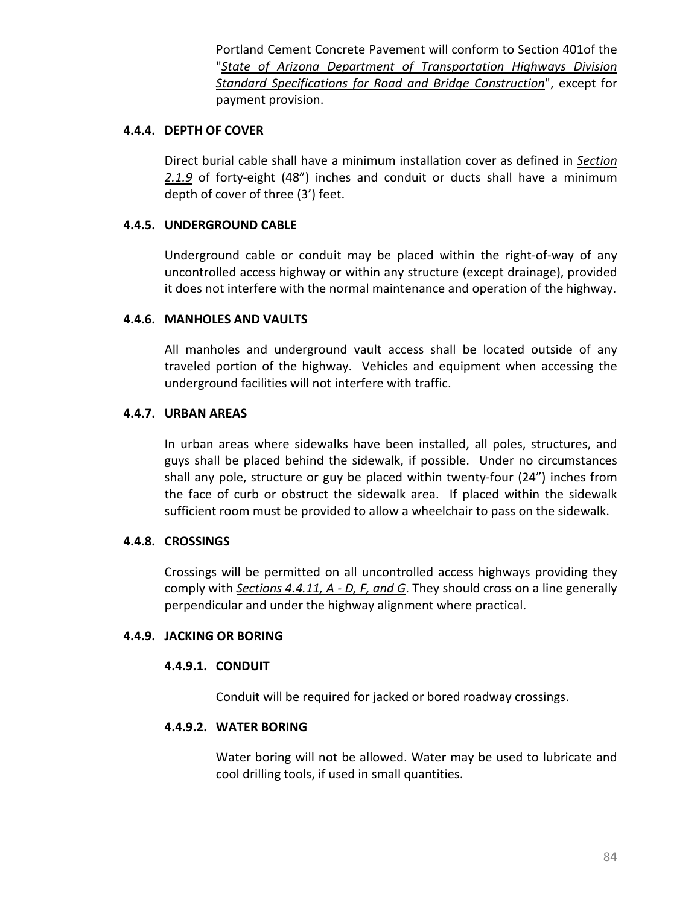Portland Cement Concrete Pavement will conform to Section 401of the "*[State of Arizona Department of Transportation Highways Division](http://www.azdot.gov/business/ContractsandSpecifications/Specifications)  [Standard Specifications for Road and Bridge Construction](http://www.azdot.gov/business/ContractsandSpecifications/Specifications)*", except for payment provision.

#### **4.4.4. DEPTH OF COVER**

Direct burial cable shall have a minimum installation cover as defined in *[Section](#page-19-0)  [2.1.9](#page-19-0)* of forty-eight (48") inches and conduit or ducts shall have a minimum depth of cover of three (3') feet.

## **4.4.5. UNDERGROUND CABLE**

Underground cable or conduit may be placed within the right-of-way of any uncontrolled access highway or within any structure (except drainage), provided it does not interfere with the normal maintenance and operation of the highway.

## **4.4.6. MANHOLES AND VAULTS**

All manholes and underground vault access shall be located outside of any traveled portion of the highway. Vehicles and equipment when accessing the underground facilities will not interfere with traffic.

## **4.4.7. URBAN AREAS**

In urban areas where sidewalks have been installed, all poles, structures, and guys shall be placed behind the sidewalk, if possible. Under no circumstances shall any pole, structure or guy be placed within twenty-four (24") inches from the face of curb or obstruct the sidewalk area. If placed within the sidewalk sufficient room must be provided to allow a wheelchair to pass on the sidewalk.

### **4.4.8. CROSSINGS**

Crossings will be permitted on all uncontrolled access highways providing they comply with *[Sections 4.4.11, A -](#page-94-0) D, F, and G*. They should cross on a line generally perpendicular and under the highway alignment where practical.

### **4.4.9. JACKING OR BORING**

### **4.4.9.1. CONDUIT**

Conduit will be required for jacked or bored roadway crossings.

### **4.4.9.2. WATER BORING**

Water boring will not be allowed. Water may be used to lubricate and cool drilling tools, if used in small quantities.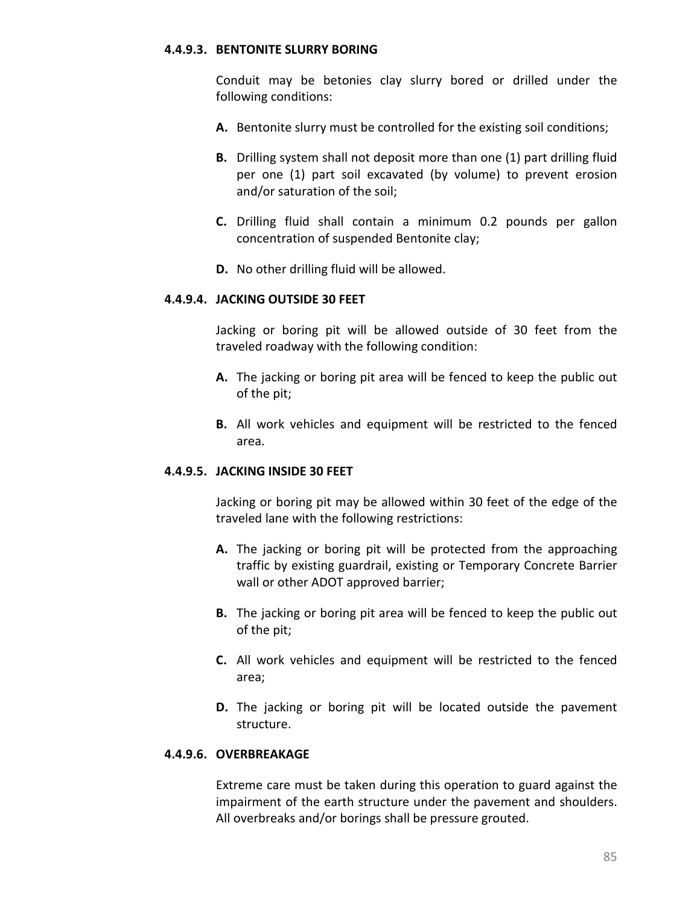#### **4.4.9.3. BENTONITE SLURRY BORING**

Conduit may be betonies clay slurry bored or drilled under the following conditions:

- **A.** Bentonite slurry must be controlled for the existing soil conditions;
- **B.** Drilling system shall not deposit more than one (1) part drilling fluid per one (1) part soil excavated (by volume) to prevent erosion and/or saturation of the soil;
- **C.** Drilling fluid shall contain a minimum 0.2 pounds per gallon concentration of suspended Bentonite clay;
- **D.** No other drilling fluid will be allowed.

#### **4.4.9.4. JACKING OUTSIDE 30 FEET**

Jacking or boring pit will be allowed outside of 30 feet from the traveled roadway with the following condition:

- **A.** The jacking or boring pit area will be fenced to keep the public out of the pit;
- **B.** All work vehicles and equipment will be restricted to the fenced area.

### **4.4.9.5. JACKING INSIDE 30 FEET**

Jacking or boring pit may be allowed within 30 feet of the edge of the traveled lane with the following restrictions:

- **A.** The jacking or boring pit will be protected from the approaching traffic by existing guardrail, existing or Temporary Concrete Barrier wall or other ADOT approved barrier;
- **B.** The jacking or boring pit area will be fenced to keep the public out of the pit;
- **C.** All work vehicles and equipment will be restricted to the fenced area;
- **D.** The jacking or boring pit will be located outside the pavement structure.

## **4.4.9.6. OVERBREAKAGE**

Extreme care must be taken during this operation to guard against the impairment of the earth structure under the pavement and shoulders. All overbreaks and/or borings shall be pressure grouted.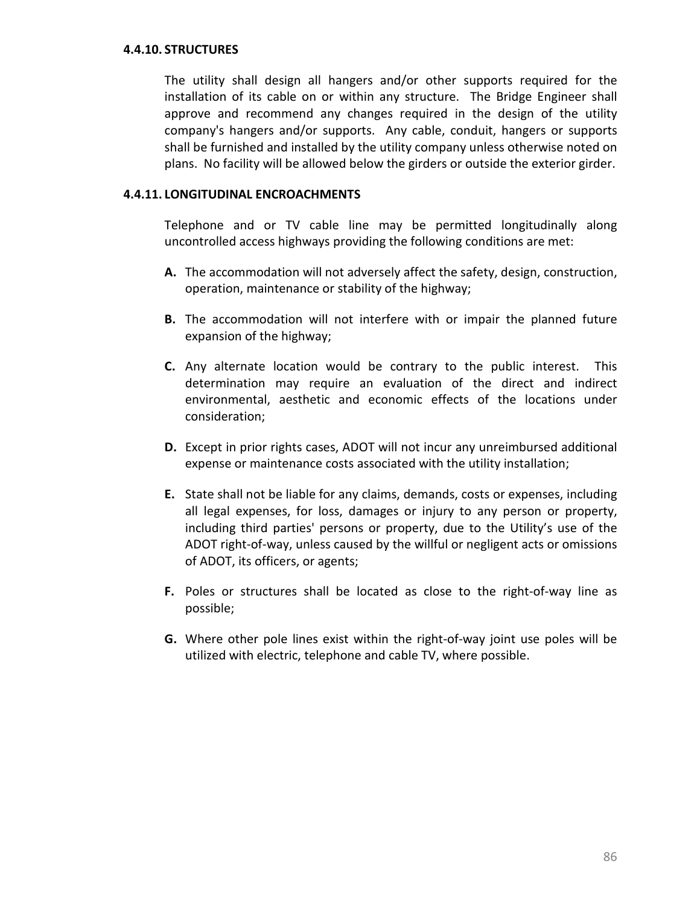#### **4.4.10. STRUCTURES**

The utility shall design all hangers and/or other supports required for the installation of its cable on or within any structure. The Bridge Engineer shall approve and recommend any changes required in the design of the utility company's hangers and/or supports. Any cable, conduit, hangers or supports shall be furnished and installed by the utility company unless otherwise noted on plans. No facility will be allowed below the girders or outside the exterior girder.

#### <span id="page-94-0"></span>**4.4.11. LONGITUDINAL ENCROACHMENTS**

Telephone and or TV cable line may be permitted longitudinally along uncontrolled access highways providing the following conditions are met:

- **A.** The accommodation will not adversely affect the safety, design, construction, operation, maintenance or stability of the highway;
- **B.** The accommodation will not interfere with or impair the planned future expansion of the highway;
- **C.** Any alternate location would be contrary to the public interest. This determination may require an evaluation of the direct and indirect environmental, aesthetic and economic effects of the locations under consideration;
- **D.** Except in prior rights cases, ADOT will not incur any unreimbursed additional expense or maintenance costs associated with the utility installation;
- **E.** State shall not be liable for any claims, demands, costs or expenses, including all legal expenses, for loss, damages or injury to any person or property, including third parties' persons or property, due to the Utility's use of the ADOT right-of-way, unless caused by the willful or negligent acts or omissions of ADOT, its officers, or agents;
- **F.** Poles or structures shall be located as close to the right-of-way line as possible;
- **G.** Where other pole lines exist within the right-of-way joint use poles will be utilized with electric, telephone and cable TV, where possible.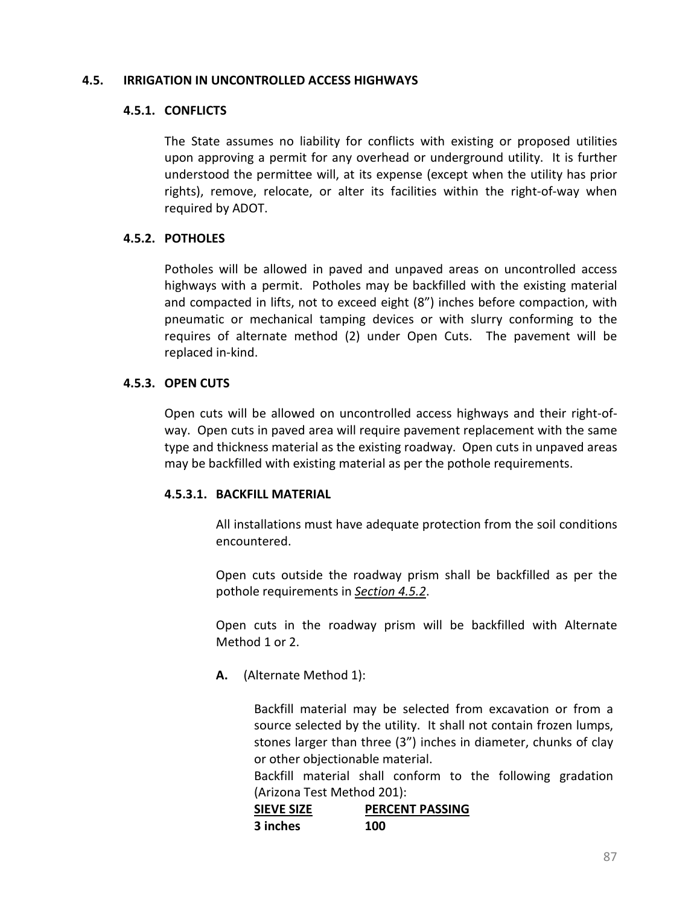#### **4.5. IRRIGATION IN UNCONTROLLED ACCESS HIGHWAYS**

#### **4.5.1. CONFLICTS**

The State assumes no liability for conflicts with existing or proposed utilities upon approving a permit for any overhead or underground utility. It is further understood the permittee will, at its expense (except when the utility has prior rights), remove, relocate, or alter its facilities within the right-of-way when required by ADOT.

### <span id="page-95-0"></span>**4.5.2. POTHOLES**

Potholes will be allowed in paved and unpaved areas on uncontrolled access highways with a permit. Potholes may be backfilled with the existing material and compacted in lifts, not to exceed eight (8") inches before compaction, with pneumatic or mechanical tamping devices or with slurry conforming to the requires of alternate method (2) under Open Cuts. The pavement will be replaced in-kind.

### **4.5.3. OPEN CUTS**

Open cuts will be allowed on uncontrolled access highways and their right-ofway. Open cuts in paved area will require pavement replacement with the same type and thickness material as the existing roadway. Open cuts in unpaved areas may be backfilled with existing material as per the pothole requirements.

### **4.5.3.1. BACKFILL MATERIAL**

All installations must have adequate protection from the soil conditions encountered.

Open cuts outside the roadway prism shall be backfilled as per the pothole requirements in *[Section 4.5.2](#page-95-0)*.

Open cuts in the roadway prism will be backfilled with Alternate Method 1 or 2.

**A.** (Alternate Method 1):

Backfill material may be selected from excavation or from a source selected by the utility. It shall not contain frozen lumps, stones larger than three (3") inches in diameter, chunks of clay or other objectionable material.

Backfill material shall conform to the following gradation (Arizona Test Method 201):

| <b>SIEVE SIZE</b> | <b>PERCENT PASSING</b> |
|-------------------|------------------------|
| 3 inches          | 100                    |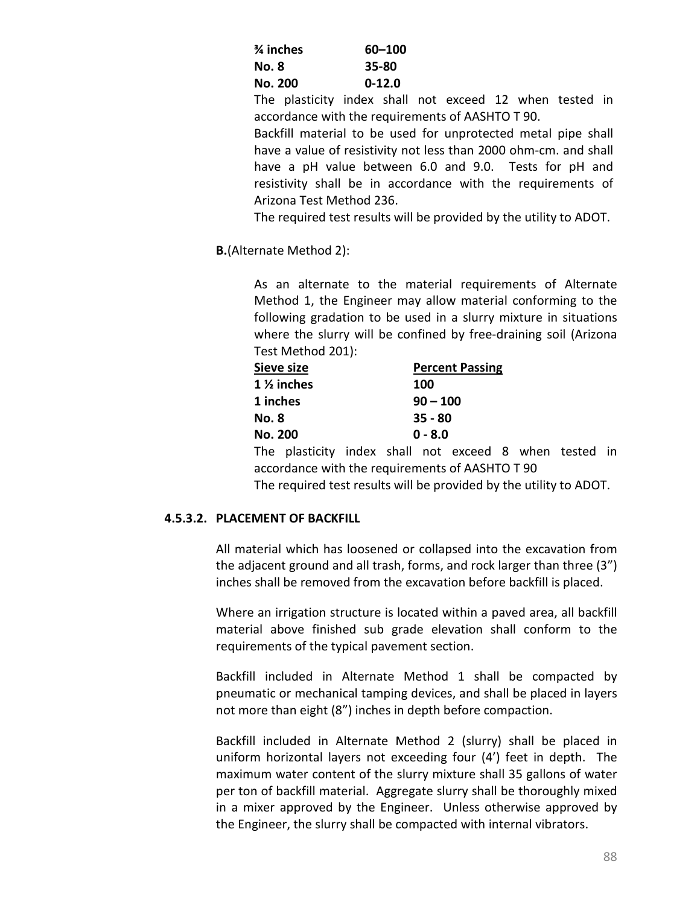| % inches | 60-100   |
|----------|----------|
| No. 8    | 35-80    |
| No. 200  | $0-12.0$ |

The plasticity index shall not exceed 12 when tested in accordance with the requirements of AASHTO T 90.

Backfill material to be used for unprotected metal pipe shall have a value of resistivity not less than 2000 ohm-cm. and shall have a pH value between 6.0 and 9.0. Tests for pH and resistivity shall be in accordance with the requirements of Arizona Test Method 236.

The required test results will be provided by the utility to ADOT.

**B.**(Alternate Method 2):

As an alternate to the material requirements of Alternate Method 1, the Engineer may allow material conforming to the following gradation to be used in a slurry mixture in situations where the slurry will be confined by free-draining soil (Arizona Test Method 201):

| Sieve size            | <b>Percent Passing</b> |
|-----------------------|------------------------|
| $1\frac{1}{2}$ inches | 100                    |
| 1 inches              | $90 - 100$             |
| <b>No. 8</b>          | $35 - 80$              |
| No. 200               | $0 - 8.0$              |

The plasticity index shall not exceed 8 when tested in accordance with the requirements of AASHTO T 90

## The required test results will be provided by the utility to ADOT.

### **4.5.3.2. PLACEMENT OF BACKFILL**

All material which has loosened or collapsed into the excavation from the adjacent ground and all trash, forms, and rock larger than three (3") inches shall be removed from the excavation before backfill is placed.

Where an irrigation structure is located within a paved area, all backfill material above finished sub grade elevation shall conform to the requirements of the typical pavement section.

Backfill included in Alternate Method 1 shall be compacted by pneumatic or mechanical tamping devices, and shall be placed in layers not more than eight (8") inches in depth before compaction.

Backfill included in Alternate Method 2 (slurry) shall be placed in uniform horizontal layers not exceeding four (4') feet in depth. The maximum water content of the slurry mixture shall 35 gallons of water per ton of backfill material. Aggregate slurry shall be thoroughly mixed in a mixer approved by the Engineer. Unless otherwise approved by the Engineer, the slurry shall be compacted with internal vibrators.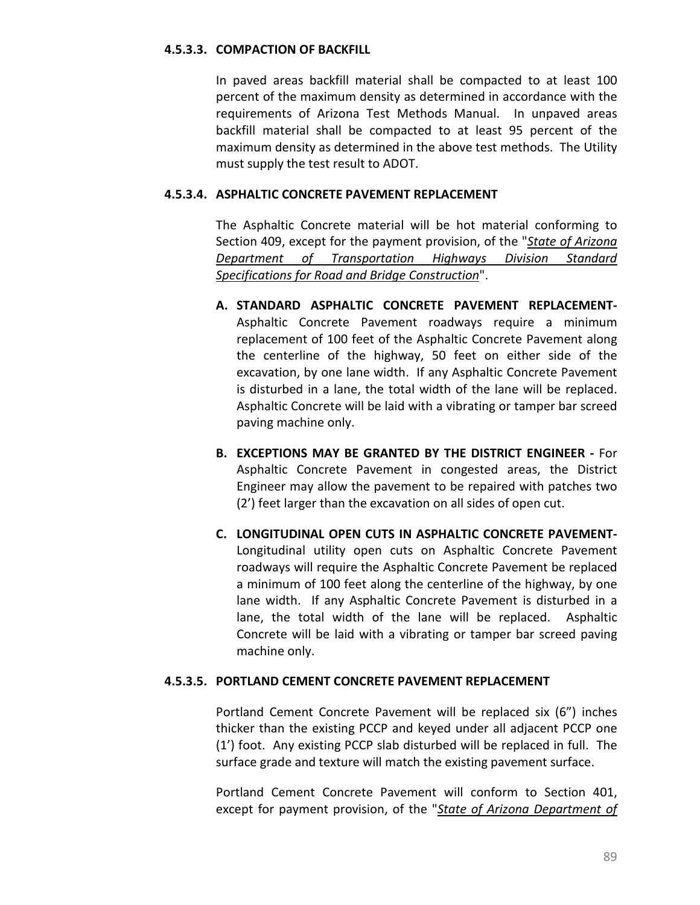#### **4.5.3.3. COMPACTION OF BACKFILL**

In paved areas backfill material shall be compacted to at least 100 percent of the maximum density as determined in accordance with the requirements of Arizona Test Methods Manual. In unpaved areas backfill material shall be compacted to at least 95 percent of the maximum density as determined in the above test methods. The Utility must supply the test result to ADOT.

#### **4.5.3.4. ASPHALTIC CONCRETE PAVEMENT REPLACEMENT**

The Asphaltic Concrete material will be hot material conforming to Section 409, except for the payment provision, of the "*[State of Arizona](http://www.azdot.gov/business/ContractsandSpecifications/Specifications)  [Department of Transportation Highways Division Standard](http://www.azdot.gov/business/ContractsandSpecifications/Specifications)  [Specifications for Road and Bridge Construction](http://www.azdot.gov/business/ContractsandSpecifications/Specifications)*".

- **A. STANDARD ASPHALTIC CONCRETE PAVEMENT REPLACEMENT-**Asphaltic Concrete Pavement roadways require a minimum replacement of 100 feet of the Asphaltic Concrete Pavement along the centerline of the highway, 50 feet on either side of the excavation, by one lane width. If any Asphaltic Concrete Pavement is disturbed in a lane, the total width of the lane will be replaced. Asphaltic Concrete will be laid with a vibrating or tamper bar screed paving machine only.
- **B. EXCEPTIONS MAY BE GRANTED BY THE DISTRICT ENGINEER -** For Asphaltic Concrete Pavement in congested areas, the District Engineer may allow the pavement to be repaired with patches two (2') feet larger than the excavation on all sides of open cut.
- **C. LONGITUDINAL OPEN CUTS IN ASPHALTIC CONCRETE PAVEMENT-**Longitudinal utility open cuts on Asphaltic Concrete Pavement roadways will require the Asphaltic Concrete Pavement be replaced a minimum of 100 feet along the centerline of the highway, by one lane width. If any Asphaltic Concrete Pavement is disturbed in a lane, the total width of the lane will be replaced. Asphaltic Concrete will be laid with a vibrating or tamper bar screed paving machine only.

## **4.5.3.5. PORTLAND CEMENT CONCRETE PAVEMENT REPLACEMENT**

Portland Cement Concrete Pavement will be replaced six (6") inches thicker than the existing PCCP and keyed under all adjacent PCCP one (1') foot. Any existing PCCP slab disturbed will be replaced in full. The surface grade and texture will match the existing pavement surface.

Portland Cement Concrete Pavement will conform to Section 401, except for payment provision, of the "*[State of Arizona Department of](http://www.azdot.gov/business/ContractsandSpecifications/Specifications)*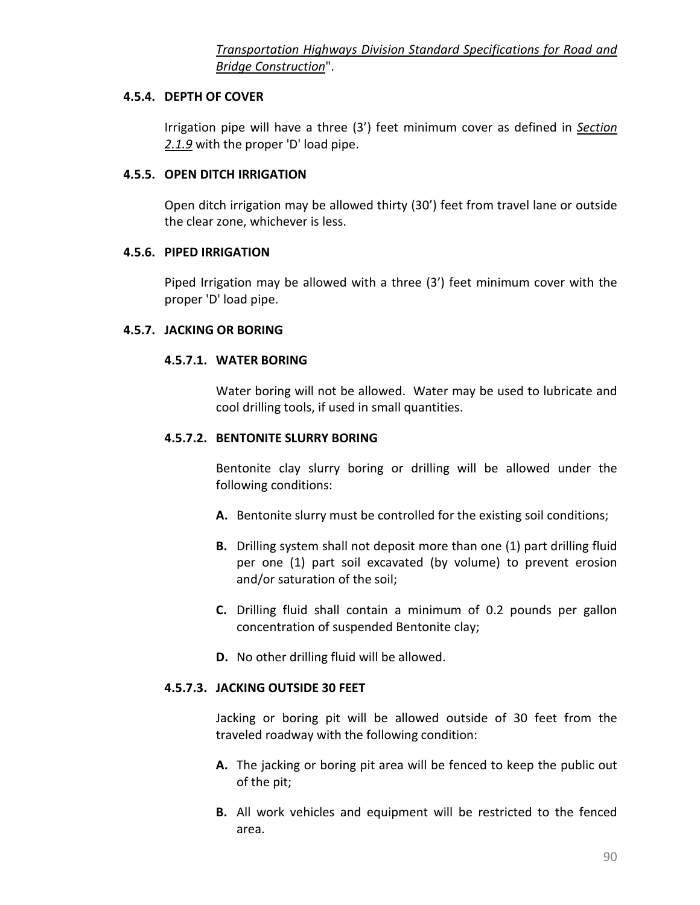## **4.5.4. DEPTH OF COVER**

Irrigation pipe will have a three (3') feet minimum cover as defined in *[Section](#page-19-0)  [2.1.9](#page-19-0)* with the proper 'D' load pipe.

## **4.5.5. OPEN DITCH IRRIGATION**

Open ditch irrigation may be allowed thirty (30') feet from travel lane or outside the clear zone, whichever is less.

## **4.5.6. PIPED IRRIGATION**

Piped Irrigation may be allowed with a three (3') feet minimum cover with the proper 'D' load pipe.

## **4.5.7. JACKING OR BORING**

## **4.5.7.1. WATER BORING**

Water boring will not be allowed. Water may be used to lubricate and cool drilling tools, if used in small quantities.

## **4.5.7.2. BENTONITE SLURRY BORING**

Bentonite clay slurry boring or drilling will be allowed under the following conditions:

- **A.** Bentonite slurry must be controlled for the existing soil conditions;
- **B.** Drilling system shall not deposit more than one (1) part drilling fluid per one (1) part soil excavated (by volume) to prevent erosion and/or saturation of the soil;
- **C.** Drilling fluid shall contain a minimum of 0.2 pounds per gallon concentration of suspended Bentonite clay;
- **D.** No other drilling fluid will be allowed.

## **4.5.7.3. JACKING OUTSIDE 30 FEET**

Jacking or boring pit will be allowed outside of 30 feet from the traveled roadway with the following condition:

- **A.** The jacking or boring pit area will be fenced to keep the public out of the pit;
- **B.** All work vehicles and equipment will be restricted to the fenced area.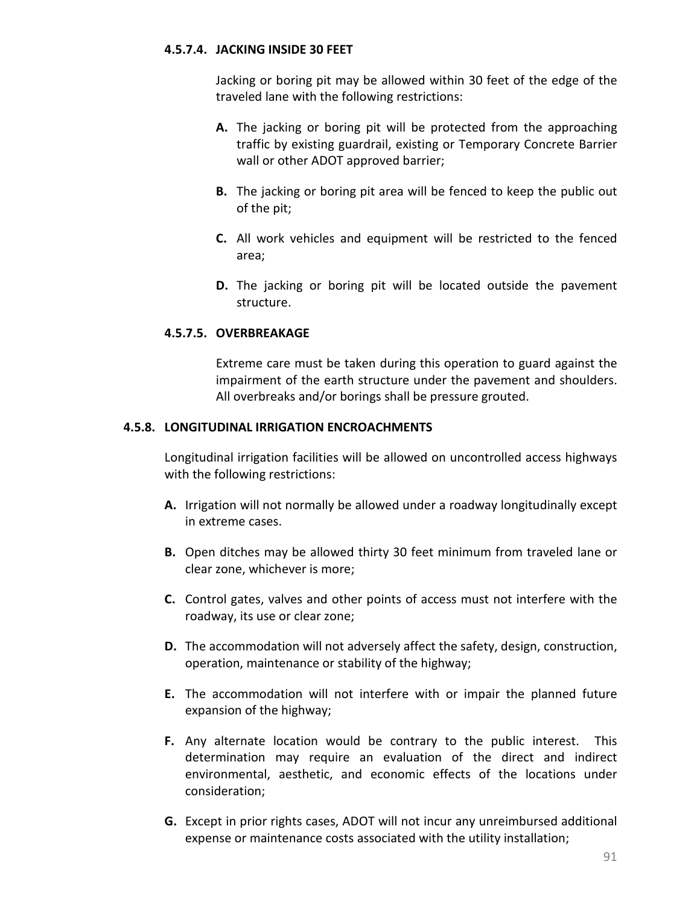## **4.5.7.4. JACKING INSIDE 30 FEET**

Jacking or boring pit may be allowed within 30 feet of the edge of the traveled lane with the following restrictions:

- **A.** The jacking or boring pit will be protected from the approaching traffic by existing guardrail, existing or Temporary Concrete Barrier wall or other ADOT approved barrier;
- **B.** The jacking or boring pit area will be fenced to keep the public out of the pit;
- **C.** All work vehicles and equipment will be restricted to the fenced area;
- **D.** The jacking or boring pit will be located outside the pavement structure.

## **4.5.7.5. OVERBREAKAGE**

Extreme care must be taken during this operation to guard against the impairment of the earth structure under the pavement and shoulders. All overbreaks and/or borings shall be pressure grouted.

## **4.5.8. LONGITUDINAL IRRIGATION ENCROACHMENTS**

Longitudinal irrigation facilities will be allowed on uncontrolled access highways with the following restrictions:

- **A.** Irrigation will not normally be allowed under a roadway longitudinally except in extreme cases.
- **B.** Open ditches may be allowed thirty 30 feet minimum from traveled lane or clear zone, whichever is more;
- **C.** Control gates, valves and other points of access must not interfere with the roadway, its use or clear zone;
- **D.** The accommodation will not adversely affect the safety, design, construction, operation, maintenance or stability of the highway;
- **E.** The accommodation will not interfere with or impair the planned future expansion of the highway;
- **F.** Any alternate location would be contrary to the public interest. This determination may require an evaluation of the direct and indirect environmental, aesthetic, and economic effects of the locations under consideration;
- **G.** Except in prior rights cases, ADOT will not incur any unreimbursed additional expense or maintenance costs associated with the utility installation;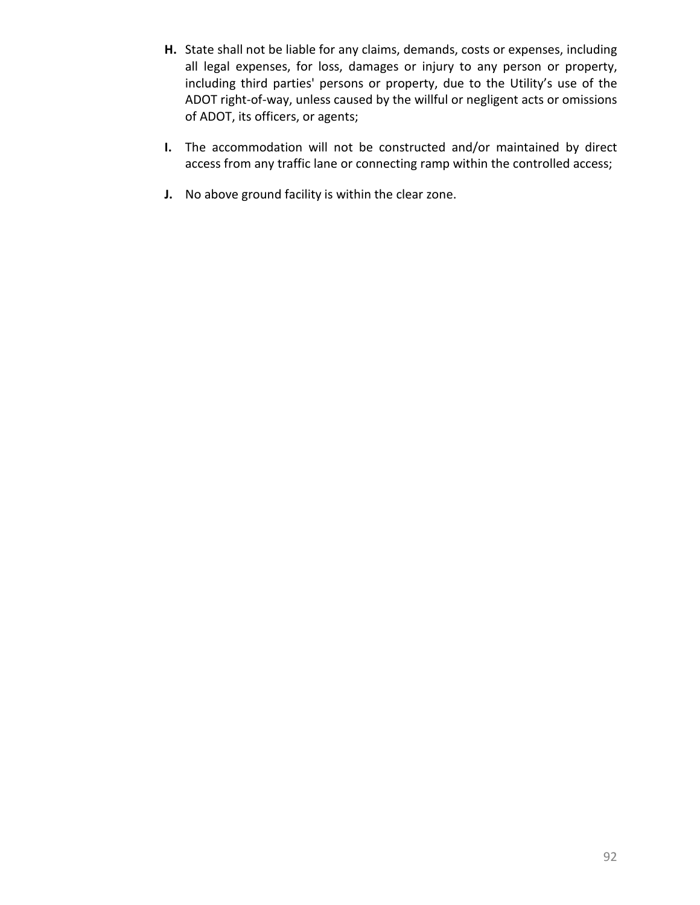- **H.** State shall not be liable for any claims, demands, costs or expenses, including all legal expenses, for loss, damages or injury to any person or property, including third parties' persons or property, due to the Utility's use of the ADOT right-of-way, unless caused by the willful or negligent acts or omissions of ADOT, its officers, or agents;
- **I.** The accommodation will not be constructed and/or maintained by direct access from any traffic lane or connecting ramp within the controlled access;
- **J.** No above ground facility is within the clear zone.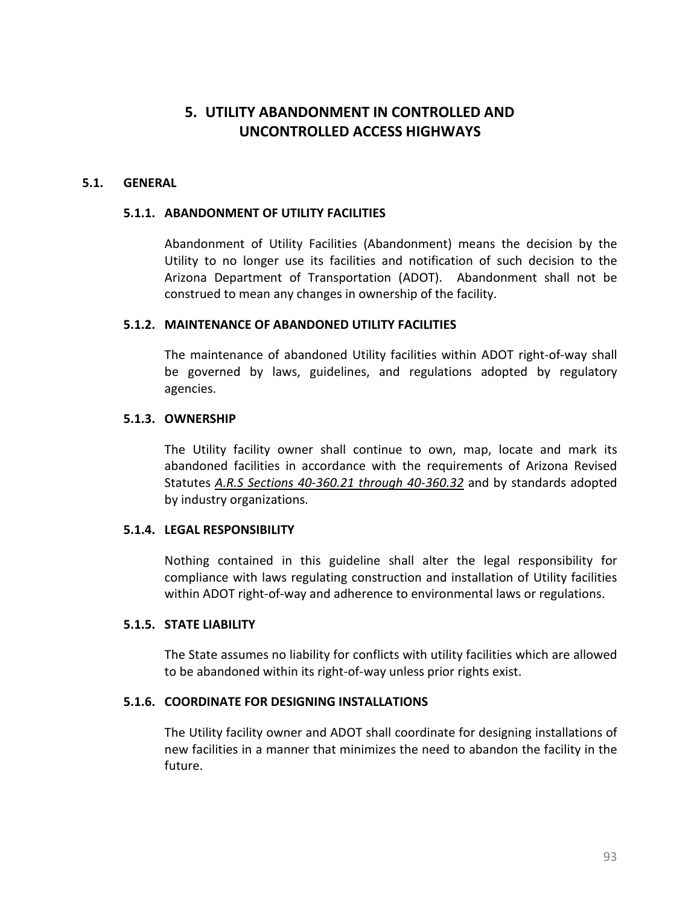# **5. UTILITY ABANDONMENT IN CONTROLLED AND UNCONTROLLED ACCESS HIGHWAYS**

### **5.1. GENERAL**

#### **5.1.1. ABANDONMENT OF UTILITY FACILITIES**

Abandonment of Utility Facilities (Abandonment) means the decision by the Utility to no longer use its facilities and notification of such decision to the Arizona Department of Transportation (ADOT). Abandonment shall not be construed to mean any changes in ownership of the facility.

#### **5.1.2. MAINTENANCE OF ABANDONED UTILITY FACILITIES**

The maintenance of abandoned Utility facilities within ADOT right-of-way shall be governed by laws, guidelines, and regulations adopted by regulatory agencies.

#### **5.1.3. OWNERSHIP**

The Utility facility owner shall continue to own, map, locate and mark its abandoned facilities in accordance with the requirements of Arizona Revised Statutes *[A.R.S Sections 40-360.21 through 40-360.32](http://www.azleg.state.az.us/ArizonaRevisedStatutes.asp?Title=40)* and by standards adopted by industry organizations.

### **5.1.4. LEGAL RESPONSIBILITY**

Nothing contained in this guideline shall alter the legal responsibility for compliance with laws regulating construction and installation of Utility facilities within ADOT right-of-way and adherence to environmental laws or regulations.

#### **5.1.5. STATE LIABILITY**

The State assumes no liability for conflicts with utility facilities which are allowed to be abandoned within its right-of-way unless prior rights exist.

### **5.1.6. COORDINATE FOR DESIGNING INSTALLATIONS**

The Utility facility owner and ADOT shall coordinate for designing installations of new facilities in a manner that minimizes the need to abandon the facility in the future.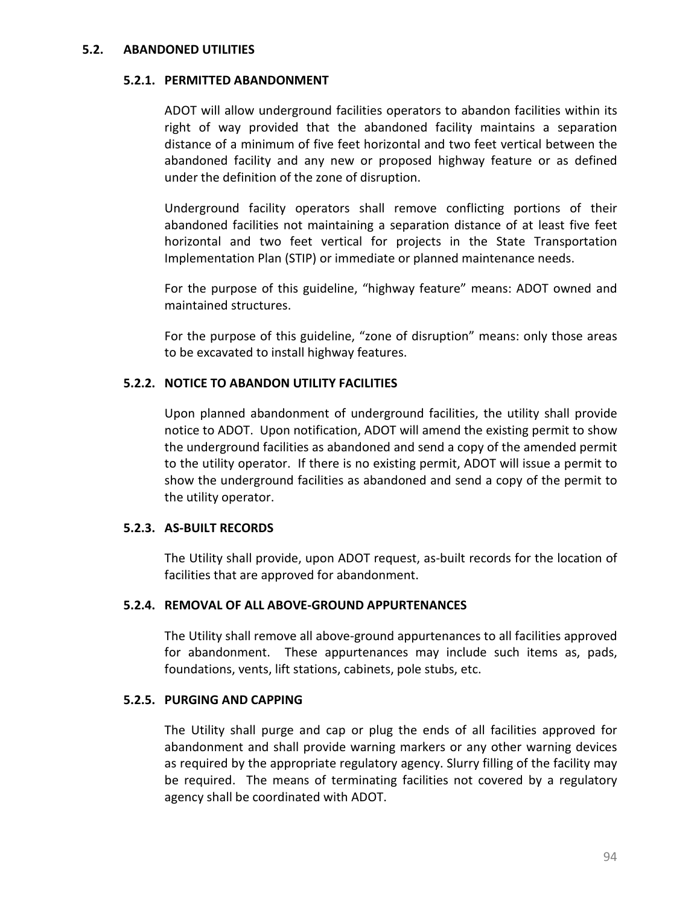#### **5.2. ABANDONED UTILITIES**

#### **5.2.1. PERMITTED ABANDONMENT**

ADOT will allow underground facilities operators to abandon facilities within its right of way provided that the abandoned facility maintains a separation distance of a minimum of five feet horizontal and two feet vertical between the abandoned facility and any new or proposed highway feature or as defined under the definition of the zone of disruption.

Underground facility operators shall remove conflicting portions of their abandoned facilities not maintaining a separation distance of at least five feet horizontal and two feet vertical for projects in the State Transportation Implementation Plan (STIP) or immediate or planned maintenance needs.

For the purpose of this guideline, "highway feature" means: ADOT owned and maintained structures.

For the purpose of this guideline, "zone of disruption" means: only those areas to be excavated to install highway features.

### **5.2.2. NOTICE TO ABANDON UTILITY FACILITIES**

Upon planned abandonment of underground facilities, the utility shall provide notice to ADOT. Upon notification, ADOT will amend the existing permit to show the underground facilities as abandoned and send a copy of the amended permit to the utility operator. If there is no existing permit, ADOT will issue a permit to show the underground facilities as abandoned and send a copy of the permit to the utility operator.

#### **5.2.3. AS-BUILT RECORDS**

The Utility shall provide, upon ADOT request, as-built records for the location of facilities that are approved for abandonment.

#### **5.2.4. REMOVAL OF ALL ABOVE-GROUND APPURTENANCES**

The Utility shall remove all above-ground appurtenances to all facilities approved for abandonment. These appurtenances may include such items as, pads, foundations, vents, lift stations, cabinets, pole stubs, etc.

#### **5.2.5. PURGING AND CAPPING**

The Utility shall purge and cap or plug the ends of all facilities approved for abandonment and shall provide warning markers or any other warning devices as required by the appropriate regulatory agency. Slurry filling of the facility may be required. The means of terminating facilities not covered by a regulatory agency shall be coordinated with ADOT.